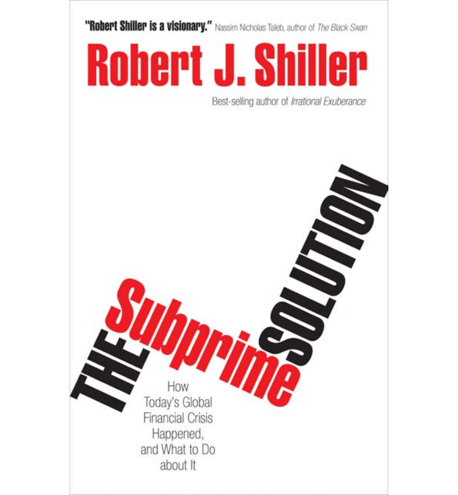#### þ hert J. Sh lσ ſ

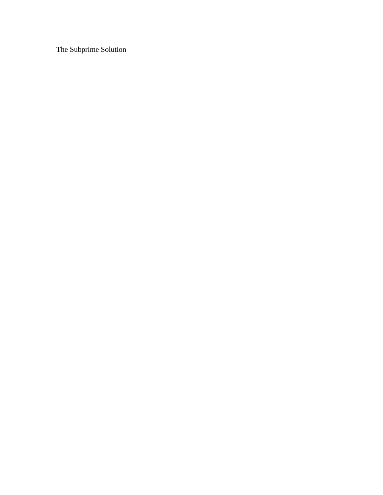The Subprime Solution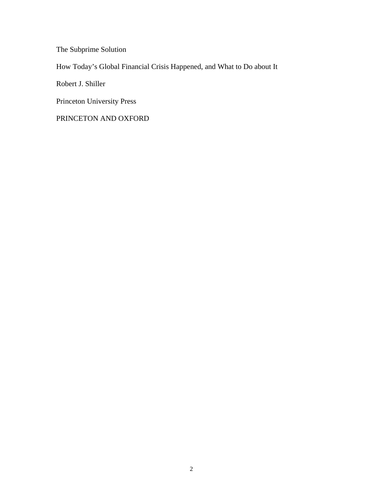The Subprime Solution

How Today's Global Financial Crisis Happened, and What to Do about It

Robert J. Shiller

Princeton University Press

PRINCETON AND OXFORD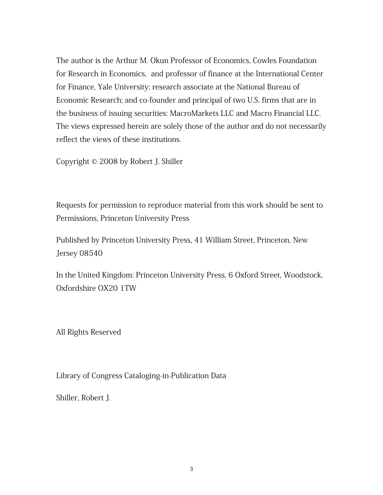The author is the Arthur M. Okun Professor of Economics, Cowles Foundation for Research in Economics, and professor of finance at the International Center for Finance, Yale University; research associate at the National Bureau of Economic Research; and co-founder and principal of two U.S. firms that are in the business of issuing securities: MacroMarkets LLC and Macro Financial LLC. The views expressed herein are solely those of the author and do not necessarily reflect the views of these institutions.

Copyright © 2008 by Robert J. Shiller

Requests for permission to reproduce material from this work should be sent to Permissions, Princeton University Press

Published by Princeton University Press, 41 William Street, Princeton, New Jersey 08540

In the United Kingdom: Princeton University Press, 6 Oxford Street, Woodstock, Oxfordshire OX20 1TW

All Rights Reserved

Library of Congress Cataloging-in-Publication Data

Shiller, Robert J.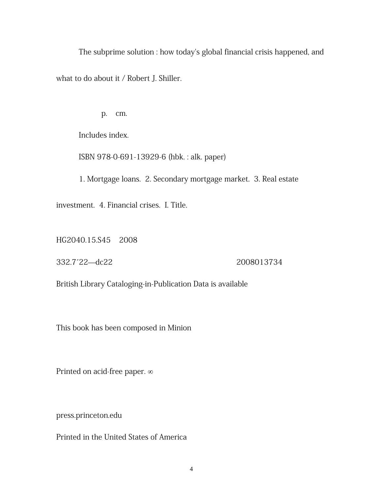The subprime solution : how today's global financial crisis happened, and what to do about it / Robert J. Shiller.

p. cm.

Includes index.

ISBN 978-0-691-13929-6 (hbk. : alk. paper)

1. Mortgage loans. 2. Secondary mortgage market. 3. Real estate

investment. 4. Financial crises. I. Title.

HG2040.15.S45 2008

332.7´22—dc22 2008013734

British Library Cataloging-in-Publication Data is available

This book has been composed in Minion

Printed on acid-free paper. ∞

press.princeton.edu

Printed in the United States of America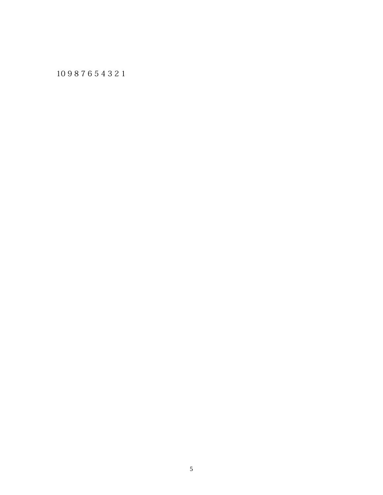10 9 8 7 6 5 4 3 2 1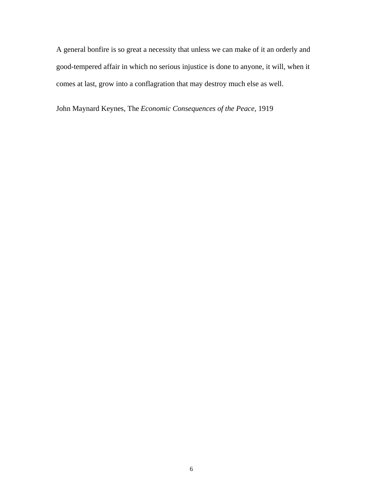A general bonfire is so great a necessity that unless we can make of it an orderly and good-tempered affair in which no serious injustice is done to anyone, it will, when it comes at last, grow into a conflagration that may destroy much else as well.

John Maynard Keynes, The *Economic Consequences of the Peace,* 1919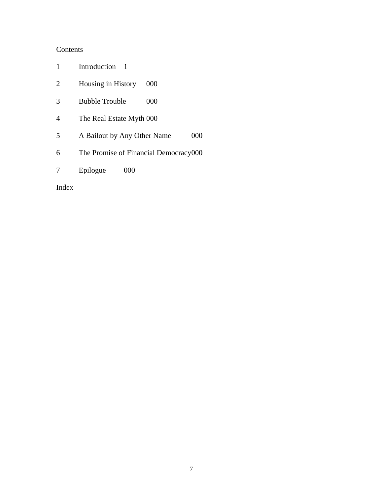# Contents

| 1     | Introduction                          |     |
|-------|---------------------------------------|-----|
| 2     | Housing in History                    | 000 |
| 3     | <b>Bubble Trouble</b>                 | 000 |
| 4     | The Real Estate Myth 000              |     |
| 5     | A Bailout by Any Other Name<br>000    |     |
| 6     | The Promise of Financial Democracy000 |     |
| 7     | 000<br>Epilogue                       |     |
| Index |                                       |     |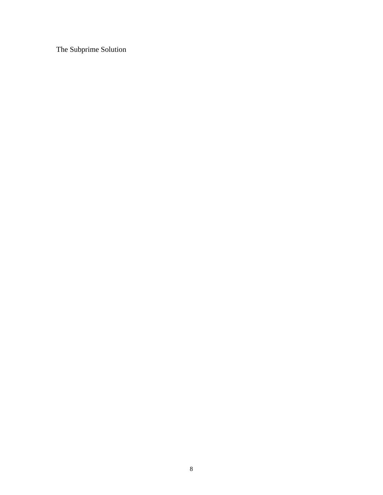The Subprime Solution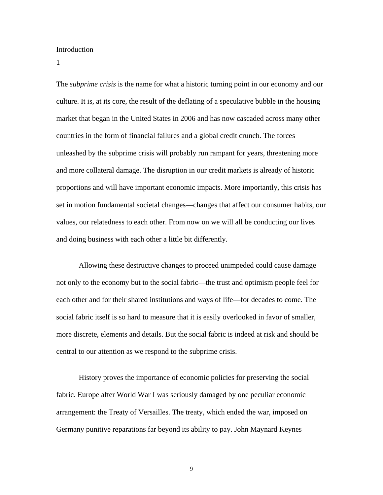#### Introduction

1

The *subprime crisis* is the name for what a historic turning point in our economy and our culture. It is, at its core, the result of the deflating of a speculative bubble in the housing market that began in the United States in 2006 and has now cascaded across many other countries in the form of financial failures and a global credit crunch. The forces unleashed by the subprime crisis will probably run rampant for years, threatening more and more collateral damage. The disruption in our credit markets is already of historic proportions and will have important economic impacts. More importantly, this crisis has set in motion fundamental societal changes—changes that affect our consumer habits, our values, our relatedness to each other. From now on we will all be conducting our lives and doing business with each other a little bit differently.

Allowing these destructive changes to proceed unimpeded could cause damage not only to the economy but to the social fabric—the trust and optimism people feel for each other and for their shared institutions and ways of life—for decades to come. The social fabric itself is so hard to measure that it is easily overlooked in favor of smaller, more discrete, elements and details. But the social fabric is indeed at risk and should be central to our attention as we respond to the subprime crisis.

History proves the importance of economic policies for preserving the social fabric. Europe after World War I was seriously damaged by one peculiar economic arrangement: the Treaty of Versailles. The treaty, which ended the war, imposed on Germany punitive reparations far beyond its ability to pay. John Maynard Keynes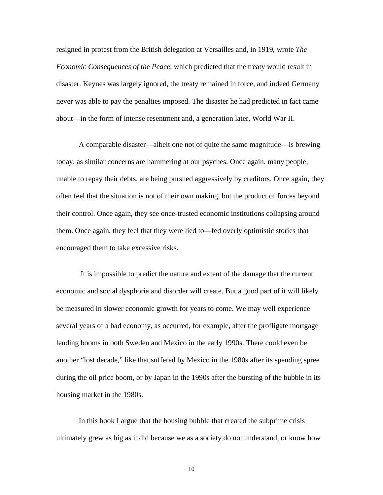resigned in protest from the British delegation at Versailles and, in 1919, wrote *The Economic Consequences of the Peace,* which predicted that the treaty would result in disaster. Keynes was largely ignored, the treaty remained in force, and indeed Germany never was able to pay the penalties imposed. The disaster he had predicted in fact came about—in the form of intense resentment and, a generation later, World War II.

A comparable disaster—albeit one not of quite the same magnitude—is brewing today, as similar concerns are hammering at our psyches. Once again, many people, unable to repay their debts, are being pursued aggressively by creditors. Once again, they often feel that the situation is not of their own making, but the product of forces beyond their control. Once again, they see once-trusted economic institutions collapsing around them. Once again, they feel that they were lied to—fed overly optimistic stories that encouraged them to take excessive risks.

 It is impossible to predict the nature and extent of the damage that the current economic and social dysphoria and disorder will create. But a good part of it will likely be measured in slower economic growth for years to come. We may well experience several years of a bad economy, as occurred, for example, after the profligate mortgage lending booms in both Sweden and Mexico in the early 1990s. There could even be another "lost decade," like that suffered by Mexico in the 1980s after its spending spree during the oil price boom, or by Japan in the 1990s after the bursting of the bubble in its housing market in the 1980s.

In this book I argue that the housing bubble that created the subprime crisis ultimately grew as big as it did because we as a society do not understand, or know how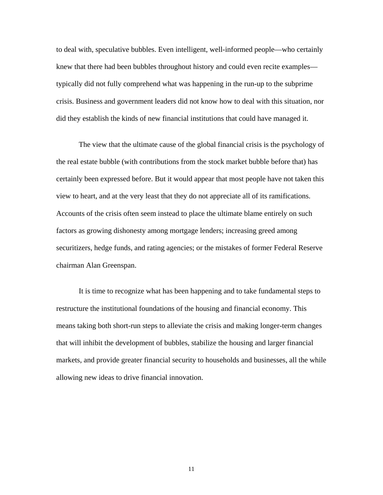to deal with, speculative bubbles. Even intelligent, well-informed people—who certainly knew that there had been bubbles throughout history and could even recite examples typically did not fully comprehend what was happening in the run-up to the subprime crisis. Business and government leaders did not know how to deal with this situation, nor did they establish the kinds of new financial institutions that could have managed it.

The view that the ultimate cause of the global financial crisis is the psychology of the real estate bubble (with contributions from the stock market bubble before that) has certainly been expressed before. But it would appear that most people have not taken this view to heart, and at the very least that they do not appreciate all of its ramifications. Accounts of the crisis often seem instead to place the ultimate blame entirely on such factors as growing dishonesty among mortgage lenders; increasing greed among securitizers, hedge funds, and rating agencies; or the mistakes of former Federal Reserve chairman Alan Greenspan.

It is time to recognize what has been happening and to take fundamental steps to restructure the institutional foundations of the housing and financial economy. This means taking both short-run steps to alleviate the crisis and making longer-term changes that will inhibit the development of bubbles, stabilize the housing and larger financial markets, and provide greater financial security to households and businesses, all the while allowing new ideas to drive financial innovation.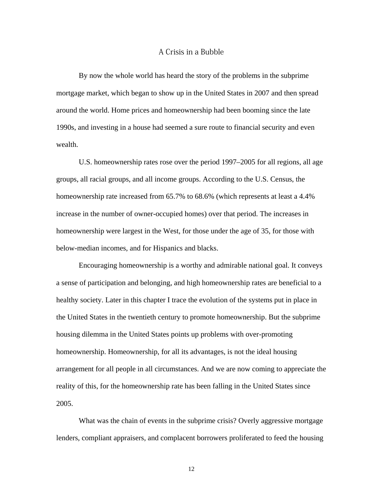## A Crisis in a Bubble

By now the whole world has heard the story of the problems in the subprime mortgage market, which began to show up in the United States in 2007 and then spread around the world. Home prices and homeownership had been booming since the late 1990s, and investing in a house had seemed a sure route to financial security and even wealth.

U.S. homeownership rates rose over the period 1997–2005 for all regions, all age groups, all racial groups, and all income groups. According to the U.S. Census, the homeownership rate increased from 65.7% to 68.6% (which represents at least a 4.4% increase in the number of owner-occupied homes) over that period. The increases in homeownership were largest in the West, for those under the age of 35, for those with below-median incomes, and for Hispanics and blacks.

Encouraging homeownership is a worthy and admirable national goal. It conveys a sense of participation and belonging, and high homeownership rates are beneficial to a healthy society. Later in this chapter I trace the evolution of the systems put in place in the United States in the twentieth century to promote homeownership. But the subprime housing dilemma in the United States points up problems with over-promoting homeownership. Homeownership, for all its advantages, is not the ideal housing arrangement for all people in all circumstances. And we are now coming to appreciate the reality of this, for the homeownership rate has been falling in the United States since 2005.

What was the chain of events in the subprime crisis? Overly aggressive mortgage lenders, compliant appraisers, and complacent borrowers proliferated to feed the housing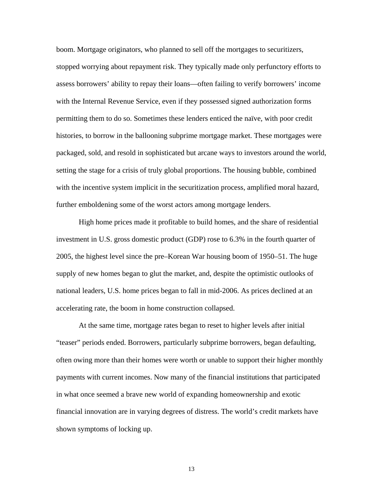boom. Mortgage originators, who planned to sell off the mortgages to securitizers, stopped worrying about repayment risk. They typically made only perfunctory efforts to assess borrowers' ability to repay their loans—often failing to verify borrowers' income with the Internal Revenue Service, even if they possessed signed authorization forms permitting them to do so. Sometimes these lenders enticed the naïve, with poor credit histories, to borrow in the ballooning subprime mortgage market. These mortgages were packaged, sold, and resold in sophisticated but arcane ways to investors around the world, setting the stage for a crisis of truly global proportions. The housing bubble, combined with the incentive system implicit in the securitization process, amplified moral hazard, further emboldening some of the worst actors among mortgage lenders.

High home prices made it profitable to build homes, and the share of residential investment in U.S. gross domestic product (GDP) rose to 6.3% in the fourth quarter of 2005, the highest level since the pre–Korean War housing boom of 1950–51. The huge supply of new homes began to glut the market, and, despite the optimistic outlooks of national leaders, U.S. home prices began to fall in mid-2006. As prices declined at an accelerating rate, the boom in home construction collapsed.

At the same time, mortgage rates began to reset to higher levels after initial "teaser" periods ended. Borrowers, particularly subprime borrowers, began defaulting, often owing more than their homes were worth or unable to support their higher monthly payments with current incomes. Now many of the financial institutions that participated in what once seemed a brave new world of expanding homeownership and exotic financial innovation are in varying degrees of distress. The world's credit markets have shown symptoms of locking up.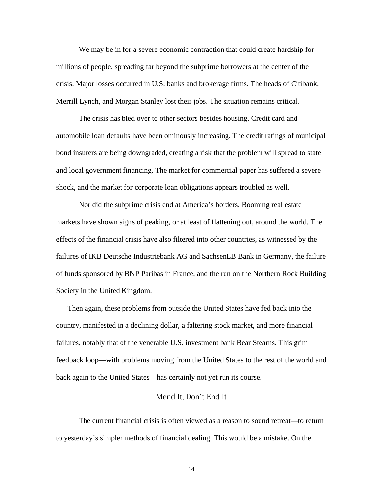We may be in for a severe economic contraction that could create hardship for millions of people, spreading far beyond the subprime borrowers at the center of the crisis. Major losses occurred in U.S. banks and brokerage firms. The heads of Citibank, Merrill Lynch, and Morgan Stanley lost their jobs. The situation remains critical.

The crisis has bled over to other sectors besides housing. Credit card and automobile loan defaults have been ominously increasing. The credit ratings of municipal bond insurers are being downgraded, creating a risk that the problem will spread to state and local government financing. The market for commercial paper has suffered a severe shock, and the market for corporate loan obligations appears troubled as well.

Nor did the subprime crisis end at America's borders. Booming real estate markets have shown signs of peaking, or at least of flattening out, around the world. The effects of the financial crisis have also filtered into other countries, as witnessed by the failures of IKB Deutsche Industriebank AG and SachsenLB Bank in Germany, the failure of funds sponsored by BNP Paribas in France, and the run on the Northern Rock Building Society in the United Kingdom.

Then again, these problems from outside the United States have fed back into the country, manifested in a declining dollar, a faltering stock market, and more financial failures, notably that of the venerable U.S. investment bank Bear Stearns. This grim feedback loop—with problems moving from the United States to the rest of the world and back again to the United States—has certainly not yet run its course.

# Mend It, Don't End It

The current financial crisis is often viewed as a reason to sound retreat—to return to yesterday's simpler methods of financial dealing. This would be a mistake. On the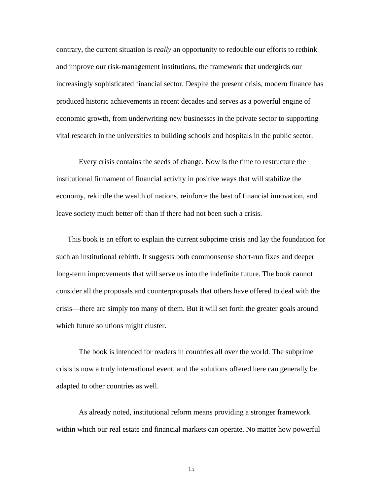contrary, the current situation is *really* an opportunity to redouble our efforts to rethink and improve our risk-management institutions, the framework that undergirds our increasingly sophisticated financial sector. Despite the present crisis, modern finance has produced historic achievements in recent decades and serves as a powerful engine of economic growth, from underwriting new businesses in the private sector to supporting vital research in the universities to building schools and hospitals in the public sector.

Every crisis contains the seeds of change. Now is the time to restructure the institutional firmament of financial activity in positive ways that will stabilize the economy, rekindle the wealth of nations, reinforce the best of financial innovation, and leave society much better off than if there had not been such a crisis.

This book is an effort to explain the current subprime crisis and lay the foundation for such an institutional rebirth. It suggests both commonsense short-run fixes and deeper long-term improvements that will serve us into the indefinite future. The book cannot consider all the proposals and counterproposals that others have offered to deal with the crisis—there are simply too many of them. But it will set forth the greater goals around which future solutions might cluster.

The book is intended for readers in countries all over the world. The subprime crisis is now a truly international event, and the solutions offered here can generally be adapted to other countries as well.

As already noted, institutional reform means providing a stronger framework within which our real estate and financial markets can operate. No matter how powerful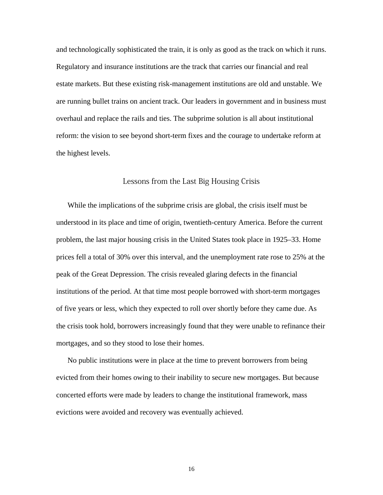and technologically sophisticated the train, it is only as good as the track on which it runs. Regulatory and insurance institutions are the track that carries our financial and real estate markets. But these existing risk-management institutions are old and unstable. We are running bullet trains on ancient track. Our leaders in government and in business must overhaul and replace the rails and ties. The subprime solution is all about institutional reform: the vision to see beyond short-term fixes and the courage to undertake reform at the highest levels.

# Lessons from the Last Big Housing Crisis

While the implications of the subprime crisis are global, the crisis itself must be understood in its place and time of origin, twentieth-century America. Before the current problem, the last major housing crisis in the United States took place in 1925–33. Home prices fell a total of 30% over this interval, and the unemployment rate rose to 25% at the peak of the Great Depression. The crisis revealed glaring defects in the financial institutions of the period. At that time most people borrowed with short-term mortgages of five years or less, which they expected to roll over shortly before they came due. As the crisis took hold, borrowers increasingly found that they were unable to refinance their mortgages, and so they stood to lose their homes.

No public institutions were in place at the time to prevent borrowers from being evicted from their homes owing to their inability to secure new mortgages. But because concerted efforts were made by leaders to change the institutional framework, mass evictions were avoided and recovery was eventually achieved.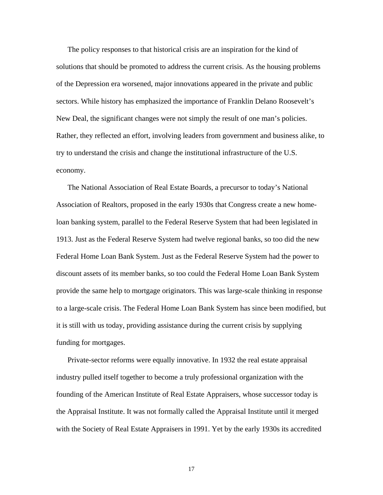The policy responses to that historical crisis are an inspiration for the kind of solutions that should be promoted to address the current crisis. As the housing problems of the Depression era worsened, major innovations appeared in the private and public sectors. While history has emphasized the importance of Franklin Delano Roosevelt's New Deal, the significant changes were not simply the result of one man's policies. Rather, they reflected an effort, involving leaders from government and business alike, to try to understand the crisis and change the institutional infrastructure of the U.S. economy.

The National Association of Real Estate Boards, a precursor to today's National Association of Realtors, proposed in the early 1930s that Congress create a new homeloan banking system, parallel to the Federal Reserve System that had been legislated in 1913. Just as the Federal Reserve System had twelve regional banks, so too did the new Federal Home Loan Bank System. Just as the Federal Reserve System had the power to discount assets of its member banks, so too could the Federal Home Loan Bank System provide the same help to mortgage originators. This was large-scale thinking in response to a large-scale crisis. The Federal Home Loan Bank System has since been modified, but it is still with us today, providing assistance during the current crisis by supplying funding for mortgages.

Private-sector reforms were equally innovative. In 1932 the real estate appraisal industry pulled itself together to become a truly professional organization with the founding of the American Institute of Real Estate Appraisers, whose successor today is the Appraisal Institute. It was not formally called the Appraisal Institute until it merged with the Society of Real Estate Appraisers in 1991. Yet by the early 1930s its accredited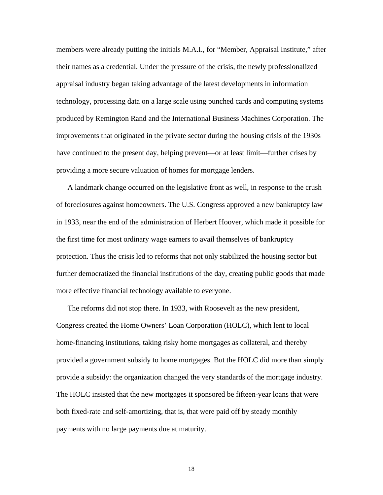members were already putting the initials M.A.I., for "Member, Appraisal Institute," after their names as a credential. Under the pressure of the crisis, the newly professionalized appraisal industry began taking advantage of the latest developments in information technology, processing data on a large scale using punched cards and computing systems produced by Remington Rand and the International Business Machines Corporation. The improvements that originated in the private sector during the housing crisis of the 1930s have continued to the present day, helping prevent—or at least limit—further crises by providing a more secure valuation of homes for mortgage lenders.

A landmark change occurred on the legislative front as well, in response to the crush of foreclosures against homeowners. The U.S. Congress approved a new bankruptcy law in 1933, near the end of the administration of Herbert Hoover, which made it possible for the first time for most ordinary wage earners to avail themselves of bankruptcy protection. Thus the crisis led to reforms that not only stabilized the housing sector but further democratized the financial institutions of the day, creating public goods that made more effective financial technology available to everyone.

The reforms did not stop there. In 1933, with Roosevelt as the new president, Congress created the Home Owners' Loan Corporation (HOLC), which lent to local home-financing institutions, taking risky home mortgages as collateral, and thereby provided a government subsidy to home mortgages. But the HOLC did more than simply provide a subsidy: the organization changed the very standards of the mortgage industry. The HOLC insisted that the new mortgages it sponsored be fifteen-year loans that were both fixed-rate and self-amortizing, that is, that were paid off by steady monthly payments with no large payments due at maturity.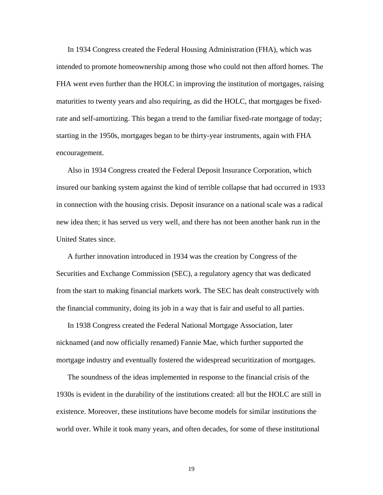In 1934 Congress created the Federal Housing Administration (FHA), which was intended to promote homeownership among those who could not then afford homes. The FHA went even further than the HOLC in improving the institution of mortgages, raising maturities to twenty years and also requiring, as did the HOLC, that mortgages be fixedrate and self-amortizing. This began a trend to the familiar fixed-rate mortgage of today; starting in the 1950s, mortgages began to be thirty-year instruments, again with FHA encouragement.

Also in 1934 Congress created the Federal Deposit Insurance Corporation, which insured our banking system against the kind of terrible collapse that had occurred in 1933 in connection with the housing crisis. Deposit insurance on a national scale was a radical new idea then; it has served us very well, and there has not been another bank run in the United States since.

A further innovation introduced in 1934 was the creation by Congress of the Securities and Exchange Commission (SEC), a regulatory agency that was dedicated from the start to making financial markets work. The SEC has dealt constructively with the financial community, doing its job in a way that is fair and useful to all parties.

In 1938 Congress created the Federal National Mortgage Association, later nicknamed (and now officially renamed) Fannie Mae, which further supported the mortgage industry and eventually fostered the widespread securitization of mortgages.

The soundness of the ideas implemented in response to the financial crisis of the 1930s is evident in the durability of the institutions created: all but the HOLC are still in existence. Moreover, these institutions have become models for similar institutions the world over. While it took many years, and often decades, for some of these institutional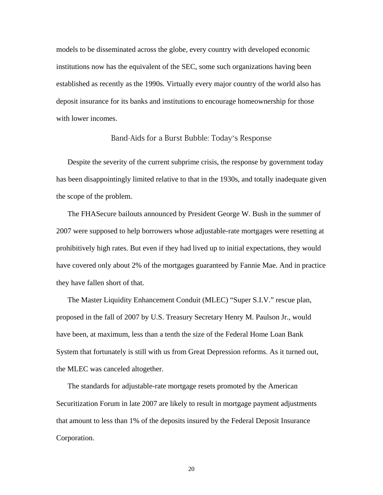models to be disseminated across the globe, every country with developed economic institutions now has the equivalent of the SEC, some such organizations having been established as recently as the 1990s. Virtually every major country of the world also has deposit insurance for its banks and institutions to encourage homeownership for those with lower incomes.

# Band-Aids for a Burst Bubble: Today's Response

Despite the severity of the current subprime crisis, the response by government today has been disappointingly limited relative to that in the 1930s, and totally inadequate given the scope of the problem.

The FHASecure bailouts announced by President George W. Bush in the summer of 2007 were supposed to help borrowers whose adjustable-rate mortgages were resetting at prohibitively high rates. But even if they had lived up to initial expectations, they would have covered only about 2% of the mortgages guaranteed by Fannie Mae. And in practice they have fallen short of that.

The Master Liquidity Enhancement Conduit (MLEC) "Super S.I.V." rescue plan, proposed in the fall of 2007 by U.S. Treasury Secretary Henry M. Paulson Jr., would have been, at maximum, less than a tenth the size of the Federal Home Loan Bank System that fortunately is still with us from Great Depression reforms. As it turned out, the MLEC was canceled altogether.

The standards for adjustable-rate mortgage resets promoted by the American Securitization Forum in late 2007 are likely to result in mortgage payment adjustments that amount to less than 1% of the deposits insured by the Federal Deposit Insurance Corporation.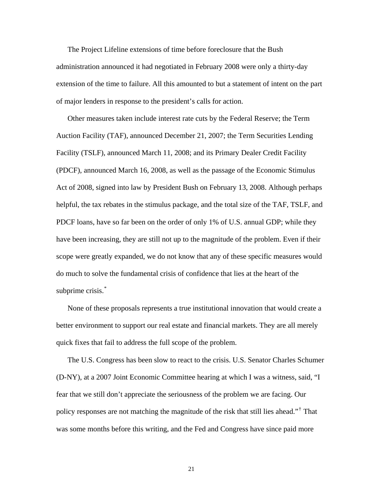The Project Lifeline extensions of time before foreclosure that the Bush administration announced it had negotiated in February 2008 were only a thirty-day extension of the time to failure. All this amounted to but a statement of intent on the part of major lenders in response to the president's calls for action.

Other measures taken include interest rate cuts by the Federal Reserve; the Term Auction Facility (TAF), announced December 21, 2007; the Term Securities Lending Facility (TSLF), announced March 11, 2008; and its Primary Dealer Credit Facility (PDCF), announced March 16, 2008, as well as the passage of the Economic Stimulus Act of 2008, signed into law by President Bush on February 13, 2008. Although perhaps helpful, the tax rebates in the stimulus package, and the total size of the TAF, TSLF, and PDCF loans, have so far been on the order of only 1% of U.S. annual GDP; while they have been increasing, they are still not up to the magnitude of the problem. Even if their scope were greatly expanded, we do not know that any of these specific measures would do much to solve the fundamental crisis of confidence that lies at the heart of the subprime crisis.<sup>[\\*](#page-134-0)</sup>

None of these proposals represents a true institutional innovation that would create a better environment to support our real estate and financial markets. They are all merely quick fixes that fail to address the full scope of the problem.

The U.S. Congress has been slow to react to the crisis. U.S. Senator Charles Schumer (D-NY), at a 2007 Joint Economic Committee hearing at which I was a witness, said, "I fear that we still don't appreciate the seriousness of the problem we are facing. Our policy responses are not matching the magnitude of the risk that still lies ahead."[†](#page-134-1) That was some months before this writing, and the Fed and Congress have since paid more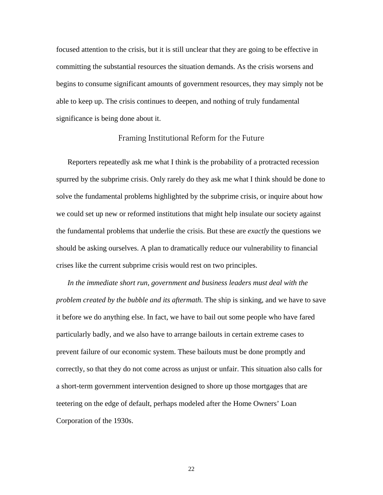focused attention to the crisis, but it is still unclear that they are going to be effective in committing the substantial resources the situation demands. As the crisis worsens and begins to consume significant amounts of government resources, they may simply not be able to keep up. The crisis continues to deepen, and nothing of truly fundamental significance is being done about it.

# Framing Institutional Reform for the Future

Reporters repeatedly ask me what I think is the probability of a protracted recession spurred by the subprime crisis. Only rarely do they ask me what I think should be done to solve the fundamental problems highlighted by the subprime crisis, or inquire about how we could set up new or reformed institutions that might help insulate our society against the fundamental problems that underlie the crisis. But these are *exactly* the questions we should be asking ourselves. A plan to dramatically reduce our vulnerability to financial crises like the current subprime crisis would rest on two principles.

*In the immediate short run, government and business leaders must deal with the problem created by the bubble and its aftermath.* The ship is sinking, and we have to save it before we do anything else. In fact, we have to bail out some people who have fared particularly badly, and we also have to arrange bailouts in certain extreme cases to prevent failure of our economic system. These bailouts must be done promptly and correctly, so that they do not come across as unjust or unfair. This situation also calls for a short-term government intervention designed to shore up those mortgages that are teetering on the edge of default, perhaps modeled after the Home Owners' Loan Corporation of the 1930s.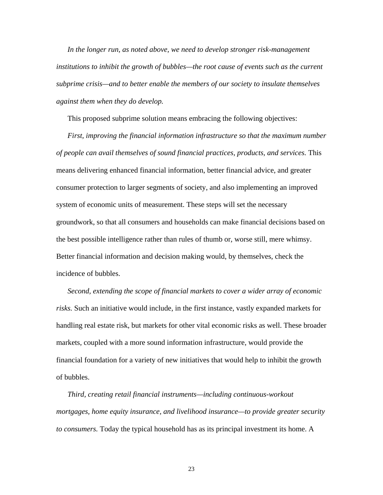*In the longer run, as noted above, we need to develop stronger risk-management institutions to inhibit the growth of bubbles—the root cause of events such as the current subprime crisis—and to better enable the members of our society to insulate themselves against them when they do develop.* 

This proposed subprime solution means embracing the following objectives:

*First, improving the financial information infrastructure so that the maximum number of people can avail themselves of sound financial practices, products, and services.* This means delivering enhanced financial information, better financial advice, and greater consumer protection to larger segments of society, and also implementing an improved system of economic units of measurement. These steps will set the necessary groundwork, so that all consumers and households can make financial decisions based on the best possible intelligence rather than rules of thumb or, worse still, mere whimsy. Better financial information and decision making would, by themselves, check the incidence of bubbles.

*Second, extending the scope of financial markets to cover a wider array of economic risks.* Such an initiative would include, in the first instance, vastly expanded markets for handling real estate risk, but markets for other vital economic risks as well. These broader markets, coupled with a more sound information infrastructure, would provide the financial foundation for a variety of new initiatives that would help to inhibit the growth of bubbles.

*Third, creating retail financial instruments—including continuous-workout mortgages, home equity insurance, and livelihood insurance—to provide greater security to consumers.* Today the typical household has as its principal investment its home. A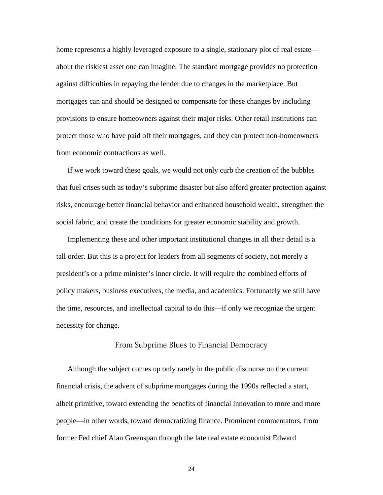home represents a highly leveraged exposure to a single, stationary plot of real estate about the riskiest asset one can imagine. The standard mortgage provides no protection against difficulties in repaying the lender due to changes in the marketplace. But mortgages can and should be designed to compensate for these changes by including provisions to ensure homeowners against their major risks. Other retail institutions can protect those who have paid off their mortgages, and they can protect non-homeowners from economic contractions as well.

If we work toward these goals, we would not only curb the creation of the bubbles that fuel crises such as today's subprime disaster but also afford greater protection against risks, encourage better financial behavior and enhanced household wealth, strengthen the social fabric, and create the conditions for greater economic stability and growth.

Implementing these and other important institutional changes in all their detail is a tall order. But this is a project for leaders from all segments of society, not merely a president's or a prime minister's inner circle. It will require the combined efforts of policy makers, business executives, the media, and academics. Fortunately we still have the time, resources, and intellectual capital to do this—if only we recognize the urgent necessity for change.

#### From Subprime Blues to Financial Democracy

Although the subject comes up only rarely in the public discourse on the current financial crisis, the advent of subprime mortgages during the 1990s reflected a start, albeit primitive, toward extending the benefits of financial innovation to more and more people—in other words, toward democratizing finance. Prominent commentators, from former Fed chief Alan Greenspan through the late real estate economist Edward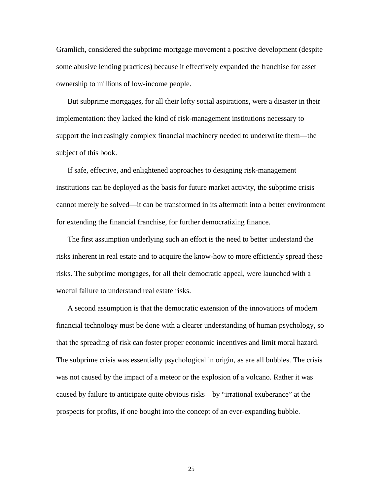Gramlich, considered the subprime mortgage movement a positive development (despite some abusive lending practices) because it effectively expanded the franchise for asset ownership to millions of low-income people.

But subprime mortgages, for all their lofty social aspirations, were a disaster in their implementation: they lacked the kind of risk-management institutions necessary to support the increasingly complex financial machinery needed to underwrite them—the subject of this book.

If safe, effective, and enlightened approaches to designing risk-management institutions can be deployed as the basis for future market activity, the subprime crisis cannot merely be solved—it can be transformed in its aftermath into a better environment for extending the financial franchise, for further democratizing finance.

The first assumption underlying such an effort is the need to better understand the risks inherent in real estate and to acquire the know-how to more efficiently spread these risks. The subprime mortgages, for all their democratic appeal, were launched with a woeful failure to understand real estate risks.

A second assumption is that the democratic extension of the innovations of modern financial technology must be done with a clearer understanding of human psychology, so that the spreading of risk can foster proper economic incentives and limit moral hazard. The subprime crisis was essentially psychological in origin, as are all bubbles. The crisis was not caused by the impact of a meteor or the explosion of a volcano. Rather it was caused by failure to anticipate quite obvious risks—by "irrational exuberance" at the prospects for profits, if one bought into the concept of an ever-expanding bubble.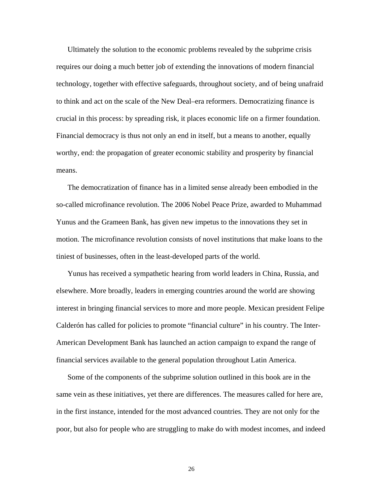Ultimately the solution to the economic problems revealed by the subprime crisis requires our doing a much better job of extending the innovations of modern financial technology, together with effective safeguards, throughout society, and of being unafraid to think and act on the scale of the New Deal–era reformers. Democratizing finance is crucial in this process: by spreading risk, it places economic life on a firmer foundation. Financial democracy is thus not only an end in itself, but a means to another, equally worthy, end: the propagation of greater economic stability and prosperity by financial means.

The democratization of finance has in a limited sense already been embodied in the so-called microfinance revolution. The 2006 Nobel Peace Prize, awarded to Muhammad Yunus and the Grameen Bank, has given new impetus to the innovations they set in motion. The microfinance revolution consists of novel institutions that make loans to the tiniest of businesses, often in the least-developed parts of the world.

Yunus has received a sympathetic hearing from world leaders in China, Russia, and elsewhere. More broadly, leaders in emerging countries around the world are showing interest in bringing financial services to more and more people. Mexican president Felipe Calderón has called for policies to promote "financial culture" in his country. The Inter-American Development Bank has launched an action campaign to expand the range of financial services available to the general population throughout Latin America.

Some of the components of the subprime solution outlined in this book are in the same vein as these initiatives, yet there are differences. The measures called for here are, in the first instance, intended for the most advanced countries. They are not only for the poor, but also for people who are struggling to make do with modest incomes, and indeed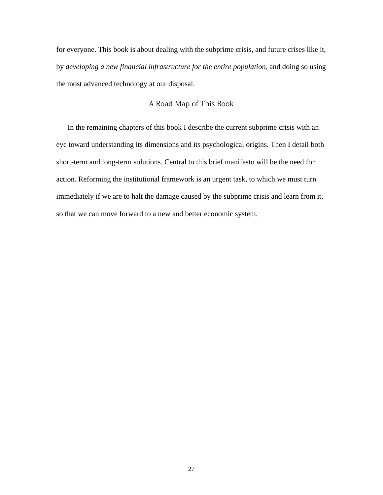for everyone. This book is about dealing with the subprime crisis, and future crises like it, by *developing a new financial infrastructure for the entire population,* and doing so using the most advanced technology at our disposal.

# A Road Map of This Book

In the remaining chapters of this book I describe the current subprime crisis with an eye toward understanding its dimensions and its psychological origins. Then I detail both short-term and long-term solutions. Central to this brief manifesto will be the need for action. Reforming the institutional framework is an urgent task, to which we must turn immediately if we are to halt the damage caused by the subprime crisis and learn from it, so that we can move forward to a new and better economic system.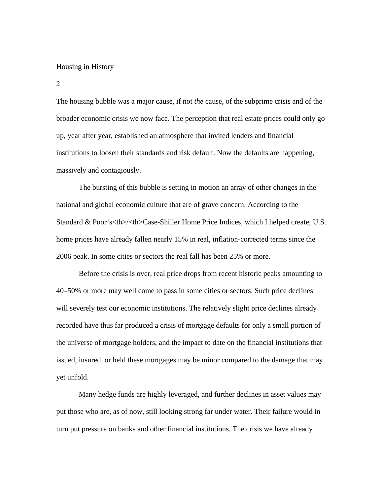#### Housing in History

 $\mathcal{L}$ 

The housing bubble was a major cause, if not *the* cause, of the subprime crisis and of the broader economic crisis we now face. The perception that real estate prices could only go up, year after year, established an atmosphere that invited lenders and financial institutions to loosen their standards and risk default. Now the defaults are happening, massively and contagiously.

The bursting of this bubble is setting in motion an array of other changes in the national and global economic culture that are of grave concern. According to the Standard & Poor's<th>/<th>Case-Shiller Home Price Indices, which I helped create, U.S. home prices have already fallen nearly 15% in real, inflation-corrected terms since the 2006 peak. In some cities or sectors the real fall has been 25% or more.

Before the crisis is over, real price drops from recent historic peaks amounting to 40–50% or more may well come to pass in some cities or sectors. Such price declines will severely test our economic institutions. The relatively slight price declines already recorded have thus far produced a crisis of mortgage defaults for only a small portion of the universe of mortgage holders, and the impact to date on the financial institutions that issued, insured, or held these mortgages may be minor compared to the damage that may yet unfold.

Many hedge funds are highly leveraged, and further declines in asset values may put those who are, as of now, still looking strong far under water. Their failure would in turn put pressure on banks and other financial institutions. The crisis we have already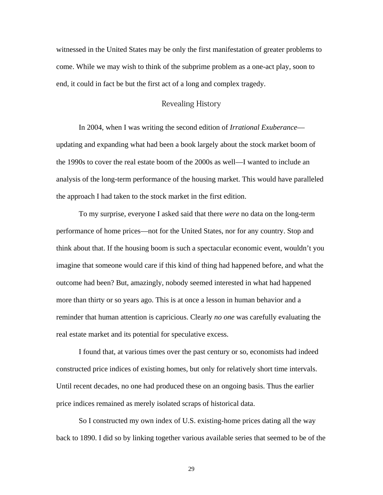witnessed in the United States may be only the first manifestation of greater problems to come. While we may wish to think of the subprime problem as a one-act play, soon to end, it could in fact be but the first act of a long and complex tragedy.

# Revealing History

In 2004, when I was writing the second edition of *Irrational Exuberance* updating and expanding what had been a book largely about the stock market boom of the 1990s to cover the real estate boom of the 2000s as well—I wanted to include an analysis of the long-term performance of the housing market. This would have paralleled the approach I had taken to the stock market in the first edition.

To my surprise, everyone I asked said that there *were* no data on the long-term performance of home prices—not for the United States, nor for any country. Stop and think about that. If the housing boom is such a spectacular economic event, wouldn't you imagine that someone would care if this kind of thing had happened before, and what the outcome had been? But, amazingly, nobody seemed interested in what had happened more than thirty or so years ago. This is at once a lesson in human behavior and a reminder that human attention is capricious. Clearly *no one* was carefully evaluating the real estate market and its potential for speculative excess.

I found that, at various times over the past century or so, economists had indeed constructed price indices of existing homes, but only for relatively short time intervals. Until recent decades, no one had produced these on an ongoing basis. Thus the earlier price indices remained as merely isolated scraps of historical data.

So I constructed my own index of U.S. existing-home prices dating all the way back to 1890. I did so by linking together various available series that seemed to be of the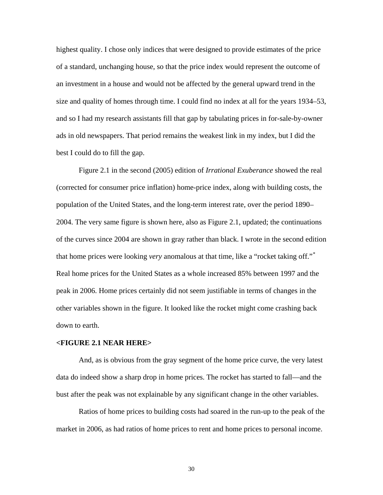highest quality. I chose only indices that were designed to provide estimates of the price of a standard, unchanging house, so that the price index would represent the outcome of an investment in a house and would not be affected by the general upward trend in the size and quality of homes through time. I could find no index at all for the years 1934–53, and so I had my research assistants fill that gap by tabulating prices in for-sale-by-owner ads in old newspapers. That period remains the weakest link in my index, but I did the best I could do to fill the gap.

Figure 2.1 in the second (2005) edition of *Irrational Exuberance* showed the real (corrected for consumer price inflation) home-price index, along with building costs, the population of the United States, and the long-term interest rate, over the period 1890– 2004. The very same figure is shown here, also as Figure 2.1, updated; the continuations of the curves since 2004 are shown in gray rather than black. I wrote in the second edition that home prices were looking *very* anomalous at that time, like a "rocket taking off."[\\*](#page-134-1) Real home prices for the United States as a whole increased 85% between 1997 and the peak in 2006. Home prices certainly did not seem justifiable in terms of changes in the other variables shown in the figure. It looked like the rocket might come crashing back down to earth.

### **<FIGURE 2.1 NEAR HERE>**

And, as is obvious from the gray segment of the home price curve, the very latest data do indeed show a sharp drop in home prices. The rocket has started to fall—and the bust after the peak was not explainable by any significant change in the other variables.

Ratios of home prices to building costs had soared in the run-up to the peak of the market in 2006, as had ratios of home prices to rent and home prices to personal income.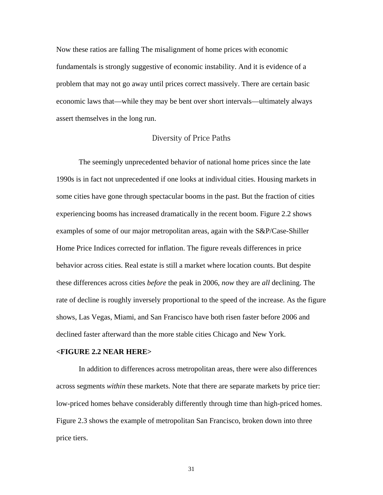Now these ratios are falling The misalignment of home prices with economic fundamentals is strongly suggestive of economic instability. And it is evidence of a problem that may not go away until prices correct massively. There are certain basic economic laws that—while they may be bent over short intervals—ultimately always assert themselves in the long run.

# Diversity of Price Paths

The seemingly unprecedented behavior of national home prices since the late 1990s is in fact not unprecedented if one looks at individual cities. Housing markets in some cities have gone through spectacular booms in the past. But the fraction of cities experiencing booms has increased dramatically in the recent boom. Figure 2.2 shows examples of some of our major metropolitan areas, again with the S&P/Case-Shiller Home Price Indices corrected for inflation. The figure reveals differences in price behavior across cities. Real estate is still a market where location counts. But despite these differences across cities *before* the peak in 2006, *now* they are *all* declining. The rate of decline is roughly inversely proportional to the speed of the increase. As the figure shows, Las Vegas, Miami, and San Francisco have both risen faster before 2006 and declined faster afterward than the more stable cities Chicago and New York.

#### **<FIGURE 2.2 NEAR HERE>**

In addition to differences across metropolitan areas, there were also differences across segments *within* these markets. Note that there are separate markets by price tier: low-priced homes behave considerably differently through time than high-priced homes. Figure 2.3 shows the example of metropolitan San Francisco, broken down into three price tiers.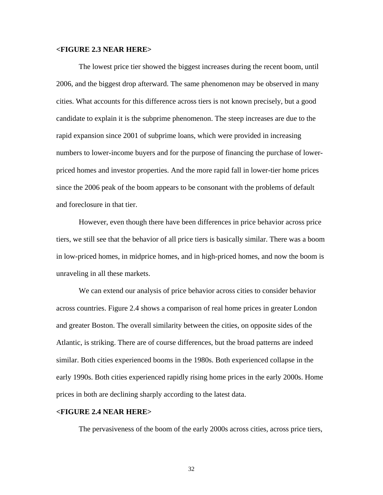#### **<FIGURE 2.3 NEAR HERE>**

The lowest price tier showed the biggest increases during the recent boom, until 2006, and the biggest drop afterward. The same phenomenon may be observed in many cities. What accounts for this difference across tiers is not known precisely, but a good candidate to explain it is the subprime phenomenon. The steep increases are due to the rapid expansion since 2001 of subprime loans, which were provided in increasing numbers to lower-income buyers and for the purpose of financing the purchase of lowerpriced homes and investor properties. And the more rapid fall in lower-tier home prices since the 2006 peak of the boom appears to be consonant with the problems of default and foreclosure in that tier.

However, even though there have been differences in price behavior across price tiers, we still see that the behavior of all price tiers is basically similar. There was a boom in low-priced homes, in midprice homes, and in high-priced homes, and now the boom is unraveling in all these markets.

We can extend our analysis of price behavior across cities to consider behavior across countries. Figure 2.4 shows a comparison of real home prices in greater London and greater Boston. The overall similarity between the cities, on opposite sides of the Atlantic, is striking. There are of course differences, but the broad patterns are indeed similar. Both cities experienced booms in the 1980s. Both experienced collapse in the early 1990s. Both cities experienced rapidly rising home prices in the early 2000s. Home prices in both are declining sharply according to the latest data.

#### **<FIGURE 2.4 NEAR HERE>**

The pervasiveness of the boom of the early 2000s across cities, across price tiers,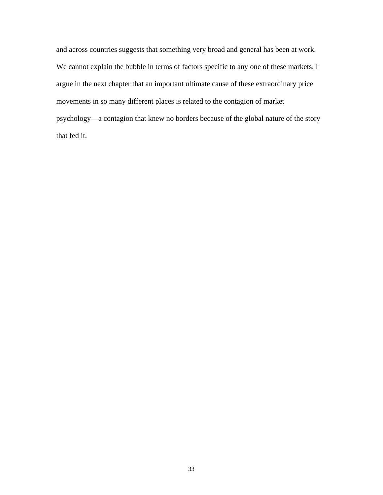and across countries suggests that something very broad and general has been at work. We cannot explain the bubble in terms of factors specific to any one of these markets. I argue in the next chapter that an important ultimate cause of these extraordinary price movements in so many different places is related to the contagion of market psychology—a contagion that knew no borders because of the global nature of the story that fed it.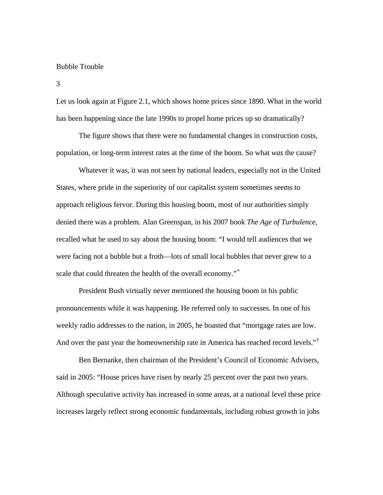#### Bubble Trouble

3

Let us look again at Figure 2.1, which shows home prices since 1890. What in the world has been happening since the late 1990s to propel home prices up so dramatically?

The figure shows that there were no fundamental changes in construction costs, population, or long-term interest rates at the time of the boom. So what *was* the cause?

Whatever it was, it was not seen by national leaders, especially not in the United States, where pride in the superiority of our capitalist system sometimes seems to approach religious fervor. During this housing boom, most of our authorities simply denied there was a problem. Alan Greenspan, in his 2007 book *The Age of Turbulence,* recalled what he used to say about the housing boom: "I would tell audiences that we were facing not a bubble but a froth—lots of small local bubbles that never grew to a scale that could threaten the health of the overall economy."[\\*](#page-134-1)

President Bush virtually never mentioned the housing boom in his public pronouncements while it was happening. He referred only to successes. In one of his weekly radio addresses to the nation, in 2005, he boasted that "mortgage rates are low. And over the past year the homeownership rate in America has reached record levels."[†](#page-134-1)

Ben Bernanke, then chairman of the President's Council of Economic Advisers, said in 2005: "House prices have risen by nearly 25 percent over the past two years. Although speculative activity has increased in some areas, at a national level these price increases largely reflect strong economic fundamentals, including robust growth in jobs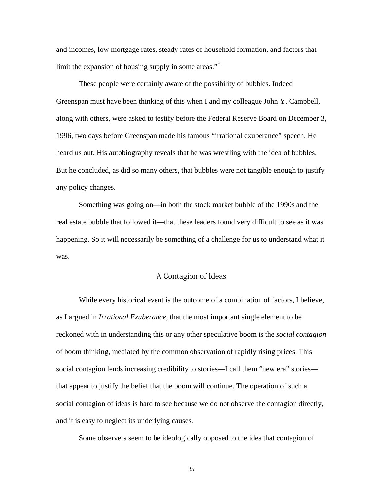and incomes, low mortgage rates, steady rates of household formation, and factors that limit the expansion of housing supply in some areas."[‡](#page-134-1)

These people were certainly aware of the possibility of bubbles. Indeed Greenspan must have been thinking of this when I and my colleague John Y. Campbell, along with others, were asked to testify before the Federal Reserve Board on December 3, 1996, two days before Greenspan made his famous "irrational exuberance" speech. He heard us out. His autobiography reveals that he was wrestling with the idea of bubbles. But he concluded, as did so many others, that bubbles were not tangible enough to justify any policy changes.

Something was going on—in both the stock market bubble of the 1990s and the real estate bubble that followed it—that these leaders found very difficult to see as it was happening. So it will necessarily be something of a challenge for us to understand what it was.

# A Contagion of Ideas

While every historical event is the outcome of a combination of factors, I believe, as I argued in *Irrational Exuberance,* that the most important single element to be reckoned with in understanding this or any other speculative boom is the *social contagion* of boom thinking, mediated by the common observation of rapidly rising prices. This social contagion lends increasing credibility to stories—I call them "new era" stories that appear to justify the belief that the boom will continue. The operation of such a social contagion of ideas is hard to see because we do not observe the contagion directly, and it is easy to neglect its underlying causes.

Some observers seem to be ideologically opposed to the idea that contagion of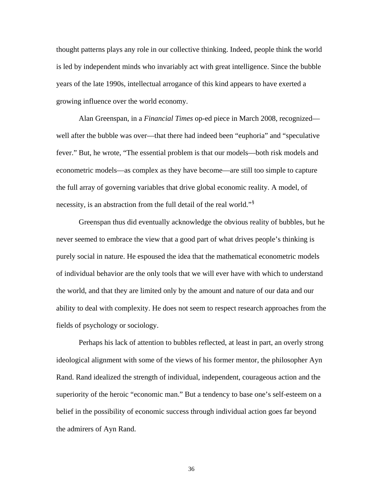thought patterns plays any role in our collective thinking. Indeed, people think the world is led by independent minds who invariably act with great intelligence. Since the bubble years of the late 1990s, intellectual arrogance of this kind appears to have exerted a growing influence over the world economy.

Alan Greenspan, in a *Financial Times* op-ed piece in March 2008, recognized well after the bubble was over—that there had indeed been "euphoria" and "speculative fever." But, he wrote, "The essential problem is that our models—both risk models and econometric models—as complex as they have become—are still too simple to capture the full array of governing variables that drive global economic reality. A model, of necessity, is an abstraction from the full detail of the real world."<sup>[§](#page-134-0)</sup>

Greenspan thus did eventually acknowledge the obvious reality of bubbles, but he never seemed to embrace the view that a good part of what drives people's thinking is purely social in nature. He espoused the idea that the mathematical econometric models of individual behavior are the only tools that we will ever have with which to understand the world, and that they are limited only by the amount and nature of our data and our ability to deal with complexity. He does not seem to respect research approaches from the fields of psychology or sociology.

Perhaps his lack of attention to bubbles reflected, at least in part, an overly strong ideological alignment with some of the views of his former mentor, the philosopher Ayn Rand. Rand idealized the strength of individual, independent, courageous action and the superiority of the heroic "economic man." But a tendency to base one's self-esteem on a belief in the possibility of economic success through individual action goes far beyond the admirers of Ayn Rand.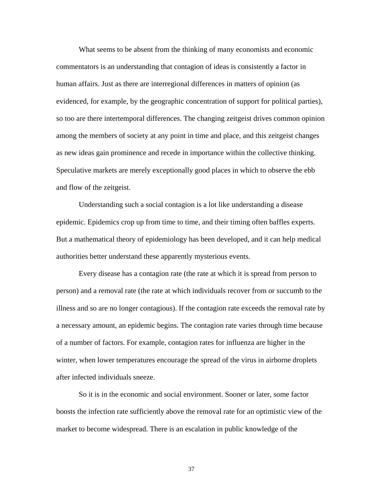What seems to be absent from the thinking of many economists and economic commentators is an understanding that contagion of ideas is consistently a factor in human affairs. Just as there are interregional differences in matters of opinion (as evidenced, for example, by the geographic concentration of support for political parties), so too are there intertemporal differences. The changing zeitgeist drives common opinion among the members of society at any point in time and place, and this zeitgeist changes as new ideas gain prominence and recede in importance within the collective thinking. Speculative markets are merely exceptionally good places in which to observe the ebb and flow of the zeitgeist.

Understanding such a social contagion is a lot like understanding a disease epidemic. Epidemics crop up from time to time, and their timing often baffles experts. But a mathematical theory of epidemiology has been developed, and it can help medical authorities better understand these apparently mysterious events.

Every disease has a contagion rate (the rate at which it is spread from person to person) and a removal rate (the rate at which individuals recover from or succumb to the illness and so are no longer contagious). If the contagion rate exceeds the removal rate by a necessary amount, an epidemic begins. The contagion rate varies through time because of a number of factors. For example, contagion rates for influenza are higher in the winter, when lower temperatures encourage the spread of the virus in airborne droplets after infected individuals sneeze.

So it is in the economic and social environment. Sooner or later, some factor boosts the infection rate sufficiently above the removal rate for an optimistic view of the market to become widespread. There is an escalation in public knowledge of the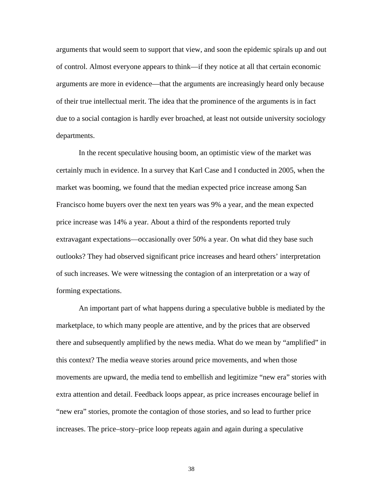arguments that would seem to support that view, and soon the epidemic spirals up and out of control. Almost everyone appears to think—if they notice at all that certain economic arguments are more in evidence—that the arguments are increasingly heard only because of their true intellectual merit. The idea that the prominence of the arguments is in fact due to a social contagion is hardly ever broached, at least not outside university sociology departments.

In the recent speculative housing boom, an optimistic view of the market was certainly much in evidence. In a survey that Karl Case and I conducted in 2005, when the market was booming, we found that the median expected price increase among San Francisco home buyers over the next ten years was 9% a year, and the mean expected price increase was 14% a year. About a third of the respondents reported truly extravagant expectations—occasionally over 50% a year. On what did they base such outlooks? They had observed significant price increases and heard others' interpretation of such increases. We were witnessing the contagion of an interpretation or a way of forming expectations.

An important part of what happens during a speculative bubble is mediated by the marketplace, to which many people are attentive, and by the prices that are observed there and subsequently amplified by the news media. What do we mean by "amplified" in this context? The media weave stories around price movements, and when those movements are upward, the media tend to embellish and legitimize "new era" stories with extra attention and detail. Feedback loops appear, as price increases encourage belief in "new era" stories, promote the contagion of those stories, and so lead to further price increases. The price–story–price loop repeats again and again during a speculative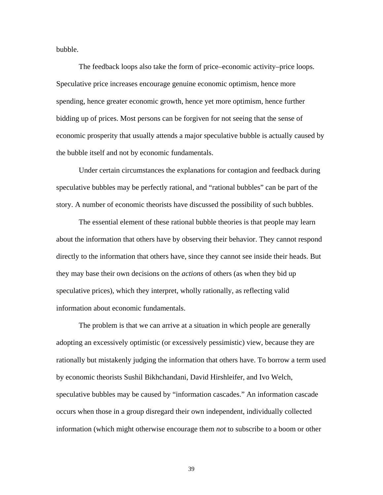bubble.

The feedback loops also take the form of price–economic activity–price loops. Speculative price increases encourage genuine economic optimism, hence more spending, hence greater economic growth, hence yet more optimism, hence further bidding up of prices. Most persons can be forgiven for not seeing that the sense of economic prosperity that usually attends a major speculative bubble is actually caused by the bubble itself and not by economic fundamentals.

Under certain circumstances the explanations for contagion and feedback during speculative bubbles may be perfectly rational, and "rational bubbles" can be part of the story. A number of economic theorists have discussed the possibility of such bubbles.

The essential element of these rational bubble theories is that people may learn about the information that others have by observing their behavior. They cannot respond directly to the information that others have, since they cannot see inside their heads. But they may base their own decisions on the *actions* of others (as when they bid up speculative prices), which they interpret, wholly rationally, as reflecting valid information about economic fundamentals.

The problem is that we can arrive at a situation in which people are generally adopting an excessively optimistic (or excessively pessimistic) view, because they are rationally but mistakenly judging the information that others have. To borrow a term used by economic theorists Sushil Bikhchandani, David Hirshleifer, and Ivo Welch, speculative bubbles may be caused by "information cascades." An information cascade occurs when those in a group disregard their own independent, individually collected information (which might otherwise encourage them *not* to subscribe to a boom or other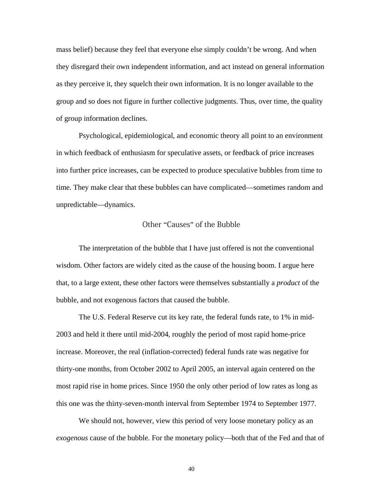mass belief) because they feel that everyone else simply couldn't be wrong. And when they disregard their own independent information, and act instead on general information as they perceive it, they squelch their own information. It is no longer available to the group and so does not figure in further collective judgments. Thus, over time, the quality of group information declines.

Psychological, epidemiological, and economic theory all point to an environment in which feedback of enthusiasm for speculative assets, or feedback of price increases into further price increases, can be expected to produce speculative bubbles from time to time. They make clear that these bubbles can have complicated—sometimes random and unpredictable—dynamics.

# Other "Causes" of the Bubble

The interpretation of the bubble that I have just offered is not the conventional wisdom. Other factors are widely cited as the cause of the housing boom. I argue here that, to a large extent, these other factors were themselves substantially a *product* of the bubble, and not exogenous factors that caused the bubble.

The U.S. Federal Reserve cut its key rate, the federal funds rate, to 1% in mid-2003 and held it there until mid-2004, roughly the period of most rapid home-price increase. Moreover, the real (inflation-corrected) federal funds rate was negative for thirty-one months, from October 2002 to April 2005, an interval again centered on the most rapid rise in home prices. Since 1950 the only other period of low rates as long as this one was the thirty-seven-month interval from September 1974 to September 1977.

We should not, however, view this period of very loose monetary policy as an *exogenous* cause of the bubble. For the monetary policy—both that of the Fed and that of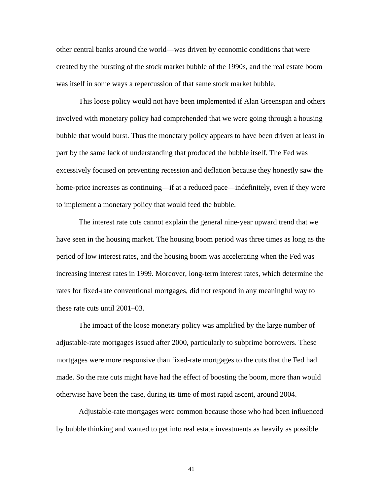other central banks around the world—was driven by economic conditions that were created by the bursting of the stock market bubble of the 1990s, and the real estate boom was itself in some ways a repercussion of that same stock market bubble.

This loose policy would not have been implemented if Alan Greenspan and others involved with monetary policy had comprehended that we were going through a housing bubble that would burst. Thus the monetary policy appears to have been driven at least in part by the same lack of understanding that produced the bubble itself. The Fed was excessively focused on preventing recession and deflation because they honestly saw the home-price increases as continuing—if at a reduced pace—indefinitely, even if they were to implement a monetary policy that would feed the bubble.

The interest rate cuts cannot explain the general nine-year upward trend that we have seen in the housing market. The housing boom period was three times as long as the period of low interest rates, and the housing boom was accelerating when the Fed was increasing interest rates in 1999. Moreover, long-term interest rates, which determine the rates for fixed-rate conventional mortgages, did not respond in any meaningful way to these rate cuts until 2001–03.

The impact of the loose monetary policy was amplified by the large number of adjustable-rate mortgages issued after 2000, particularly to subprime borrowers. These mortgages were more responsive than fixed-rate mortgages to the cuts that the Fed had made. So the rate cuts might have had the effect of boosting the boom, more than would otherwise have been the case, during its time of most rapid ascent, around 2004.

Adjustable-rate mortgages were common because those who had been influenced by bubble thinking and wanted to get into real estate investments as heavily as possible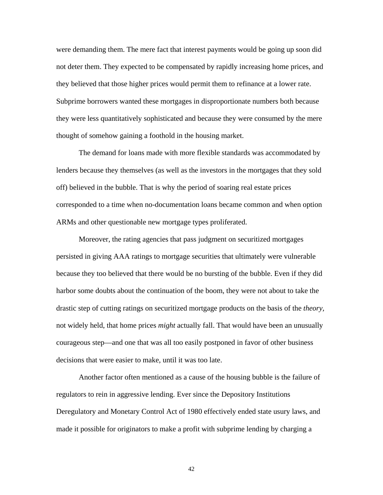were demanding them. The mere fact that interest payments would be going up soon did not deter them. They expected to be compensated by rapidly increasing home prices, and they believed that those higher prices would permit them to refinance at a lower rate. Subprime borrowers wanted these mortgages in disproportionate numbers both because they were less quantitatively sophisticated and because they were consumed by the mere thought of somehow gaining a foothold in the housing market.

The demand for loans made with more flexible standards was accommodated by lenders because they themselves (as well as the investors in the mortgages that they sold off) believed in the bubble. That is why the period of soaring real estate prices corresponded to a time when no-documentation loans became common and when option ARMs and other questionable new mortgage types proliferated.

Moreover, the rating agencies that pass judgment on securitized mortgages persisted in giving AAA ratings to mortgage securities that ultimately were vulnerable because they too believed that there would be no bursting of the bubble. Even if they did harbor some doubts about the continuation of the boom, they were not about to take the drastic step of cutting ratings on securitized mortgage products on the basis of the *theory,* not widely held, that home prices *might* actually fall. That would have been an unusually courageous step—and one that was all too easily postponed in favor of other business decisions that were easier to make, until it was too late.

Another factor often mentioned as a cause of the housing bubble is the failure of regulators to rein in aggressive lending. Ever since the Depository Institutions Deregulatory and Monetary Control Act of 1980 effectively ended state usury laws, and made it possible for originators to make a profit with subprime lending by charging a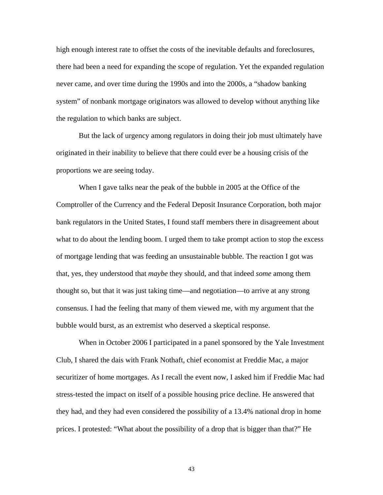high enough interest rate to offset the costs of the inevitable defaults and foreclosures, there had been a need for expanding the scope of regulation. Yet the expanded regulation never came, and over time during the 1990s and into the 2000s, a "shadow banking system" of nonbank mortgage originators was allowed to develop without anything like the regulation to which banks are subject.

But the lack of urgency among regulators in doing their job must ultimately have originated in their inability to believe that there could ever be a housing crisis of the proportions we are seeing today.

When I gave talks near the peak of the bubble in 2005 at the Office of the Comptroller of the Currency and the Federal Deposit Insurance Corporation, both major bank regulators in the United States, I found staff members there in disagreement about what to do about the lending boom. I urged them to take prompt action to stop the excess of mortgage lending that was feeding an unsustainable bubble. The reaction I got was that, yes, they understood that *maybe* they should, and that indeed *some* among them thought so, but that it was just taking time—and negotiation—to arrive at any strong consensus. I had the feeling that many of them viewed me, with my argument that the bubble would burst, as an extremist who deserved a skeptical response.

When in October 2006 I participated in a panel sponsored by the Yale Investment Club, I shared the dais with Frank Nothaft, chief economist at Freddie Mac, a major securitizer of home mortgages. As I recall the event now, I asked him if Freddie Mac had stress-tested the impact on itself of a possible housing price decline. He answered that they had, and they had even considered the possibility of a 13.4% national drop in home prices. I protested: "What about the possibility of a drop that is bigger than that?" He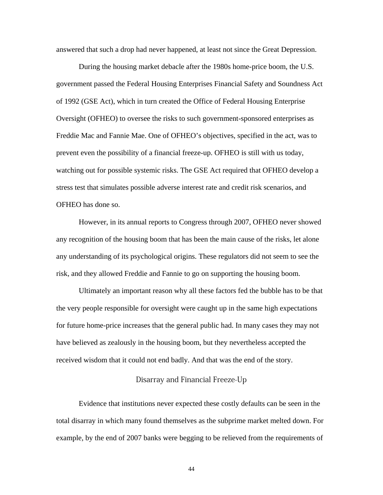answered that such a drop had never happened, at least not since the Great Depression.

During the housing market debacle after the 1980s home-price boom, the U.S. government passed the Federal Housing Enterprises Financial Safety and Soundness Act of 1992 (GSE Act), which in turn created the Office of Federal Housing Enterprise Oversight (OFHEO) to oversee the risks to such government-sponsored enterprises as Freddie Mac and Fannie Mae. One of OFHEO's objectives, specified in the act, was to prevent even the possibility of a financial freeze-up. OFHEO is still with us today, watching out for possible systemic risks. The GSE Act required that OFHEO develop a stress test that simulates possible adverse interest rate and credit risk scenarios, and OFHEO has done so.

However, in its annual reports to Congress through 2007, OFHEO never showed any recognition of the housing boom that has been the main cause of the risks, let alone any understanding of its psychological origins. These regulators did not seem to see the risk, and they allowed Freddie and Fannie to go on supporting the housing boom.

Ultimately an important reason why all these factors fed the bubble has to be that the very people responsible for oversight were caught up in the same high expectations for future home-price increases that the general public had. In many cases they may not have believed as zealously in the housing boom, but they nevertheless accepted the received wisdom that it could not end badly. And that was the end of the story.

### Disarray and Financial Freeze-Up

Evidence that institutions never expected these costly defaults can be seen in the total disarray in which many found themselves as the subprime market melted down. For example, by the end of 2007 banks were begging to be relieved from the requirements of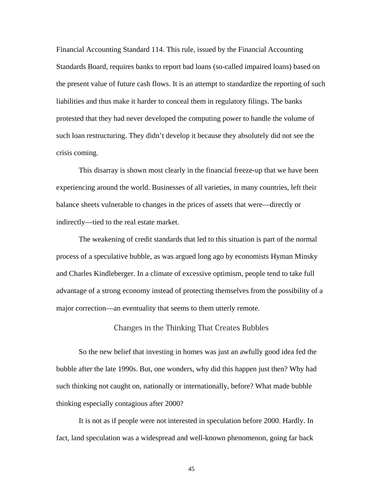Financial Accounting Standard 114. This rule, issued by the Financial Accounting Standards Board, requires banks to report bad loans (so-called impaired loans) based on the present value of future cash flows. It is an attempt to standardize the reporting of such liabilities and thus make it harder to conceal them in regulatory filings. The banks protested that they had never developed the computing power to handle the volume of such loan restructuring. They didn't develop it because they absolutely did not see the crisis coming.

This disarray is shown most clearly in the financial freeze-up that we have been experiencing around the world. Businesses of all varieties, in many countries, left their balance sheets vulnerable to changes in the prices of assets that were—directly or indirectly—tied to the real estate market.

The weakening of credit standards that led to this situation is part of the normal process of a speculative bubble, as was argued long ago by economists Hyman Minsky and Charles Kindleberger. In a climate of excessive optimism, people tend to take full advantage of a strong economy instead of protecting themselves from the possibility of a major correction—an eventuality that seems to them utterly remote.

## Changes in the Thinking That Creates Bubbles

So the new belief that investing in homes was just an awfully good idea fed the bubble after the late 1990s. But, one wonders, why did this happen just then? Why had such thinking not caught on, nationally or internationally, before? What made bubble thinking especially contagious after 2000?

It is not as if people were not interested in speculation before 2000. Hardly. In fact, land speculation was a widespread and well-known phenomenon, going far back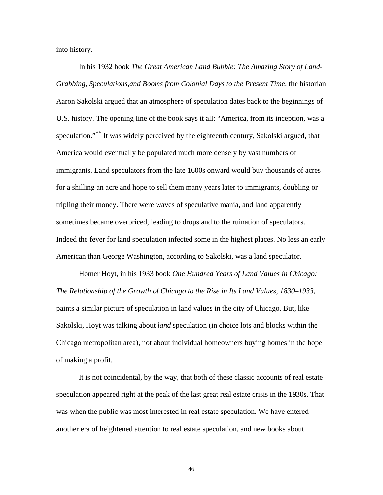into history.

In his 1932 book *The Great American Land Bubble: The Amazing Story of Land-Grabbing, Speculations,and Booms from Colonial Days to the Present Time,* the historian Aaron Sakolski argued that an atmosphere of speculation dates back to the beginnings of U.S. history. The opening line of the book says it all: "America, from its inception, was a speculation."<sup>[\\*\\*](#page-134-0)</sup> It was widely perceived by the eighteenth century, Sakolski argued, that America would eventually be populated much more densely by vast numbers of immigrants. Land speculators from the late 1600s onward would buy thousands of acres for a shilling an acre and hope to sell them many years later to immigrants, doubling or tripling their money. There were waves of speculative mania, and land apparently sometimes became overpriced, leading to drops and to the ruination of speculators. Indeed the fever for land speculation infected some in the highest places. No less an early American than George Washington, according to Sakolski, was a land speculator.

Homer Hoyt, in his 1933 book *One Hundred Years of Land Values in Chicago: The Relationship of the Growth of Chicago to the Rise in Its Land Values, 1830–1933,* paints a similar picture of speculation in land values in the city of Chicago. But, like Sakolski, Hoyt was talking about *land* speculation (in choice lots and blocks within the Chicago metropolitan area), not about individual homeowners buying homes in the hope of making a profit.

It is not coincidental, by the way, that both of these classic accounts of real estate speculation appeared right at the peak of the last great real estate crisis in the 1930s. That was when the public was most interested in real estate speculation. We have entered another era of heightened attention to real estate speculation, and new books about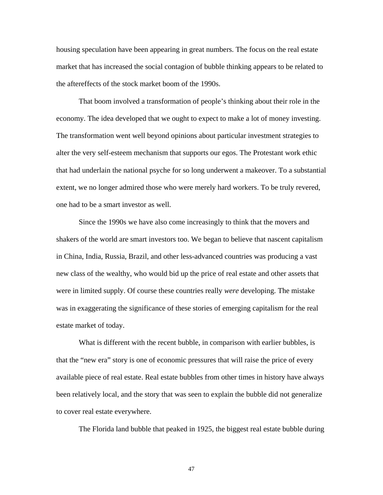housing speculation have been appearing in great numbers. The focus on the real estate market that has increased the social contagion of bubble thinking appears to be related to the aftereffects of the stock market boom of the 1990s.

That boom involved a transformation of people's thinking about their role in the economy. The idea developed that we ought to expect to make a lot of money investing. The transformation went well beyond opinions about particular investment strategies to alter the very self-esteem mechanism that supports our egos. The Protestant work ethic that had underlain the national psyche for so long underwent a makeover. To a substantial extent, we no longer admired those who were merely hard workers. To be truly revered, one had to be a smart investor as well.

Since the 1990s we have also come increasingly to think that the movers and shakers of the world are smart investors too. We began to believe that nascent capitalism in China, India, Russia, Brazil, and other less-advanced countries was producing a vast new class of the wealthy, who would bid up the price of real estate and other assets that were in limited supply. Of course these countries really *were* developing. The mistake was in exaggerating the significance of these stories of emerging capitalism for the real estate market of today.

What is different with the recent bubble, in comparison with earlier bubbles, is that the "new era" story is one of economic pressures that will raise the price of every available piece of real estate. Real estate bubbles from other times in history have always been relatively local, and the story that was seen to explain the bubble did not generalize to cover real estate everywhere.

The Florida land bubble that peaked in 1925, the biggest real estate bubble during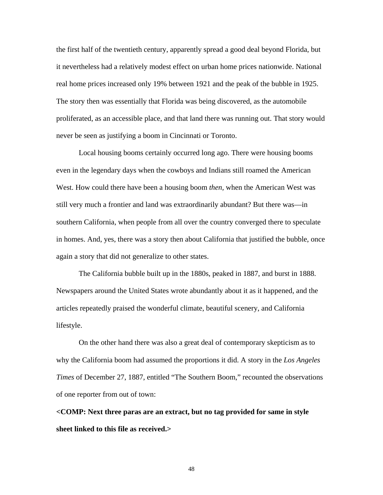the first half of the twentieth century, apparently spread a good deal beyond Florida, but it nevertheless had a relatively modest effect on urban home prices nationwide. National real home prices increased only 19% between 1921 and the peak of the bubble in 1925. The story then was essentially that Florida was being discovered, as the automobile proliferated, as an accessible place, and that land there was running out. That story would never be seen as justifying a boom in Cincinnati or Toronto.

Local housing booms certainly occurred long ago. There were housing booms even in the legendary days when the cowboys and Indians still roamed the American West. How could there have been a housing boom *then,* when the American West was still very much a frontier and land was extraordinarily abundant? But there was—in southern California, when people from all over the country converged there to speculate in homes. And, yes, there was a story then about California that justified the bubble, once again a story that did not generalize to other states.

The California bubble built up in the 1880s, peaked in 1887, and burst in 1888. Newspapers around the United States wrote abundantly about it as it happened, and the articles repeatedly praised the wonderful climate, beautiful scenery, and California lifestyle.

On the other hand there was also a great deal of contemporary skepticism as to why the California boom had assumed the proportions it did. A story in the *Los Angeles Times* of December 27, 1887, entitled "The Southern Boom," recounted the observations of one reporter from out of town:

**<COMP: Next three paras are an extract, but no tag provided for same in style sheet linked to this file as received.>**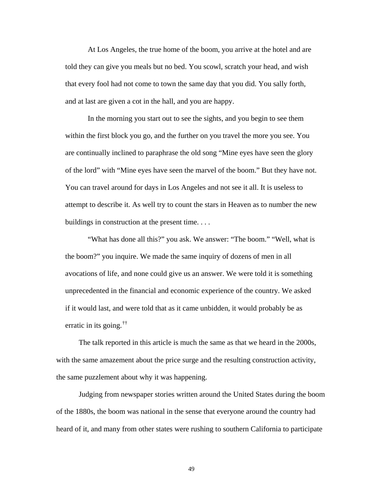At Los Angeles, the true home of the boom, you arrive at the hotel and are told they can give you meals but no bed. You scowl, scratch your head, and wish that every fool had not come to town the same day that you did. You sally forth, and at last are given a cot in the hall, and you are happy.

In the morning you start out to see the sights, and you begin to see them within the first block you go, and the further on you travel the more you see. You are continually inclined to paraphrase the old song "Mine eyes have seen the glory of the lord" with "Mine eyes have seen the marvel of the boom." But they have not. You can travel around for days in Los Angeles and not see it all. It is useless to attempt to describe it. As well try to count the stars in Heaven as to number the new buildings in construction at the present time. . . .

"What has done all this?" you ask. We answer: "The boom." "Well, what is the boom?" you inquire. We made the same inquiry of dozens of men in all avocations of life, and none could give us an answer. We were told it is something unprecedented in the financial and economic experience of the country. We asked if it would last, and were told that as it came unbidden, it would probably be as erratic in its going.<sup>[††](#page-135-0)</sup>

The talk reported in this article is much the same as that we heard in the 2000s, with the same amazement about the price surge and the resulting construction activity, the same puzzlement about why it was happening.

Judging from newspaper stories written around the United States during the boom of the 1880s, the boom was national in the sense that everyone around the country had heard of it, and many from other states were rushing to southern California to participate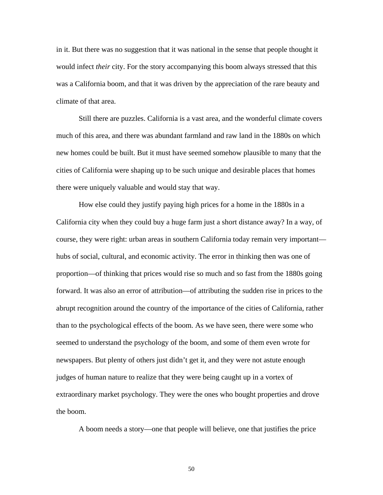in it. But there was no suggestion that it was national in the sense that people thought it would infect *their* city. For the story accompanying this boom always stressed that this was a California boom, and that it was driven by the appreciation of the rare beauty and climate of that area.

Still there are puzzles. California is a vast area, and the wonderful climate covers much of this area, and there was abundant farmland and raw land in the 1880s on which new homes could be built. But it must have seemed somehow plausible to many that the cities of California were shaping up to be such unique and desirable places that homes there were uniquely valuable and would stay that way.

How else could they justify paying high prices for a home in the 1880s in a California city when they could buy a huge farm just a short distance away? In a way, of course, they were right: urban areas in southern California today remain very important hubs of social, cultural, and economic activity. The error in thinking then was one of proportion—of thinking that prices would rise so much and so fast from the 1880s going forward. It was also an error of attribution—of attributing the sudden rise in prices to the abrupt recognition around the country of the importance of the cities of California, rather than to the psychological effects of the boom. As we have seen, there were some who seemed to understand the psychology of the boom, and some of them even wrote for newspapers. But plenty of others just didn't get it, and they were not astute enough judges of human nature to realize that they were being caught up in a vortex of extraordinary market psychology. They were the ones who bought properties and drove the boom.

A boom needs a story—one that people will believe, one that justifies the price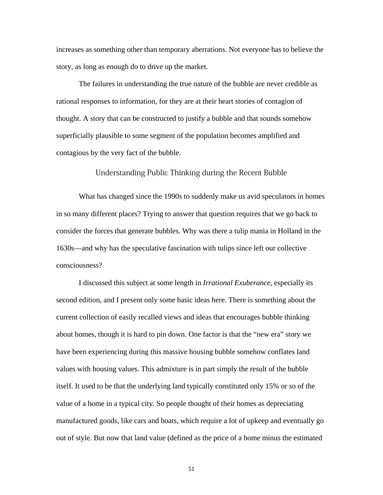increases as something other than temporary aberrations. Not everyone has to believe the story, as long as enough do to drive up the market.

The failures in understanding the true nature of the bubble are never credible as rational responses to information, for they are at their heart stories of contagion of thought. A story that can be constructed to justify a bubble and that sounds somehow superficially plausible to some segment of the population becomes amplified and contagious by the very fact of the bubble.

Understanding Public Thinking during the Recent Bubble

What has changed since the 1990s to suddenly make us avid speculators in homes in so many different places? Trying to answer that question requires that we go back to consider the forces that generate bubbles. Why was there a tulip mania in Holland in the 1630s—and why has the speculative fascination with tulips since left our collective consciousness?

I discussed this subject at some length in *Irrational Exuberance,* especially its second edition, and I present only some basic ideas here. There is something about the current collection of easily recalled views and ideas that encourages bubble thinking about homes, though it is hard to pin down. One factor is that the "new era" story we have been experiencing during this massive housing bubble somehow conflates land values with housing values. This admixture is in part simply the result of the bubble itself. It used to be that the underlying land typically constituted only 15% or so of the value of a home in a typical city. So people thought of their homes as depreciating manufactured goods, like cars and boats, which require a lot of upkeep and eventually go out of style. But now that land value (defined as the price of a home minus the estimated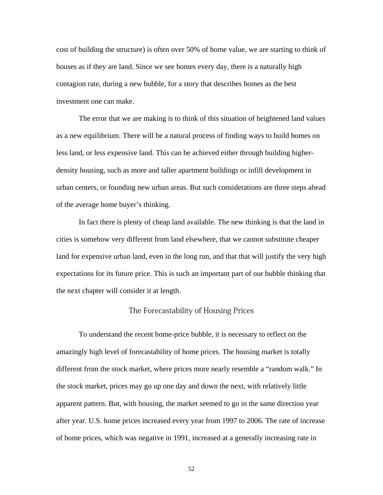cost of building the structure) is often over 50% of home value, we are starting to think of houses as if they are land. Since we see homes every day, there is a naturally high contagion rate, during a new bubble, for a story that describes homes as the best investment one can make.

The error that we are making is to think of this situation of heightened land values as a new equilibrium. There will be a natural process of finding ways to build homes on less land, or less expensive land. This can be achieved either through building higherdensity housing, such as more and taller apartment buildings or infill development in urban centers, or founding new urban areas. But such considerations are three steps ahead of the average home buyer's thinking.

In fact there is plenty of cheap land available. The new thinking is that the land in cities is somehow very different from land elsewhere, that we cannot substitute cheaper land for expensive urban land, even in the long run, and that that will justify the very high expectations for its future price. This is such an important part of our bubble thinking that the next chapter will consider it at length.

## The Forecastability of Housing Prices

To understand the recent home-price bubble, it is necessary to reflect on the amazingly high level of forecastability of home prices. The housing market is totally different from the stock market, where prices more nearly resemble a "random walk." In the stock market, prices may go up one day and down the next, with relatively little apparent pattern. But, with housing, the market seemed to go in the same direction year after year. U.S. home prices increased every year from 1997 to 2006. The rate of increase of home prices, which was negative in 1991, increased at a generally increasing rate in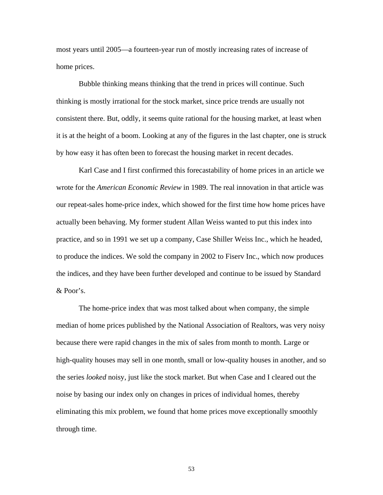most years until 2005—a fourteen-year run of mostly increasing rates of increase of home prices.

Bubble thinking means thinking that the trend in prices will continue. Such thinking is mostly irrational for the stock market, since price trends are usually not consistent there. But, oddly, it seems quite rational for the housing market, at least when it is at the height of a boom. Looking at any of the figures in the last chapter, one is struck by how easy it has often been to forecast the housing market in recent decades.

Karl Case and I first confirmed this forecastability of home prices in an article we wrote for the *American Economic Review* in 1989. The real innovation in that article was our repeat-sales home-price index, which showed for the first time how home prices have actually been behaving. My former student Allan Weiss wanted to put this index into practice, and so in 1991 we set up a company, Case Shiller Weiss Inc., which he headed, to produce the indices. We sold the company in 2002 to Fiserv Inc., which now produces the indices, and they have been further developed and continue to be issued by Standard & Poor's.

The home-price index that was most talked about when company, the simple median of home prices published by the National Association of Realtors, was very noisy because there were rapid changes in the mix of sales from month to month. Large or high-quality houses may sell in one month, small or low-quality houses in another, and so the series *looked* noisy, just like the stock market. But when Case and I cleared out the noise by basing our index only on changes in prices of individual homes, thereby eliminating this mix problem, we found that home prices move exceptionally smoothly through time.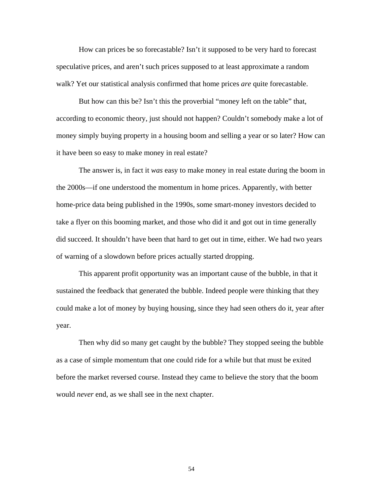How can prices be so forecastable? Isn't it supposed to be very hard to forecast speculative prices, and aren't such prices supposed to at least approximate a random walk? Yet our statistical analysis confirmed that home prices *are* quite forecastable.

But how can this be? Isn't this the proverbial "money left on the table" that, according to economic theory, just should not happen? Couldn't somebody make a lot of money simply buying property in a housing boom and selling a year or so later? How can it have been so easy to make money in real estate?

The answer is, in fact it *was* easy to make money in real estate during the boom in the 2000s—if one understood the momentum in home prices. Apparently, with better home-price data being published in the 1990s, some smart-money investors decided to take a flyer on this booming market, and those who did it and got out in time generally did succeed. It shouldn't have been that hard to get out in time, either. We had two years of warning of a slowdown before prices actually started dropping.

This apparent profit opportunity was an important cause of the bubble, in that it sustained the feedback that generated the bubble. Indeed people were thinking that they could make a lot of money by buying housing, since they had seen others do it, year after year.

Then why did so many get caught by the bubble? They stopped seeing the bubble as a case of simple momentum that one could ride for a while but that must be exited before the market reversed course. Instead they came to believe the story that the boom would *never* end, as we shall see in the next chapter.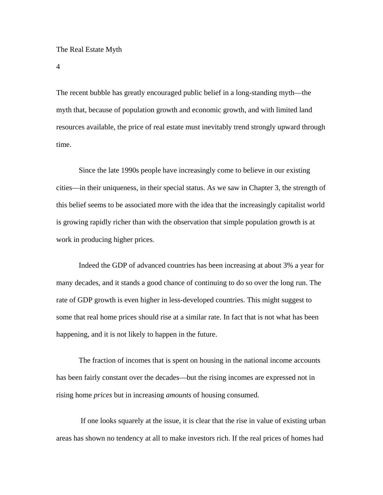4

The recent bubble has greatly encouraged public belief in a long-standing myth—the myth that, because of population growth and economic growth, and with limited land resources available, the price of real estate must inevitably trend strongly upward through time.

Since the late 1990s people have increasingly come to believe in our existing cities—in their uniqueness, in their special status. As we saw in Chapter 3, the strength of this belief seems to be associated more with the idea that the increasingly capitalist world is growing rapidly richer than with the observation that simple population growth is at work in producing higher prices.

Indeed the GDP of advanced countries has been increasing at about 3% a year for many decades, and it stands a good chance of continuing to do so over the long run. The rate of GDP growth is even higher in less-developed countries. This might suggest to some that real home prices should rise at a similar rate. In fact that is not what has been happening, and it is not likely to happen in the future.

The fraction of incomes that is spent on housing in the national income accounts has been fairly constant over the decades—but the rising incomes are expressed not in rising home *prices* but in increasing *amounts* of housing consumed.

 If one looks squarely at the issue, it is clear that the rise in value of existing urban areas has shown no tendency at all to make investors rich. If the real prices of homes had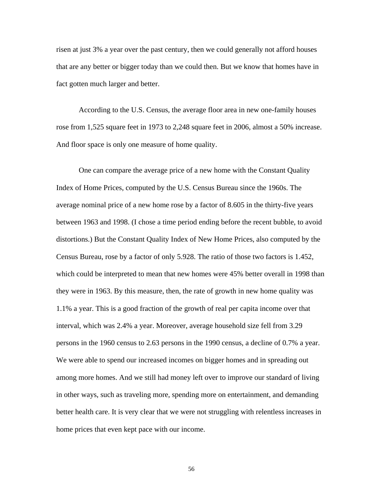risen at just 3% a year over the past century, then we could generally not afford houses that are any better or bigger today than we could then. But we know that homes have in fact gotten much larger and better.

According to the U.S. Census, the average floor area in new one-family houses rose from 1,525 square feet in 1973 to 2,248 square feet in 2006, almost a 50% increase. And floor space is only one measure of home quality.

One can compare the average price of a new home with the Constant Quality Index of Home Prices, computed by the U.S. Census Bureau since the 1960s. The average nominal price of a new home rose by a factor of 8.605 in the thirty-five years between 1963 and 1998. (I chose a time period ending before the recent bubble, to avoid distortions.) But the Constant Quality Index of New Home Prices, also computed by the Census Bureau, rose by a factor of only 5.928. The ratio of those two factors is 1.452, which could be interpreted to mean that new homes were 45% better overall in 1998 than they were in 1963. By this measure, then, the rate of growth in new home quality was 1.1% a year. This is a good fraction of the growth of real per capita income over that interval, which was 2.4% a year. Moreover, average household size fell from 3.29 persons in the 1960 census to 2.63 persons in the 1990 census, a decline of 0.7% a year. We were able to spend our increased incomes on bigger homes and in spreading out among more homes. And we still had money left over to improve our standard of living in other ways, such as traveling more, spending more on entertainment, and demanding better health care. It is very clear that we were not struggling with relentless increases in home prices that even kept pace with our income.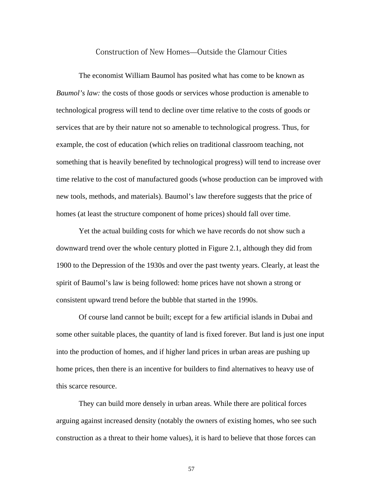#### Construction of New Homes—Outside the Glamour Cities

The economist William Baumol has posited what has come to be known as *Baumol's law:* the costs of those goods or services whose production is amenable to technological progress will tend to decline over time relative to the costs of goods or services that are by their nature not so amenable to technological progress. Thus, for example, the cost of education (which relies on traditional classroom teaching, not something that is heavily benefited by technological progress) will tend to increase over time relative to the cost of manufactured goods (whose production can be improved with new tools, methods, and materials). Baumol's law therefore suggests that the price of homes (at least the structure component of home prices) should fall over time.

Yet the actual building costs for which we have records do not show such a downward trend over the whole century plotted in Figure 2.1, although they did from 1900 to the Depression of the 1930s and over the past twenty years. Clearly, at least the spirit of Baumol's law is being followed: home prices have not shown a strong or consistent upward trend before the bubble that started in the 1990s.

Of course land cannot be built; except for a few artificial islands in Dubai and some other suitable places, the quantity of land is fixed forever. But land is just one input into the production of homes, and if higher land prices in urban areas are pushing up home prices, then there is an incentive for builders to find alternatives to heavy use of this scarce resource.

They can build more densely in urban areas. While there are political forces arguing against increased density (notably the owners of existing homes, who see such construction as a threat to their home values), it is hard to believe that those forces can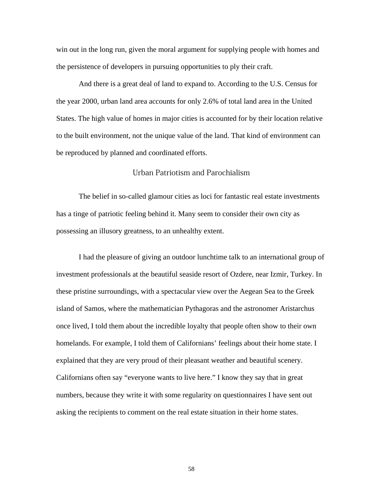win out in the long run, given the moral argument for supplying people with homes and the persistence of developers in pursuing opportunities to ply their craft.

And there is a great deal of land to expand to. According to the U.S. Census for the year 2000, urban land area accounts for only 2.6% of total land area in the United States. The high value of homes in major cities is accounted for by their location relative to the built environment, not the unique value of the land. That kind of environment can be reproduced by planned and coordinated efforts.

## Urban Patriotism and Parochialism

The belief in so-called glamour cities as loci for fantastic real estate investments has a tinge of patriotic feeling behind it. Many seem to consider their own city as possessing an illusory greatness, to an unhealthy extent.

I had the pleasure of giving an outdoor lunchtime talk to an international group of investment professionals at the beautiful seaside resort of Ozdere, near Izmir, Turkey. In these pristine surroundings, with a spectacular view over the Aegean Sea to the Greek island of Samos, where the mathematician Pythagoras and the astronomer Aristarchus once lived, I told them about the incredible loyalty that people often show to their own homelands. For example, I told them of Californians' feelings about their home state. I explained that they are very proud of their pleasant weather and beautiful scenery. Californians often say "everyone wants to live here." I know they say that in great numbers, because they write it with some regularity on questionnaires I have sent out asking the recipients to comment on the real estate situation in their home states.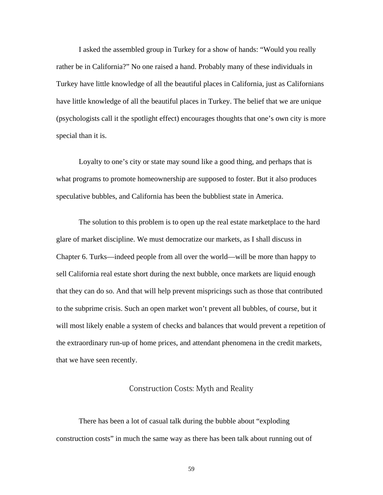I asked the assembled group in Turkey for a show of hands: "Would you really rather be in California?" No one raised a hand. Probably many of these individuals in Turkey have little knowledge of all the beautiful places in California, just as Californians have little knowledge of all the beautiful places in Turkey. The belief that we are unique (psychologists call it the spotlight effect) encourages thoughts that one's own city is more special than it is.

Loyalty to one's city or state may sound like a good thing, and perhaps that is what programs to promote homeownership are supposed to foster. But it also produces speculative bubbles, and California has been the bubbliest state in America.

The solution to this problem is to open up the real estate marketplace to the hard glare of market discipline. We must democratize our markets, as I shall discuss in Chapter 6. Turks—indeed people from all over the world—will be more than happy to sell California real estate short during the next bubble, once markets are liquid enough that they can do so. And that will help prevent mispricings such as those that contributed to the subprime crisis. Such an open market won't prevent all bubbles, of course, but it will most likely enable a system of checks and balances that would prevent a repetition of the extraordinary run-up of home prices, and attendant phenomena in the credit markets, that we have seen recently.

#### Construction Costs: Myth and Reality

There has been a lot of casual talk during the bubble about "exploding construction costs" in much the same way as there has been talk about running out of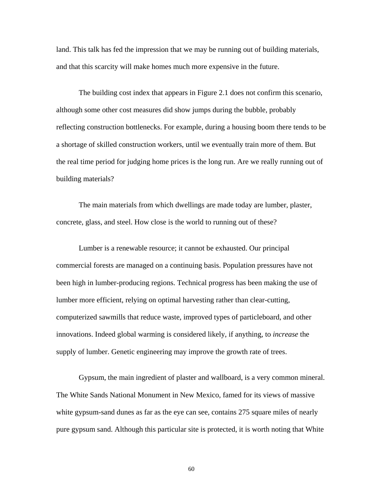land. This talk has fed the impression that we may be running out of building materials, and that this scarcity will make homes much more expensive in the future.

The building cost index that appears in Figure 2.1 does not confirm this scenario, although some other cost measures did show jumps during the bubble, probably reflecting construction bottlenecks. For example, during a housing boom there tends to be a shortage of skilled construction workers, until we eventually train more of them. But the real time period for judging home prices is the long run. Are we really running out of building materials?

The main materials from which dwellings are made today are lumber, plaster, concrete, glass, and steel. How close is the world to running out of these?

Lumber is a renewable resource; it cannot be exhausted. Our principal commercial forests are managed on a continuing basis. Population pressures have not been high in lumber-producing regions. Technical progress has been making the use of lumber more efficient, relying on optimal harvesting rather than clear-cutting, computerized sawmills that reduce waste, improved types of particleboard, and other innovations. Indeed global warming is considered likely, if anything, to *increase* the supply of lumber. Genetic engineering may improve the growth rate of trees.

Gypsum, the main ingredient of plaster and wallboard, is a very common mineral. The White Sands National Monument in New Mexico, famed for its views of massive white gypsum-sand dunes as far as the eye can see, contains 275 square miles of nearly pure gypsum sand. Although this particular site is protected, it is worth noting that White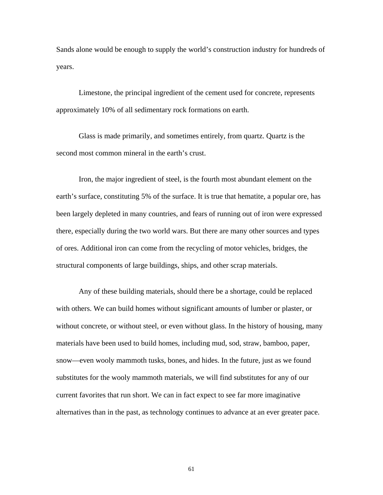Sands alone would be enough to supply the world's construction industry for hundreds of years.

Limestone, the principal ingredient of the cement used for concrete, represents approximately 10% of all sedimentary rock formations on earth.

Glass is made primarily, and sometimes entirely, from quartz. Quartz is the second most common mineral in the earth's crust.

Iron, the major ingredient of steel, is the fourth most abundant element on the earth's surface, constituting 5% of the surface. It is true that hematite, a popular ore, has been largely depleted in many countries, and fears of running out of iron were expressed there, especially during the two world wars. But there are many other sources and types of ores. Additional iron can come from the recycling of motor vehicles, bridges, the structural components of large buildings, ships, and other scrap materials.

Any of these building materials, should there be a shortage, could be replaced with others. We can build homes without significant amounts of lumber or plaster, or without concrete, or without steel, or even without glass. In the history of housing, many materials have been used to build homes, including mud, sod, straw, bamboo, paper, snow—even wooly mammoth tusks, bones, and hides. In the future, just as we found substitutes for the wooly mammoth materials, we will find substitutes for any of our current favorites that run short. We can in fact expect to see far more imaginative alternatives than in the past, as technology continues to advance at an ever greater pace.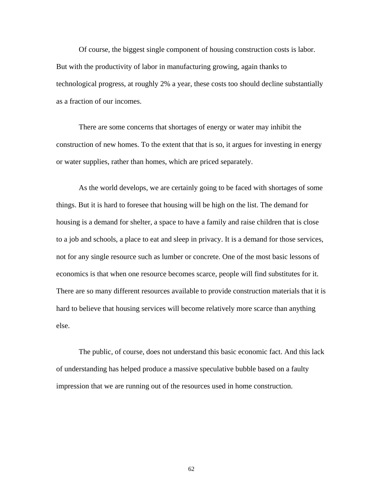Of course, the biggest single component of housing construction costs is labor. But with the productivity of labor in manufacturing growing, again thanks to technological progress, at roughly 2% a year, these costs too should decline substantially as a fraction of our incomes.

There are some concerns that shortages of energy or water may inhibit the construction of new homes. To the extent that that is so, it argues for investing in energy or water supplies, rather than homes, which are priced separately.

As the world develops, we are certainly going to be faced with shortages of some things. But it is hard to foresee that housing will be high on the list. The demand for housing is a demand for shelter, a space to have a family and raise children that is close to a job and schools, a place to eat and sleep in privacy. It is a demand for those services, not for any single resource such as lumber or concrete. One of the most basic lessons of economics is that when one resource becomes scarce, people will find substitutes for it. There are so many different resources available to provide construction materials that it is hard to believe that housing services will become relatively more scarce than anything else.

The public, of course, does not understand this basic economic fact. And this lack of understanding has helped produce a massive speculative bubble based on a faulty impression that we are running out of the resources used in home construction.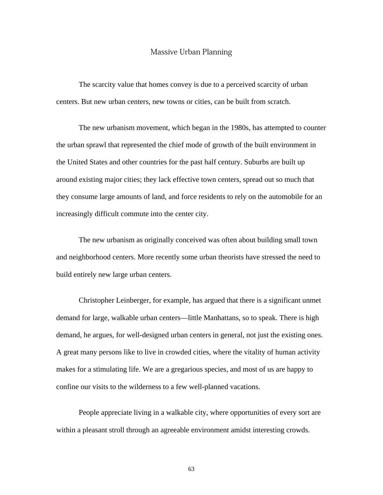### Massive Urban Planning

The scarcity value that homes convey is due to a perceived scarcity of urban centers. But new urban centers, new towns or cities, can be built from scratch.

The new urbanism movement, which began in the 1980s, has attempted to counter the urban sprawl that represented the chief mode of growth of the built environment in the United States and other countries for the past half century. Suburbs are built up around existing major cities; they lack effective town centers, spread out so much that they consume large amounts of land, and force residents to rely on the automobile for an increasingly difficult commute into the center city.

The new urbanism as originally conceived was often about building small town and neighborhood centers. More recently some urban theorists have stressed the need to build entirely new large urban centers.

Christopher Leinberger, for example, has argued that there is a significant unmet demand for large, walkable urban centers—little Manhattans, so to speak. There is high demand, he argues, for well-designed urban centers in general, not just the existing ones. A great many persons like to live in crowded cities, where the vitality of human activity makes for a stimulating life. We are a gregarious species, and most of us are happy to confine our visits to the wilderness to a few well-planned vacations.

People appreciate living in a walkable city, where opportunities of every sort are within a pleasant stroll through an agreeable environment amidst interesting crowds.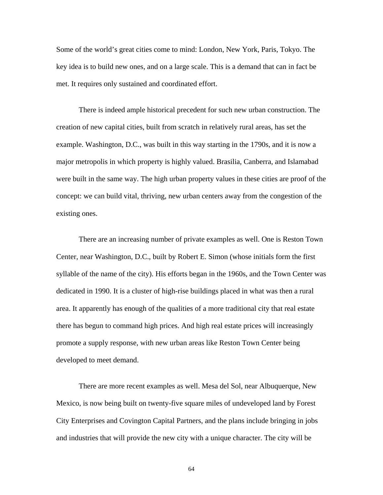Some of the world's great cities come to mind: London, New York, Paris, Tokyo. The key idea is to build new ones, and on a large scale. This is a demand that can in fact be met. It requires only sustained and coordinated effort.

There is indeed ample historical precedent for such new urban construction. The creation of new capital cities, built from scratch in relatively rural areas, has set the example. Washington, D.C., was built in this way starting in the 1790s, and it is now a major metropolis in which property is highly valued. Brasilia, Canberra, and Islamabad were built in the same way. The high urban property values in these cities are proof of the concept: we can build vital, thriving, new urban centers away from the congestion of the existing ones.

There are an increasing number of private examples as well. One is Reston Town Center, near Washington, D.C., built by Robert E. Simon (whose initials form the first syllable of the name of the city). His efforts began in the 1960s, and the Town Center was dedicated in 1990. It is a cluster of high-rise buildings placed in what was then a rural area. It apparently has enough of the qualities of a more traditional city that real estate there has begun to command high prices. And high real estate prices will increasingly promote a supply response, with new urban areas like Reston Town Center being developed to meet demand.

There are more recent examples as well. Mesa del Sol, near Albuquerque, New Mexico, is now being built on twenty-five square miles of undeveloped land by Forest City Enterprises and Covington Capital Partners, and the plans include bringing in jobs and industries that will provide the new city with a unique character. The city will be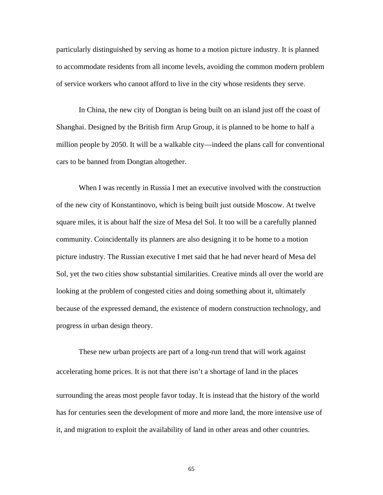particularly distinguished by serving as home to a motion picture industry. It is planned to accommodate residents from all income levels, avoiding the common modern problem of service workers who cannot afford to live in the city whose residents they serve.

In China, the new city of Dongtan is being built on an island just off the coast of Shanghai. Designed by the British firm Arup Group, it is planned to be home to half a million people by 2050. It will be a walkable city—indeed the plans call for conventional cars to be banned from Dongtan altogether.

When I was recently in Russia I met an executive involved with the construction of the new city of Konstantinovo, which is being built just outside Moscow. At twelve square miles, it is about half the size of Mesa del Sol. It too will be a carefully planned community. Coincidentally its planners are also designing it to be home to a motion picture industry. The Russian executive I met said that he had never heard of Mesa del Sol, yet the two cities show substantial similarities. Creative minds all over the world are looking at the problem of congested cities and doing something about it, ultimately because of the expressed demand, the existence of modern construction technology, and progress in urban design theory.

These new urban projects are part of a long-run trend that will work against accelerating home prices. It is not that there isn't a shortage of land in the places surrounding the areas most people favor today. It is instead that the history of the world has for centuries seen the development of more and more land, the more intensive use of it, and migration to exploit the availability of land in other areas and other countries.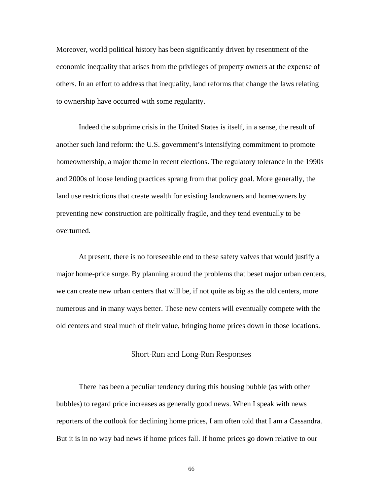Moreover, world political history has been significantly driven by resentment of the economic inequality that arises from the privileges of property owners at the expense of others. In an effort to address that inequality, land reforms that change the laws relating to ownership have occurred with some regularity.

Indeed the subprime crisis in the United States is itself, in a sense, the result of another such land reform: the U.S. government's intensifying commitment to promote homeownership, a major theme in recent elections. The regulatory tolerance in the 1990s and 2000s of loose lending practices sprang from that policy goal. More generally, the land use restrictions that create wealth for existing landowners and homeowners by preventing new construction are politically fragile, and they tend eventually to be overturned.

At present, there is no foreseeable end to these safety valves that would justify a major home-price surge. By planning around the problems that beset major urban centers, we can create new urban centers that will be, if not quite as big as the old centers, more numerous and in many ways better. These new centers will eventually compete with the old centers and steal much of their value, bringing home prices down in those locations.

## Short-Run and Long-Run Responses

There has been a peculiar tendency during this housing bubble (as with other bubbles) to regard price increases as generally good news. When I speak with news reporters of the outlook for declining home prices, I am often told that I am a Cassandra. But it is in no way bad news if home prices fall. If home prices go down relative to our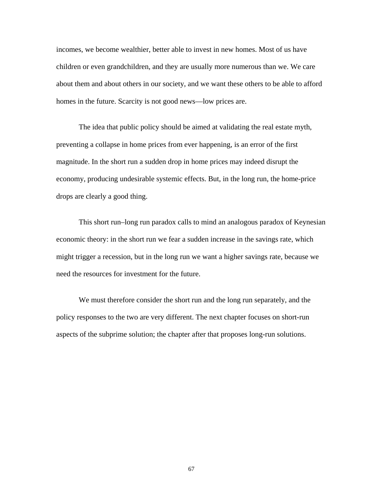incomes, we become wealthier, better able to invest in new homes. Most of us have children or even grandchildren, and they are usually more numerous than we. We care about them and about others in our society, and we want these others to be able to afford homes in the future. Scarcity is not good news—low prices are.

The idea that public policy should be aimed at validating the real estate myth, preventing a collapse in home prices from ever happening, is an error of the first magnitude. In the short run a sudden drop in home prices may indeed disrupt the economy, producing undesirable systemic effects. But, in the long run, the home-price drops are clearly a good thing.

This short run–long run paradox calls to mind an analogous paradox of Keynesian economic theory: in the short run we fear a sudden increase in the savings rate, which might trigger a recession, but in the long run we want a higher savings rate, because we need the resources for investment for the future.

We must therefore consider the short run and the long run separately, and the policy responses to the two are very different. The next chapter focuses on short-run aspects of the subprime solution; the chapter after that proposes long-run solutions.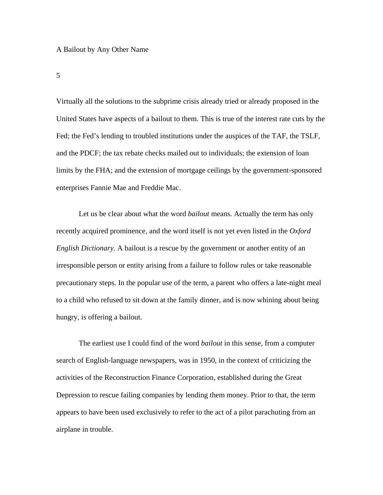#### A Bailout by Any Other Name

5

Virtually all the solutions to the subprime crisis already tried or already proposed in the United States have aspects of a bailout to them. This is true of the interest rate cuts by the Fed; the Fed's lending to troubled institutions under the auspices of the TAF, the TSLF, and the PDCF; the tax rebate checks mailed out to individuals; the extension of loan limits by the FHA; and the extension of mortgage ceilings by the government-sponsored enterprises Fannie Mae and Freddie Mac.

Let us be clear about what the word *bailout* means. Actually the term has only recently acquired prominence, and the word itself is not yet even listed in the *Oxford English Dictionary.* A bailout is a rescue by the government or another entity of an irresponsible person or entity arising from a failure to follow rules or take reasonable precautionary steps. In the popular use of the term, a parent who offers a late-night meal to a child who refused to sit down at the family dinner, and is now whining about being hungry, is offering a bailout.

The earliest use I could find of the word *bailout* in this sense, from a computer search of English-language newspapers, was in 1950, in the context of criticizing the activities of the Reconstruction Finance Corporation, established during the Great Depression to rescue failing companies by lending them money. Prior to that, the term appears to have been used exclusively to refer to the act of a pilot parachuting from an airplane in trouble.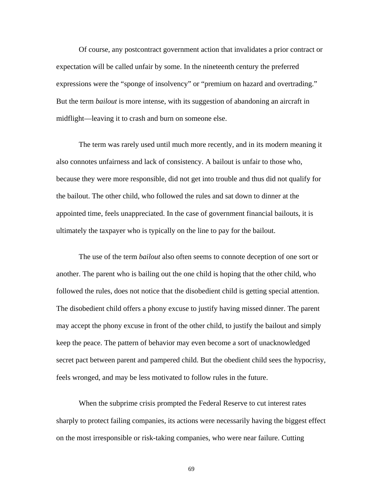Of course, any postcontract government action that invalidates a prior contract or expectation will be called unfair by some. In the nineteenth century the preferred expressions were the "sponge of insolvency" or "premium on hazard and overtrading." But the term *bailout* is more intense, with its suggestion of abandoning an aircraft in midflight—leaving it to crash and burn on someone else.

The term was rarely used until much more recently, and in its modern meaning it also connotes unfairness and lack of consistency. A bailout is unfair to those who, because they were more responsible, did not get into trouble and thus did not qualify for the bailout. The other child, who followed the rules and sat down to dinner at the appointed time, feels unappreciated. In the case of government financial bailouts, it is ultimately the taxpayer who is typically on the line to pay for the bailout.

The use of the term *bailout* also often seems to connote deception of one sort or another. The parent who is bailing out the one child is hoping that the other child, who followed the rules, does not notice that the disobedient child is getting special attention. The disobedient child offers a phony excuse to justify having missed dinner. The parent may accept the phony excuse in front of the other child, to justify the bailout and simply keep the peace. The pattern of behavior may even become a sort of unacknowledged secret pact between parent and pampered child. But the obedient child sees the hypocrisy, feels wronged, and may be less motivated to follow rules in the future.

When the subprime crisis prompted the Federal Reserve to cut interest rates sharply to protect failing companies, its actions were necessarily having the biggest effect on the most irresponsible or risk-taking companies, who were near failure. Cutting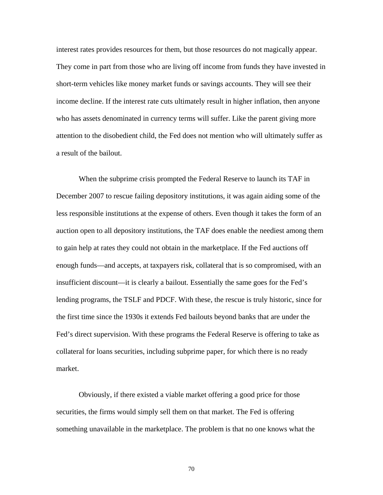interest rates provides resources for them, but those resources do not magically appear. They come in part from those who are living off income from funds they have invested in short-term vehicles like money market funds or savings accounts. They will see their income decline. If the interest rate cuts ultimately result in higher inflation, then anyone who has assets denominated in currency terms will suffer. Like the parent giving more attention to the disobedient child, the Fed does not mention who will ultimately suffer as a result of the bailout.

When the subprime crisis prompted the Federal Reserve to launch its TAF in December 2007 to rescue failing depository institutions, it was again aiding some of the less responsible institutions at the expense of others. Even though it takes the form of an auction open to all depository institutions, the TAF does enable the neediest among them to gain help at rates they could not obtain in the marketplace. If the Fed auctions off enough funds—and accepts, at taxpayers risk, collateral that is so compromised, with an insufficient discount—it is clearly a bailout. Essentially the same goes for the Fed's lending programs, the TSLF and PDCF. With these, the rescue is truly historic, since for the first time since the 1930s it extends Fed bailouts beyond banks that are under the Fed's direct supervision. With these programs the Federal Reserve is offering to take as collateral for loans securities, including subprime paper, for which there is no ready market.

Obviously, if there existed a viable market offering a good price for those securities, the firms would simply sell them on that market. The Fed is offering something unavailable in the marketplace. The problem is that no one knows what the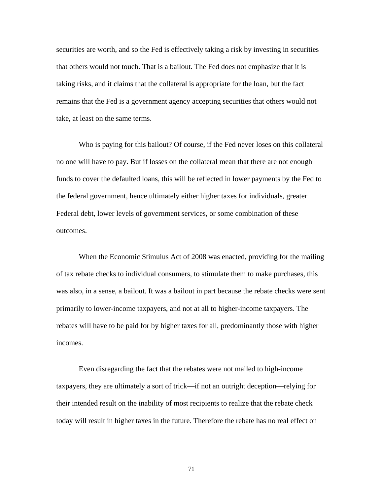securities are worth, and so the Fed is effectively taking a risk by investing in securities that others would not touch. That is a bailout. The Fed does not emphasize that it is taking risks, and it claims that the collateral is appropriate for the loan, but the fact remains that the Fed is a government agency accepting securities that others would not take, at least on the same terms.

Who is paying for this bailout? Of course, if the Fed never loses on this collateral no one will have to pay. But if losses on the collateral mean that there are not enough funds to cover the defaulted loans, this will be reflected in lower payments by the Fed to the federal government, hence ultimately either higher taxes for individuals, greater Federal debt, lower levels of government services, or some combination of these outcomes.

When the Economic Stimulus Act of 2008 was enacted, providing for the mailing of tax rebate checks to individual consumers, to stimulate them to make purchases, this was also, in a sense, a bailout. It was a bailout in part because the rebate checks were sent primarily to lower-income taxpayers, and not at all to higher-income taxpayers. The rebates will have to be paid for by higher taxes for all, predominantly those with higher incomes.

Even disregarding the fact that the rebates were not mailed to high-income taxpayers, they are ultimately a sort of trick—if not an outright deception—relying for their intended result on the inability of most recipients to realize that the rebate check today will result in higher taxes in the future. Therefore the rebate has no real effect on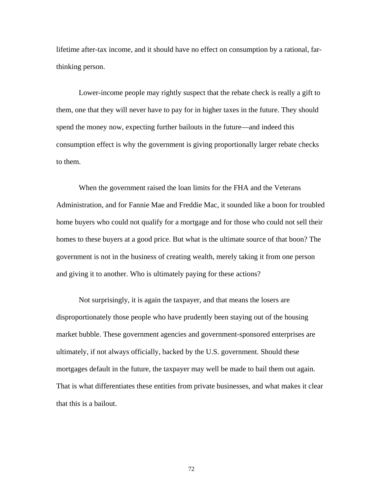lifetime after-tax income, and it should have no effect on consumption by a rational, farthinking person.

Lower-income people may rightly suspect that the rebate check is really a gift to them, one that they will never have to pay for in higher taxes in the future. They should spend the money now, expecting further bailouts in the future—and indeed this consumption effect is why the government is giving proportionally larger rebate checks to them.

When the government raised the loan limits for the FHA and the Veterans Administration, and for Fannie Mae and Freddie Mac, it sounded like a boon for troubled home buyers who could not qualify for a mortgage and for those who could not sell their homes to these buyers at a good price. But what is the ultimate source of that boon? The government is not in the business of creating wealth, merely taking it from one person and giving it to another. Who is ultimately paying for these actions?

Not surprisingly, it is again the taxpayer, and that means the losers are disproportionately those people who have prudently been staying out of the housing market bubble. These government agencies and government-sponsored enterprises are ultimately, if not always officially, backed by the U.S. government. Should these mortgages default in the future, the taxpayer may well be made to bail them out again. That is what differentiates these entities from private businesses, and what makes it clear that this is a bailout.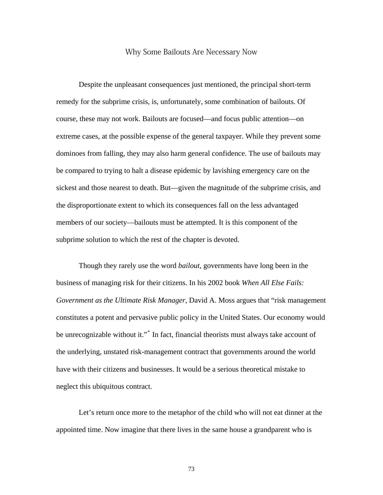#### Why Some Bailouts Are Necessary Now

Despite the unpleasant consequences just mentioned, the principal short-term remedy for the subprime crisis, is, unfortunately, some combination of bailouts. Of course, these may not work. Bailouts are focused—and focus public attention—on extreme cases, at the possible expense of the general taxpayer. While they prevent some dominoes from falling, they may also harm general confidence. The use of bailouts may be compared to trying to halt a disease epidemic by lavishing emergency care on the sickest and those nearest to death. But—given the magnitude of the subprime crisis, and the disproportionate extent to which its consequences fall on the less advantaged members of our society—bailouts must be attempted. It is this component of the subprime solution to which the rest of the chapter is devoted.

Though they rarely use the word *bailout,* governments have long been in the business of managing risk for their citizens. In his 2002 book *When All Else Fails: Government as the Ultimate Risk Manager,* David A. Moss argues that "risk management constitutes a potent and pervasive public policy in the United States. Our economy would be unrecognizable without it."<sup>[\\*](#page-135-0)</sup> In fact, financial theorists must always take account of the underlying, unstated risk-management contract that governments around the world have with their citizens and businesses. It would be a serious theoretical mistake to neglect this ubiquitous contract.

Let's return once more to the metaphor of the child who will not eat dinner at the appointed time. Now imagine that there lives in the same house a grandparent who is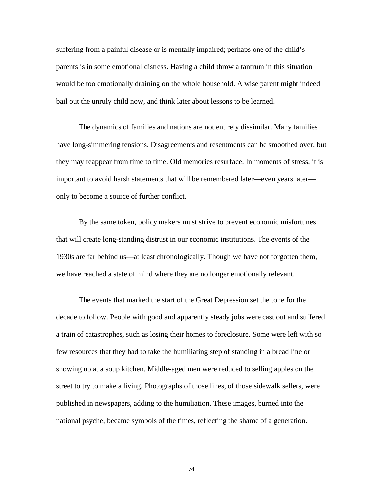suffering from a painful disease or is mentally impaired; perhaps one of the child's parents is in some emotional distress. Having a child throw a tantrum in this situation would be too emotionally draining on the whole household. A wise parent might indeed bail out the unruly child now, and think later about lessons to be learned.

The dynamics of families and nations are not entirely dissimilar. Many families have long-simmering tensions. Disagreements and resentments can be smoothed over, but they may reappear from time to time. Old memories resurface. In moments of stress, it is important to avoid harsh statements that will be remembered later—even years later only to become a source of further conflict.

By the same token, policy makers must strive to prevent economic misfortunes that will create long-standing distrust in our economic institutions. The events of the 1930s are far behind us—at least chronologically. Though we have not forgotten them, we have reached a state of mind where they are no longer emotionally relevant.

The events that marked the start of the Great Depression set the tone for the decade to follow. People with good and apparently steady jobs were cast out and suffered a train of catastrophes, such as losing their homes to foreclosure. Some were left with so few resources that they had to take the humiliating step of standing in a bread line or showing up at a soup kitchen. Middle-aged men were reduced to selling apples on the street to try to make a living. Photographs of those lines, of those sidewalk sellers, were published in newspapers, adding to the humiliation. These images, burned into the national psyche, became symbols of the times, reflecting the shame of a generation.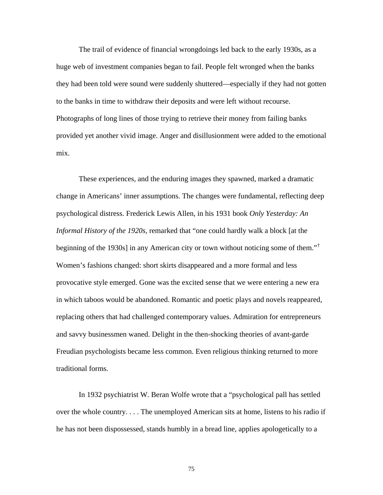The trail of evidence of financial wrongdoings led back to the early 1930s, as a huge web of investment companies began to fail. People felt wronged when the banks they had been told were sound were suddenly shuttered—especially if they had not gotten to the banks in time to withdraw their deposits and were left without recourse. Photographs of long lines of those trying to retrieve their money from failing banks provided yet another vivid image. Anger and disillusionment were added to the emotional mix.

These experiences, and the enduring images they spawned, marked a dramatic change in Americans' inner assumptions. The changes were fundamental, reflecting deep psychological distress. Frederick Lewis Allen, in his 1931 book *Only Yesterday: An Informal History of the 1920s,* remarked that "one could hardly walk a block [at the beginning of the 1930s] in any American city or town without noticing some of them."[†](#page-135-0) Women's fashions changed: short skirts disappeared and a more formal and less provocative style emerged. Gone was the excited sense that we were entering a new era in which taboos would be abandoned. Romantic and poetic plays and novels reappeared, replacing others that had challenged contemporary values. Admiration for entrepreneurs and savvy businessmen waned. Delight in the then-shocking theories of avant-garde Freudian psychologists became less common. Even religious thinking returned to more traditional forms.

In 1932 psychiatrist W. Beran Wolfe wrote that a "psychological pall has settled over the whole country. . . . The unemployed American sits at home, listens to his radio if he has not been dispossessed, stands humbly in a bread line, applies apologetically to a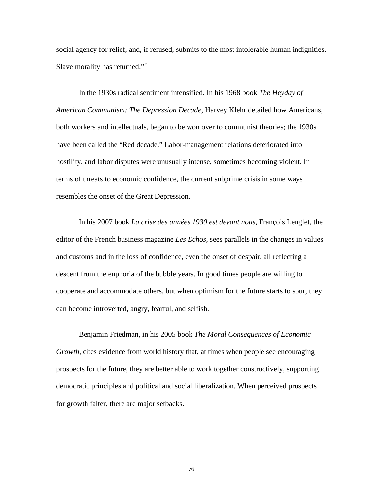social agency for relief, and, if refused, submits to the most intolerable human indignities. Slave morality has returned."<sup>[‡](#page-135-0)</sup>

In the 1930s radical sentiment intensified. In his 1968 book *The Heyday of American Communism: The Depression Decade,* Harvey Klehr detailed how Americans, both workers and intellectuals, began to be won over to communist theories; the 1930s have been called the "Red decade." Labor-management relations deteriorated into hostility, and labor disputes were unusually intense, sometimes becoming violent. In terms of threats to economic confidence, the current subprime crisis in some ways resembles the onset of the Great Depression.

In his 2007 book *La crise des années 1930 est devant nous,* François Lenglet, the editor of the French business magazine *Les Echos,* sees parallels in the changes in values and customs and in the loss of confidence, even the onset of despair, all reflecting a descent from the euphoria of the bubble years. In good times people are willing to cooperate and accommodate others, but when optimism for the future starts to sour, they can become introverted, angry, fearful, and selfish.

Benjamin Friedman, in his 2005 book *The Moral Consequences of Economic Growth,* cites evidence from world history that, at times when people see encouraging prospects for the future, they are better able to work together constructively, supporting democratic principles and political and social liberalization. When perceived prospects for growth falter, there are major setbacks.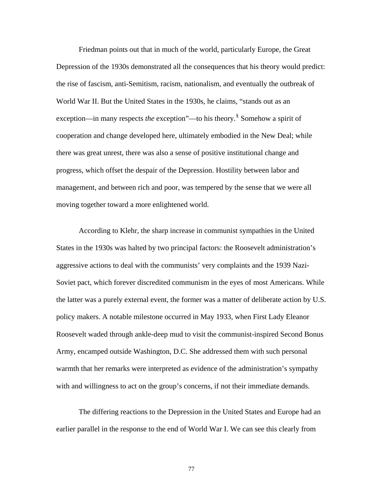Friedman points out that in much of the world, particularly Europe, the Great Depression of the 1930s demonstrated all the consequences that his theory would predict: the rise of fascism, anti-Semitism, racism, nationalism, and eventually the outbreak of World War II. But the United States in the 1930s, he claims, "stands out as an exception—in many respects *the* exception"—to his theory.<sup>[§](#page-135-0)</sup> Somehow a spirit of cooperation and change developed here, ultimately embodied in the New Deal; while there was great unrest, there was also a sense of positive institutional change and progress, which offset the despair of the Depression. Hostility between labor and management, and between rich and poor, was tempered by the sense that we were all moving together toward a more enlightened world.

According to Klehr, the sharp increase in communist sympathies in the United States in the 1930s was halted by two principal factors: the Roosevelt administration's aggressive actions to deal with the communists' very complaints and the 1939 Nazi-Soviet pact, which forever discredited communism in the eyes of most Americans. While the latter was a purely external event, the former was a matter of deliberate action by U.S. policy makers. A notable milestone occurred in May 1933, when First Lady Eleanor Roosevelt waded through ankle-deep mud to visit the communist-inspired Second Bonus Army, encamped outside Washington, D.C. She addressed them with such personal warmth that her remarks were interpreted as evidence of the administration's sympathy with and willingness to act on the group's concerns, if not their immediate demands.

The differing reactions to the Depression in the United States and Europe had an earlier parallel in the response to the end of World War I. We can see this clearly from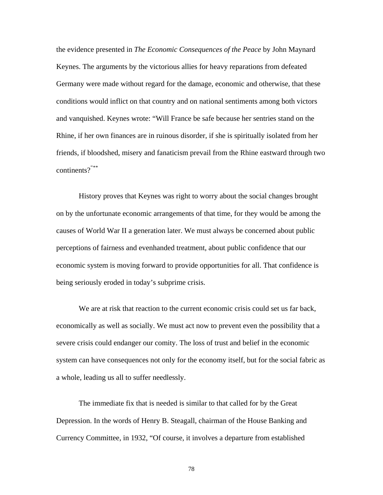the evidence presented in *The Economic Consequences of the Peace* by John Maynard Keynes. The arguments by the victorious allies for heavy reparations from defeated Germany were made without regard for the damage, economic and otherwise, that these conditions would inflict on that country and on national sentiments among both victors and vanquished. Keynes wrote: "Will France be safe because her sentries stand on the Rhine, if her own finances are in ruinous disorder, if she is spiritually isolated from her friends, if bloodshed, misery and fanaticism prevail from the Rhine eastward through two continents?"[\\*\\*](#page-135-0)

History proves that Keynes was right to worry about the social changes brought on by the unfortunate economic arrangements of that time, for they would be among the causes of World War II a generation later. We must always be concerned about public perceptions of fairness and evenhanded treatment, about public confidence that our economic system is moving forward to provide opportunities for all. That confidence is being seriously eroded in today's subprime crisis.

We are at risk that reaction to the current economic crisis could set us far back, economically as well as socially. We must act now to prevent even the possibility that a severe crisis could endanger our comity. The loss of trust and belief in the economic system can have consequences not only for the economy itself, but for the social fabric as a whole, leading us all to suffer needlessly.

The immediate fix that is needed is similar to that called for by the Great Depression. In the words of Henry B. Steagall, chairman of the House Banking and Currency Committee, in 1932, "Of course, it involves a departure from established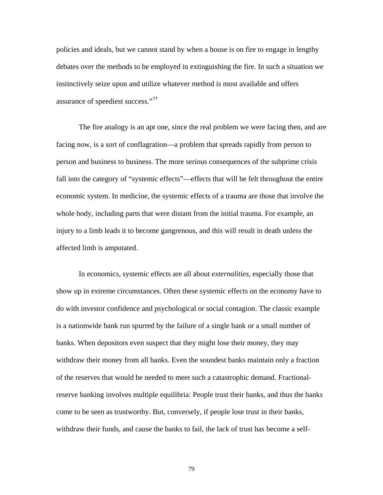policies and ideals, but we cannot stand by when a house is on fire to engage in lengthy debates over the methods to be employed in extinguishing the fire. In such a situation we instinctively seize upon and utilize whatever method is most available and offers assurance of speediest success."[††](#page-135-0)

The fire analogy is an apt one, since the real problem we were facing then, and are facing now, is a sort of conflagration—a problem that spreads rapidly from person to person and business to business. The more serious consequences of the subprime crisis fall into the category of "systemic effects"—effects that will be felt throughout the entire economic system. In medicine, the systemic effects of a trauma are those that involve the whole body, including parts that were distant from the initial trauma. For example, an injury to a limb leads it to become gangrenous, and this will result in death unless the affected limb is amputated.

In economics, systemic effects are all about *externalities,* especially those that show up in extreme circumstances. Often these systemic effects on the economy have to do with investor confidence and psychological or social contagion. The classic example is a nationwide bank run spurred by the failure of a single bank or a small number of banks. When depositors even suspect that they might lose their money, they may withdraw their money from all banks. Even the soundest banks maintain only a fraction of the reserves that would be needed to meet such a catastrophic demand. Fractionalreserve banking involves multiple equilibria: People trust their banks, and thus the banks come to be seen as trustworthy. But, conversely, if people lose trust in their banks, withdraw their funds, and cause the banks to fail, the lack of trust has become a self-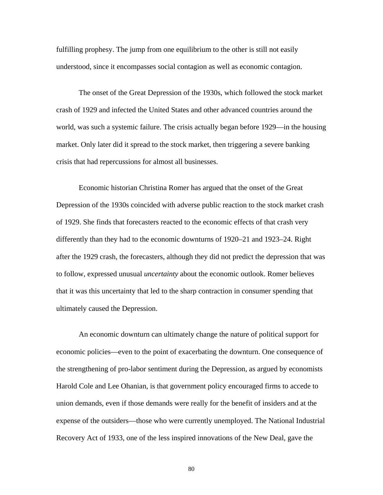fulfilling prophesy. The jump from one equilibrium to the other is still not easily understood, since it encompasses social contagion as well as economic contagion.

The onset of the Great Depression of the 1930s, which followed the stock market crash of 1929 and infected the United States and other advanced countries around the world, was such a systemic failure. The crisis actually began before 1929—in the housing market. Only later did it spread to the stock market, then triggering a severe banking crisis that had repercussions for almost all businesses.

Economic historian Christina Romer has argued that the onset of the Great Depression of the 1930s coincided with adverse public reaction to the stock market crash of 1929. She finds that forecasters reacted to the economic effects of that crash very differently than they had to the economic downturns of 1920–21 and 1923–24. Right after the 1929 crash, the forecasters, although they did not predict the depression that was to follow, expressed unusual *uncertainty* about the economic outlook. Romer believes that it was this uncertainty that led to the sharp contraction in consumer spending that ultimately caused the Depression.

An economic downturn can ultimately change the nature of political support for economic policies—even to the point of exacerbating the downturn. One consequence of the strengthening of pro-labor sentiment during the Depression, as argued by economists Harold Cole and Lee Ohanian, is that government policy encouraged firms to accede to union demands, even if those demands were really for the benefit of insiders and at the expense of the outsiders—those who were currently unemployed. The National Industrial Recovery Act of 1933, one of the less inspired innovations of the New Deal, gave the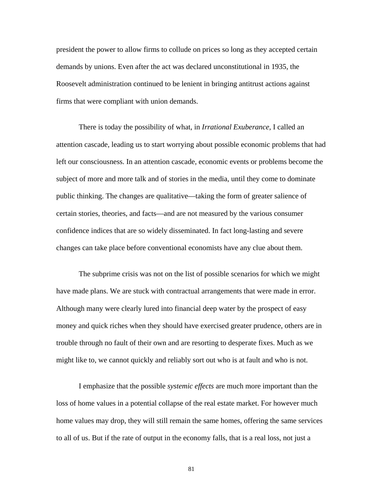president the power to allow firms to collude on prices so long as they accepted certain demands by unions. Even after the act was declared unconstitutional in 1935, the Roosevelt administration continued to be lenient in bringing antitrust actions against firms that were compliant with union demands.

There is today the possibility of what, in *Irrational Exuberance,* I called an attention cascade, leading us to start worrying about possible economic problems that had left our consciousness. In an attention cascade, economic events or problems become the subject of more and more talk and of stories in the media, until they come to dominate public thinking. The changes are qualitative—taking the form of greater salience of certain stories, theories, and facts—and are not measured by the various consumer confidence indices that are so widely disseminated. In fact long-lasting and severe changes can take place before conventional economists have any clue about them.

The subprime crisis was not on the list of possible scenarios for which we might have made plans. We are stuck with contractual arrangements that were made in error. Although many were clearly lured into financial deep water by the prospect of easy money and quick riches when they should have exercised greater prudence, others are in trouble through no fault of their own and are resorting to desperate fixes. Much as we might like to, we cannot quickly and reliably sort out who is at fault and who is not.

I emphasize that the possible *systemic effects* are much more important than the loss of home values in a potential collapse of the real estate market. For however much home values may drop, they will still remain the same homes, offering the same services to all of us. But if the rate of output in the economy falls, that is a real loss, not just a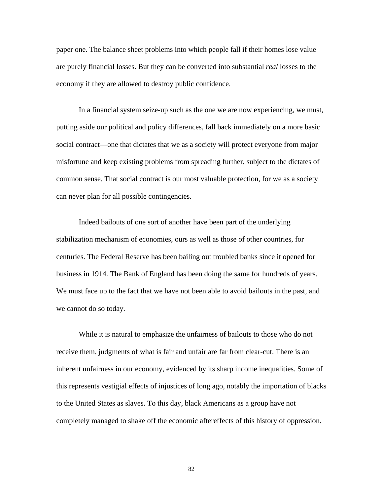paper one. The balance sheet problems into which people fall if their homes lose value are purely financial losses. But they can be converted into substantial *real* losses to the economy if they are allowed to destroy public confidence.

In a financial system seize-up such as the one we are now experiencing, we must, putting aside our political and policy differences, fall back immediately on a more basic social contract—one that dictates that we as a society will protect everyone from major misfortune and keep existing problems from spreading further, subject to the dictates of common sense. That social contract is our most valuable protection, for we as a society can never plan for all possible contingencies.

Indeed bailouts of one sort of another have been part of the underlying stabilization mechanism of economies, ours as well as those of other countries, for centuries. The Federal Reserve has been bailing out troubled banks since it opened for business in 1914. The Bank of England has been doing the same for hundreds of years. We must face up to the fact that we have not been able to avoid bailouts in the past, and we cannot do so today.

While it is natural to emphasize the unfairness of bailouts to those who do not receive them, judgments of what is fair and unfair are far from clear-cut. There is an inherent unfairness in our economy, evidenced by its sharp income inequalities. Some of this represents vestigial effects of injustices of long ago, notably the importation of blacks to the United States as slaves. To this day, black Americans as a group have not completely managed to shake off the economic aftereffects of this history of oppression.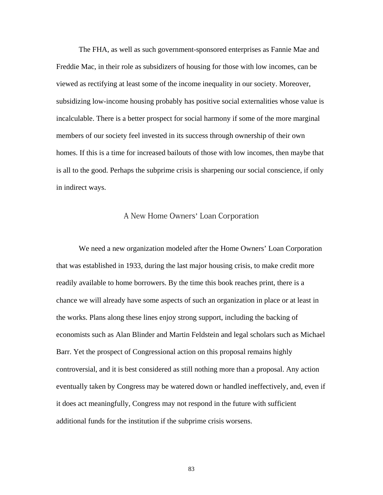The FHA, as well as such government-sponsored enterprises as Fannie Mae and Freddie Mac, in their role as subsidizers of housing for those with low incomes, can be viewed as rectifying at least some of the income inequality in our society. Moreover, subsidizing low-income housing probably has positive social externalities whose value is incalculable. There is a better prospect for social harmony if some of the more marginal members of our society feel invested in its success through ownership of their own homes. If this is a time for increased bailouts of those with low incomes, then maybe that is all to the good. Perhaps the subprime crisis is sharpening our social conscience, if only in indirect ways.

#### A New Home Owners' Loan Corporation

We need a new organization modeled after the Home Owners' Loan Corporation that was established in 1933, during the last major housing crisis, to make credit more readily available to home borrowers. By the time this book reaches print, there is a chance we will already have some aspects of such an organization in place or at least in the works. Plans along these lines enjoy strong support, including the backing of economists such as Alan Blinder and Martin Feldstein and legal scholars such as Michael Barr. Yet the prospect of Congressional action on this proposal remains highly controversial, and it is best considered as still nothing more than a proposal. Any action eventually taken by Congress may be watered down or handled ineffectively, and, even if it does act meaningfully, Congress may not respond in the future with sufficient additional funds for the institution if the subprime crisis worsens.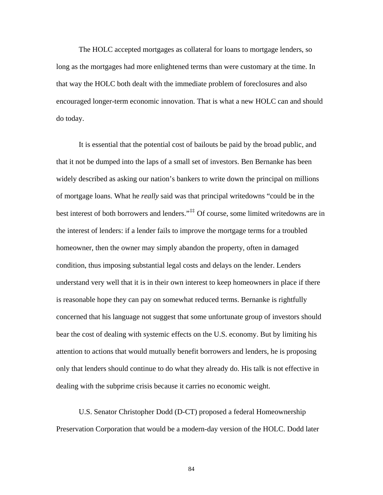The HOLC accepted mortgages as collateral for loans to mortgage lenders, so long as the mortgages had more enlightened terms than were customary at the time. In that way the HOLC both dealt with the immediate problem of foreclosures and also encouraged longer-term economic innovation. That is what a new HOLC can and should do today.

It is essential that the potential cost of bailouts be paid by the broad public, and that it not be dumped into the laps of a small set of investors. Ben Bernanke has been widely described as asking our nation's bankers to write down the principal on millions of mortgage loans. What he *really* said was that principal writedowns "could be in the best interest of both borrowers and lenders."<sup>[‡‡](#page-135-0)</sup> Of course, some limited writedowns are in the interest of lenders: if a lender fails to improve the mortgage terms for a troubled homeowner, then the owner may simply abandon the property, often in damaged condition, thus imposing substantial legal costs and delays on the lender. Lenders understand very well that it is in their own interest to keep homeowners in place if there is reasonable hope they can pay on somewhat reduced terms. Bernanke is rightfully concerned that his language not suggest that some unfortunate group of investors should bear the cost of dealing with systemic effects on the U.S. economy. But by limiting his attention to actions that would mutually benefit borrowers and lenders, he is proposing only that lenders should continue to do what they already do. His talk is not effective in dealing with the subprime crisis because it carries no economic weight.

U.S. Senator Christopher Dodd (D-CT) proposed a federal Homeownership Preservation Corporation that would be a modern-day version of the HOLC. Dodd later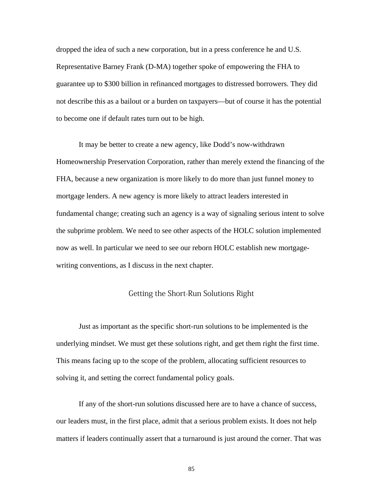dropped the idea of such a new corporation, but in a press conference he and U.S. Representative Barney Frank (D-MA) together spoke of empowering the FHA to guarantee up to \$300 billion in refinanced mortgages to distressed borrowers. They did not describe this as a bailout or a burden on taxpayers—but of course it has the potential to become one if default rates turn out to be high.

It may be better to create a new agency, like Dodd's now-withdrawn Homeownership Preservation Corporation, rather than merely extend the financing of the FHA, because a new organization is more likely to do more than just funnel money to mortgage lenders. A new agency is more likely to attract leaders interested in fundamental change; creating such an agency is a way of signaling serious intent to solve the subprime problem. We need to see other aspects of the HOLC solution implemented now as well. In particular we need to see our reborn HOLC establish new mortgagewriting conventions, as I discuss in the next chapter.

#### Getting the Short-Run Solutions Right

Just as important as the specific short-run solutions to be implemented is the underlying mindset. We must get these solutions right, and get them right the first time. This means facing up to the scope of the problem, allocating sufficient resources to solving it, and setting the correct fundamental policy goals.

If any of the short-run solutions discussed here are to have a chance of success, our leaders must, in the first place, admit that a serious problem exists. It does not help matters if leaders continually assert that a turnaround is just around the corner. That was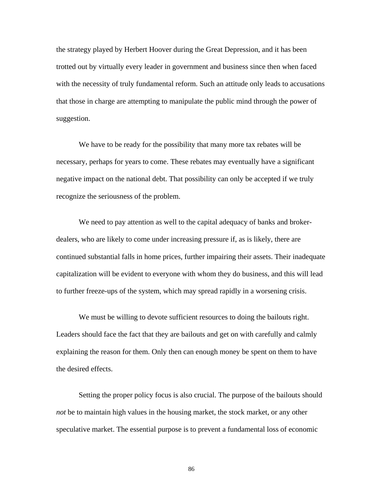the strategy played by Herbert Hoover during the Great Depression, and it has been trotted out by virtually every leader in government and business since then when faced with the necessity of truly fundamental reform. Such an attitude only leads to accusations that those in charge are attempting to manipulate the public mind through the power of suggestion.

We have to be ready for the possibility that many more tax rebates will be necessary, perhaps for years to come. These rebates may eventually have a significant negative impact on the national debt. That possibility can only be accepted if we truly recognize the seriousness of the problem.

We need to pay attention as well to the capital adequacy of banks and brokerdealers, who are likely to come under increasing pressure if, as is likely, there are continued substantial falls in home prices, further impairing their assets. Their inadequate capitalization will be evident to everyone with whom they do business, and this will lead to further freeze-ups of the system, which may spread rapidly in a worsening crisis.

We must be willing to devote sufficient resources to doing the bailouts right. Leaders should face the fact that they are bailouts and get on with carefully and calmly explaining the reason for them. Only then can enough money be spent on them to have the desired effects.

Setting the proper policy focus is also crucial. The purpose of the bailouts should *not* be to maintain high values in the housing market, the stock market, or any other speculative market. The essential purpose is to prevent a fundamental loss of economic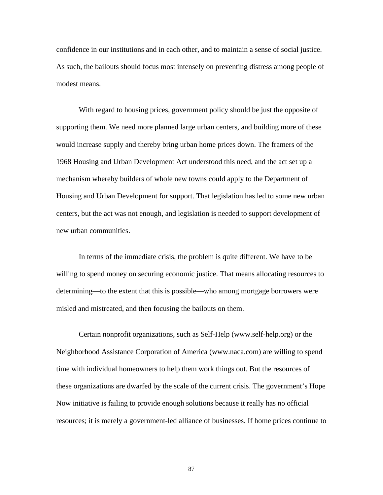confidence in our institutions and in each other, and to maintain a sense of social justice. As such, the bailouts should focus most intensely on preventing distress among people of modest means.

With regard to housing prices, government policy should be just the opposite of supporting them. We need more planned large urban centers, and building more of these would increase supply and thereby bring urban home prices down. The framers of the 1968 Housing and Urban Development Act understood this need, and the act set up a mechanism whereby builders of whole new towns could apply to the Department of Housing and Urban Development for support. That legislation has led to some new urban centers, but the act was not enough, and legislation is needed to support development of new urban communities.

In terms of the immediate crisis, the problem is quite different. We have to be willing to spend money on securing economic justice. That means allocating resources to determining—to the extent that this is possible—who among mortgage borrowers were misled and mistreated, and then focusing the bailouts on them.

Certain nonprofit organizations, such as Self-Help (www.self-help.org) or the Neighborhood Assistance Corporation of America (www.naca.com) are willing to spend time with individual homeowners to help them work things out. But the resources of these organizations are dwarfed by the scale of the current crisis. The government's Hope Now initiative is failing to provide enough solutions because it really has no official resources; it is merely a government-led alliance of businesses. If home prices continue to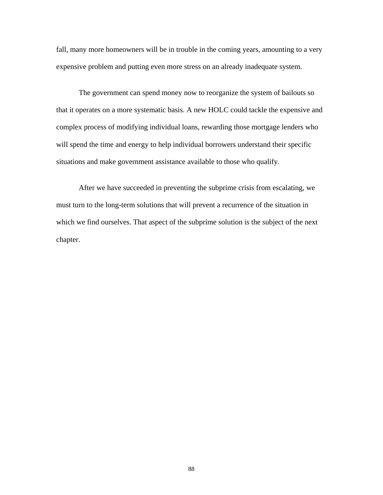fall, many more homeowners will be in trouble in the coming years, amounting to a very expensive problem and putting even more stress on an already inadequate system.

The government can spend money now to reorganize the system of bailouts so that it operates on a more systematic basis. A new HOLC could tackle the expensive and complex process of modifying individual loans, rewarding those mortgage lenders who will spend the time and energy to help individual borrowers understand their specific situations and make government assistance available to those who qualify.

After we have succeeded in preventing the subprime crisis from escalating, we must turn to the long-term solutions that will prevent a recurrence of the situation in which we find ourselves. That aspect of the subprime solution is the subject of the next chapter.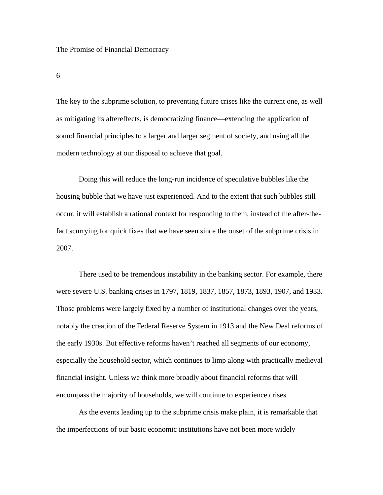#### The Promise of Financial Democracy

6

The key to the subprime solution, to preventing future crises like the current one, as well as mitigating its aftereffects, is democratizing finance—extending the application of sound financial principles to a larger and larger segment of society, and using all the modern technology at our disposal to achieve that goal.

Doing this will reduce the long-run incidence of speculative bubbles like the housing bubble that we have just experienced. And to the extent that such bubbles still occur, it will establish a rational context for responding to them, instead of the after-thefact scurrying for quick fixes that we have seen since the onset of the subprime crisis in 2007.

There used to be tremendous instability in the banking sector. For example, there were severe U.S. banking crises in 1797, 1819, 1837, 1857, 1873, 1893, 1907, and 1933. Those problems were largely fixed by a number of institutional changes over the years, notably the creation of the Federal Reserve System in 1913 and the New Deal reforms of the early 1930s. But effective reforms haven't reached all segments of our economy, especially the household sector, which continues to limp along with practically medieval financial insight. Unless we think more broadly about financial reforms that will encompass the majority of households, we will continue to experience crises.

As the events leading up to the subprime crisis make plain, it is remarkable that the imperfections of our basic economic institutions have not been more widely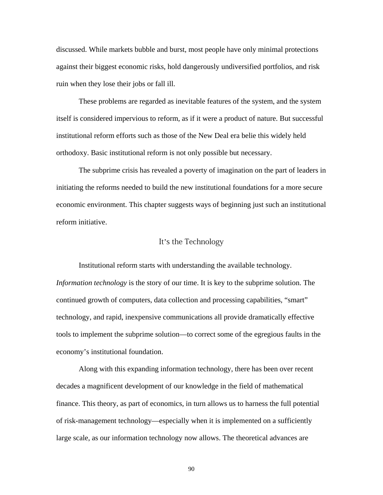discussed. While markets bubble and burst, most people have only minimal protections against their biggest economic risks, hold dangerously undiversified portfolios, and risk ruin when they lose their jobs or fall ill.

These problems are regarded as inevitable features of the system, and the system itself is considered impervious to reform, as if it were a product of nature. But successful institutional reform efforts such as those of the New Deal era belie this widely held orthodoxy. Basic institutional reform is not only possible but necessary.

The subprime crisis has revealed a poverty of imagination on the part of leaders in initiating the reforms needed to build the new institutional foundations for a more secure economic environment. This chapter suggests ways of beginning just such an institutional reform initiative.

### It's the Technology

Institutional reform starts with understanding the available technology. *Information technology* is the story of our time. It is key to the subprime solution. The continued growth of computers, data collection and processing capabilities, "smart" technology, and rapid, inexpensive communications all provide dramatically effective tools to implement the subprime solution—to correct some of the egregious faults in the economy's institutional foundation.

Along with this expanding information technology, there has been over recent decades a magnificent development of our knowledge in the field of mathematical finance. This theory, as part of economics, in turn allows us to harness the full potential of risk-management technology—especially when it is implemented on a sufficiently large scale, as our information technology now allows. The theoretical advances are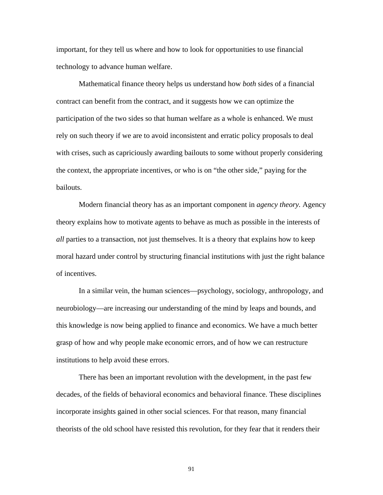important, for they tell us where and how to look for opportunities to use financial technology to advance human welfare.

Mathematical finance theory helps us understand how *both* sides of a financial contract can benefit from the contract, and it suggests how we can optimize the participation of the two sides so that human welfare as a whole is enhanced. We must rely on such theory if we are to avoid inconsistent and erratic policy proposals to deal with crises, such as capriciously awarding bailouts to some without properly considering the context, the appropriate incentives, or who is on "the other side," paying for the bailouts.

Modern financial theory has as an important component in *agency theory.* Agency theory explains how to motivate agents to behave as much as possible in the interests of *all* parties to a transaction, not just themselves. It is a theory that explains how to keep moral hazard under control by structuring financial institutions with just the right balance of incentives.

In a similar vein, the human sciences—psychology, sociology, anthropology, and neurobiology—are increasing our understanding of the mind by leaps and bounds, and this knowledge is now being applied to finance and economics. We have a much better grasp of how and why people make economic errors, and of how we can restructure institutions to help avoid these errors.

There has been an important revolution with the development, in the past few decades, of the fields of behavioral economics and behavioral finance. These disciplines incorporate insights gained in other social sciences. For that reason, many financial theorists of the old school have resisted this revolution, for they fear that it renders their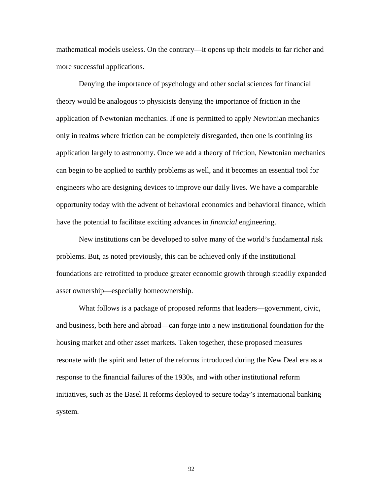mathematical models useless. On the contrary—it opens up their models to far richer and more successful applications.

Denying the importance of psychology and other social sciences for financial theory would be analogous to physicists denying the importance of friction in the application of Newtonian mechanics. If one is permitted to apply Newtonian mechanics only in realms where friction can be completely disregarded, then one is confining its application largely to astronomy. Once we add a theory of friction, Newtonian mechanics can begin to be applied to earthly problems as well, and it becomes an essential tool for engineers who are designing devices to improve our daily lives. We have a comparable opportunity today with the advent of behavioral economics and behavioral finance, which have the potential to facilitate exciting advances in *financial* engineering.

New institutions can be developed to solve many of the world's fundamental risk problems. But, as noted previously, this can be achieved only if the institutional foundations are retrofitted to produce greater economic growth through steadily expanded asset ownership—especially homeownership.

What follows is a package of proposed reforms that leaders—government, civic, and business, both here and abroad—can forge into a new institutional foundation for the housing market and other asset markets. Taken together, these proposed measures resonate with the spirit and letter of the reforms introduced during the New Deal era as a response to the financial failures of the 1930s, and with other institutional reform initiatives, such as the Basel II reforms deployed to secure today's international banking system.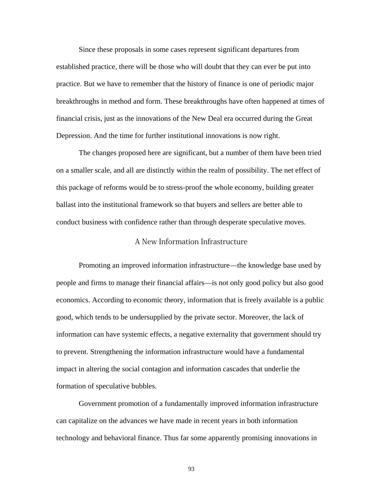Since these proposals in some cases represent significant departures from established practice, there will be those who will doubt that they can ever be put into practice. But we have to remember that the history of finance is one of periodic major breakthroughs in method and form. These breakthroughs have often happened at times of financial crisis, just as the innovations of the New Deal era occurred during the Great Depression. And the time for further institutional innovations is now right.

The changes proposed here are significant, but a number of them have been tried on a smaller scale, and all are distinctly within the realm of possibility. The net effect of this package of reforms would be to stress-proof the whole economy, building greater ballast into the institutional framework so that buyers and sellers are better able to conduct business with confidence rather than through desperate speculative moves.

## A New Information Infrastructure

Promoting an improved information infrastructure—the knowledge base used by people and firms to manage their financial affairs—is not only good policy but also good economics. According to economic theory, information that is freely available is a public good, which tends to be undersupplied by the private sector. Moreover, the lack of information can have systemic effects, a negative externality that government should try to prevent. Strengthening the information infrastructure would have a fundamental impact in altering the social contagion and information cascades that underlie the formation of speculative bubbles.

Government promotion of a fundamentally improved information infrastructure can capitalize on the advances we have made in recent years in both information technology and behavioral finance. Thus far some apparently promising innovations in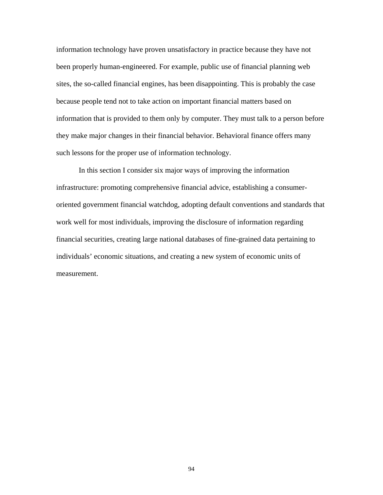information technology have proven unsatisfactory in practice because they have not been properly human-engineered. For example, public use of financial planning web sites, the so-called financial engines, has been disappointing. This is probably the case because people tend not to take action on important financial matters based on information that is provided to them only by computer. They must talk to a person before they make major changes in their financial behavior. Behavioral finance offers many such lessons for the proper use of information technology.

In this section I consider six major ways of improving the information infrastructure: promoting comprehensive financial advice, establishing a consumeroriented government financial watchdog, adopting default conventions and standards that work well for most individuals, improving the disclosure of information regarding financial securities, creating large national databases of fine-grained data pertaining to individuals' economic situations, and creating a new system of economic units of measurement.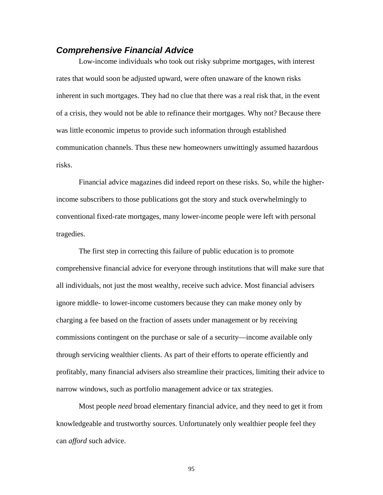## *Comprehensive Financial Advice*

Low-income individuals who took out risky subprime mortgages, with interest rates that would soon be adjusted upward, were often unaware of the known risks inherent in such mortgages. They had no clue that there was a real risk that, in the event of a crisis, they would not be able to refinance their mortgages. Why not? Because there was little economic impetus to provide such information through established communication channels. Thus these new homeowners unwittingly assumed hazardous risks.

Financial advice magazines did indeed report on these risks. So, while the higherincome subscribers to those publications got the story and stuck overwhelmingly to conventional fixed-rate mortgages, many lower-income people were left with personal tragedies.

The first step in correcting this failure of public education is to promote comprehensive financial advice for everyone through institutions that will make sure that all individuals, not just the most wealthy, receive such advice. Most financial advisers ignore middle- to lower-income customers because they can make money only by charging a fee based on the fraction of assets under management or by receiving commissions contingent on the purchase or sale of a security—income available only through servicing wealthier clients. As part of their efforts to operate efficiently and profitably, many financial advisers also streamline their practices, limiting their advice to narrow windows, such as portfolio management advice or tax strategies.

Most people *need* broad elementary financial advice, and they need to get it from knowledgeable and trustworthy sources. Unfortunately only wealthier people feel they can *afford* such advice.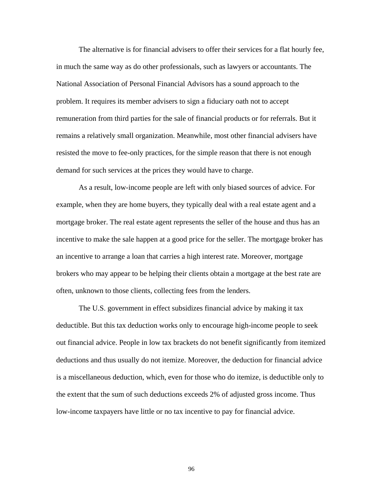The alternative is for financial advisers to offer their services for a flat hourly fee, in much the same way as do other professionals, such as lawyers or accountants. The National Association of Personal Financial Advisors has a sound approach to the problem. It requires its member advisers to sign a fiduciary oath not to accept remuneration from third parties for the sale of financial products or for referrals. But it remains a relatively small organization. Meanwhile, most other financial advisers have resisted the move to fee-only practices, for the simple reason that there is not enough demand for such services at the prices they would have to charge.

As a result, low-income people are left with only biased sources of advice. For example, when they are home buyers, they typically deal with a real estate agent and a mortgage broker. The real estate agent represents the seller of the house and thus has an incentive to make the sale happen at a good price for the seller. The mortgage broker has an incentive to arrange a loan that carries a high interest rate. Moreover, mortgage brokers who may appear to be helping their clients obtain a mortgage at the best rate are often, unknown to those clients, collecting fees from the lenders.

The U.S. government in effect subsidizes financial advice by making it tax deductible. But this tax deduction works only to encourage high-income people to seek out financial advice. People in low tax brackets do not benefit significantly from itemized deductions and thus usually do not itemize. Moreover, the deduction for financial advice is a miscellaneous deduction, which, even for those who do itemize, is deductible only to the extent that the sum of such deductions exceeds 2% of adjusted gross income. Thus low-income taxpayers have little or no tax incentive to pay for financial advice.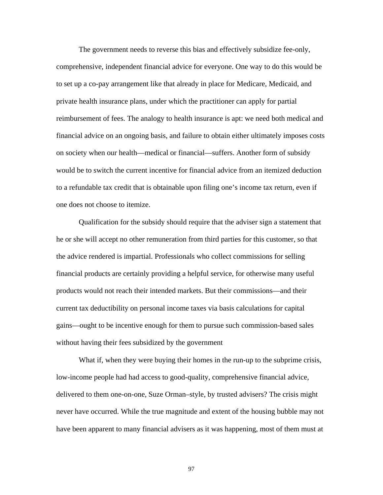The government needs to reverse this bias and effectively subsidize fee-only, comprehensive, independent financial advice for everyone. One way to do this would be to set up a co-pay arrangement like that already in place for Medicare, Medicaid, and private health insurance plans, under which the practitioner can apply for partial reimbursement of fees. The analogy to health insurance is apt: we need both medical and financial advice on an ongoing basis, and failure to obtain either ultimately imposes costs on society when our health—medical or financial—suffers. Another form of subsidy would be to switch the current incentive for financial advice from an itemized deduction to a refundable tax credit that is obtainable upon filing one's income tax return, even if one does not choose to itemize.

Qualification for the subsidy should require that the adviser sign a statement that he or she will accept no other remuneration from third parties for this customer, so that the advice rendered is impartial. Professionals who collect commissions for selling financial products are certainly providing a helpful service, for otherwise many useful products would not reach their intended markets. But their commissions—and their current tax deductibility on personal income taxes via basis calculations for capital gains—ought to be incentive enough for them to pursue such commission-based sales without having their fees subsidized by the government

What if, when they were buying their homes in the run-up to the subprime crisis, low-income people had had access to good-quality, comprehensive financial advice, delivered to them one-on-one, Suze Orman–style, by trusted advisers? The crisis might never have occurred. While the true magnitude and extent of the housing bubble may not have been apparent to many financial advisers as it was happening, most of them must at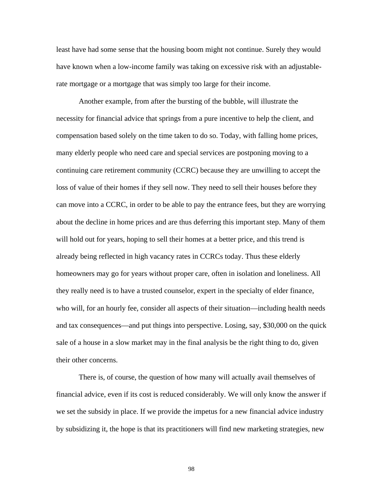least have had some sense that the housing boom might not continue. Surely they would have known when a low-income family was taking on excessive risk with an adjustablerate mortgage or a mortgage that was simply too large for their income.

Another example, from after the bursting of the bubble, will illustrate the necessity for financial advice that springs from a pure incentive to help the client, and compensation based solely on the time taken to do so. Today, with falling home prices, many elderly people who need care and special services are postponing moving to a continuing care retirement community (CCRC) because they are unwilling to accept the loss of value of their homes if they sell now. They need to sell their houses before they can move into a CCRC, in order to be able to pay the entrance fees, but they are worrying about the decline in home prices and are thus deferring this important step. Many of them will hold out for years, hoping to sell their homes at a better price, and this trend is already being reflected in high vacancy rates in CCRCs today. Thus these elderly homeowners may go for years without proper care, often in isolation and loneliness. All they really need is to have a trusted counselor, expert in the specialty of elder finance, who will, for an hourly fee, consider all aspects of their situation—including health needs and tax consequences—and put things into perspective. Losing, say, \$30,000 on the quick sale of a house in a slow market may in the final analysis be the right thing to do, given their other concerns.

There is, of course, the question of how many will actually avail themselves of financial advice, even if its cost is reduced considerably. We will only know the answer if we set the subsidy in place. If we provide the impetus for a new financial advice industry by subsidizing it, the hope is that its practitioners will find new marketing strategies, new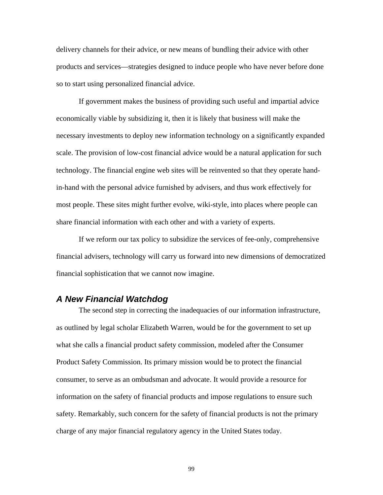delivery channels for their advice, or new means of bundling their advice with other products and services—strategies designed to induce people who have never before done so to start using personalized financial advice.

If government makes the business of providing such useful and impartial advice economically viable by subsidizing it, then it is likely that business will make the necessary investments to deploy new information technology on a significantly expanded scale. The provision of low-cost financial advice would be a natural application for such technology. The financial engine web sites will be reinvented so that they operate handin-hand with the personal advice furnished by advisers, and thus work effectively for most people. These sites might further evolve, wiki-style, into places where people can share financial information with each other and with a variety of experts.

If we reform our tax policy to subsidize the services of fee-only, comprehensive financial advisers, technology will carry us forward into new dimensions of democratized financial sophistication that we cannot now imagine.

### *A New Financial Watchdog*

The second step in correcting the inadequacies of our information infrastructure, as outlined by legal scholar Elizabeth Warren, would be for the government to set up what she calls a financial product safety commission, modeled after the Consumer Product Safety Commission. Its primary mission would be to protect the financial consumer, to serve as an ombudsman and advocate. It would provide a resource for information on the safety of financial products and impose regulations to ensure such safety. Remarkably, such concern for the safety of financial products is not the primary charge of any major financial regulatory agency in the United States today.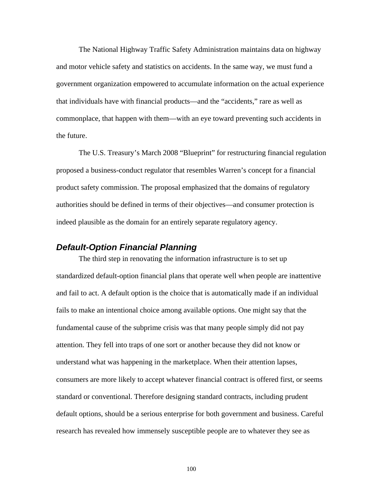The National Highway Traffic Safety Administration maintains data on highway and motor vehicle safety and statistics on accidents. In the same way, we must fund a government organization empowered to accumulate information on the actual experience that individuals have with financial products—and the "accidents," rare as well as commonplace, that happen with them—with an eye toward preventing such accidents in the future.

The U.S. Treasury's March 2008 "Blueprint" for restructuring financial regulation proposed a business-conduct regulator that resembles Warren's concept for a financial product safety commission. The proposal emphasized that the domains of regulatory authorities should be defined in terms of their objectives—and consumer protection is indeed plausible as the domain for an entirely separate regulatory agency.

### *Default-Option Financial Planning*

The third step in renovating the information infrastructure is to set up standardized default-option financial plans that operate well when people are inattentive and fail to act. A default option is the choice that is automatically made if an individual fails to make an intentional choice among available options. One might say that the fundamental cause of the subprime crisis was that many people simply did not pay attention. They fell into traps of one sort or another because they did not know or understand what was happening in the marketplace. When their attention lapses, consumers are more likely to accept whatever financial contract is offered first, or seems standard or conventional. Therefore designing standard contracts, including prudent default options, should be a serious enterprise for both government and business. Careful research has revealed how immensely susceptible people are to whatever they see as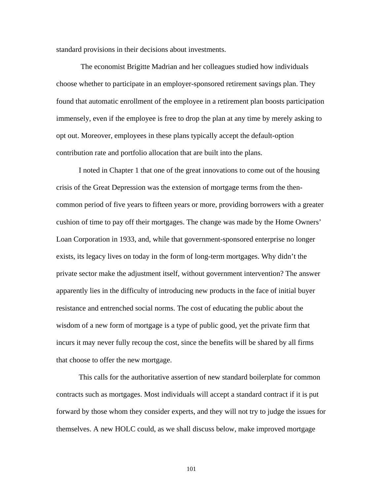standard provisions in their decisions about investments.

 The economist Brigitte Madrian and her colleagues studied how individuals choose whether to participate in an employer-sponsored retirement savings plan. They found that automatic enrollment of the employee in a retirement plan boosts participation immensely, even if the employee is free to drop the plan at any time by merely asking to opt out. Moreover, employees in these plans typically accept the default-option contribution rate and portfolio allocation that are built into the plans.

I noted in Chapter 1 that one of the great innovations to come out of the housing crisis of the Great Depression was the extension of mortgage terms from the thencommon period of five years to fifteen years or more, providing borrowers with a greater cushion of time to pay off their mortgages. The change was made by the Home Owners' Loan Corporation in 1933, and, while that government-sponsored enterprise no longer exists, its legacy lives on today in the form of long-term mortgages. Why didn't the private sector make the adjustment itself, without government intervention? The answer apparently lies in the difficulty of introducing new products in the face of initial buyer resistance and entrenched social norms. The cost of educating the public about the wisdom of a new form of mortgage is a type of public good, yet the private firm that incurs it may never fully recoup the cost, since the benefits will be shared by all firms that choose to offer the new mortgage.

This calls for the authoritative assertion of new standard boilerplate for common contracts such as mortgages. Most individuals will accept a standard contract if it is put forward by those whom they consider experts, and they will not try to judge the issues for themselves. A new HOLC could, as we shall discuss below, make improved mortgage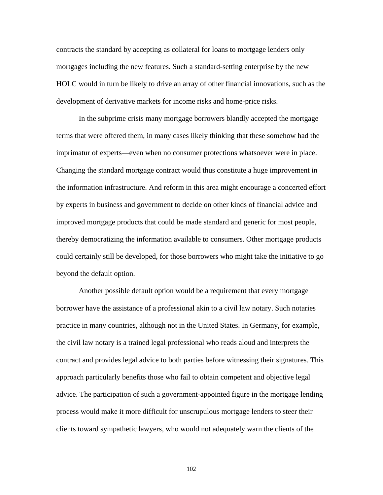contracts the standard by accepting as collateral for loans to mortgage lenders only mortgages including the new features. Such a standard-setting enterprise by the new HOLC would in turn be likely to drive an array of other financial innovations, such as the development of derivative markets for income risks and home-price risks.

In the subprime crisis many mortgage borrowers blandly accepted the mortgage terms that were offered them, in many cases likely thinking that these somehow had the imprimatur of experts—even when no consumer protections whatsoever were in place. Changing the standard mortgage contract would thus constitute a huge improvement in the information infrastructure. And reform in this area might encourage a concerted effort by experts in business and government to decide on other kinds of financial advice and improved mortgage products that could be made standard and generic for most people, thereby democratizing the information available to consumers. Other mortgage products could certainly still be developed, for those borrowers who might take the initiative to go beyond the default option.

Another possible default option would be a requirement that every mortgage borrower have the assistance of a professional akin to a civil law notary. Such notaries practice in many countries, although not in the United States. In Germany, for example, the civil law notary is a trained legal professional who reads aloud and interprets the contract and provides legal advice to both parties before witnessing their signatures. This approach particularly benefits those who fail to obtain competent and objective legal advice. The participation of such a government-appointed figure in the mortgage lending process would make it more difficult for unscrupulous mortgage lenders to steer their clients toward sympathetic lawyers, who would not adequately warn the clients of the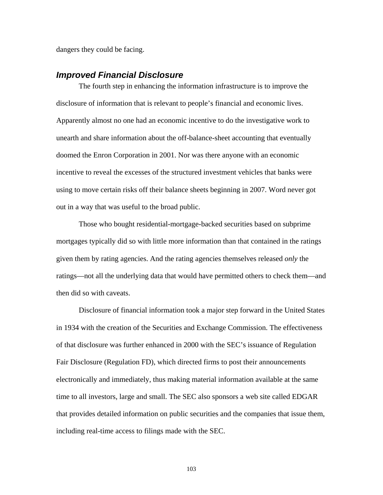dangers they could be facing.

# *Improved Financial Disclosure*

The fourth step in enhancing the information infrastructure is to improve the disclosure of information that is relevant to people's financial and economic lives. Apparently almost no one had an economic incentive to do the investigative work to unearth and share information about the off-balance-sheet accounting that eventually doomed the Enron Corporation in 2001. Nor was there anyone with an economic incentive to reveal the excesses of the structured investment vehicles that banks were using to move certain risks off their balance sheets beginning in 2007. Word never got out in a way that was useful to the broad public.

Those who bought residential-mortgage-backed securities based on subprime mortgages typically did so with little more information than that contained in the ratings given them by rating agencies. And the rating agencies themselves released *only* the ratings—not all the underlying data that would have permitted others to check them—and then did so with caveats.

Disclosure of financial information took a major step forward in the United States in 1934 with the creation of the Securities and Exchange Commission. The effectiveness of that disclosure was further enhanced in 2000 with the SEC's issuance of Regulation Fair Disclosure (Regulation FD), which directed firms to post their announcements electronically and immediately, thus making material information available at the same time to all investors, large and small. The SEC also sponsors a web site called EDGAR that provides detailed information on public securities and the companies that issue them, including real-time access to filings made with the SEC.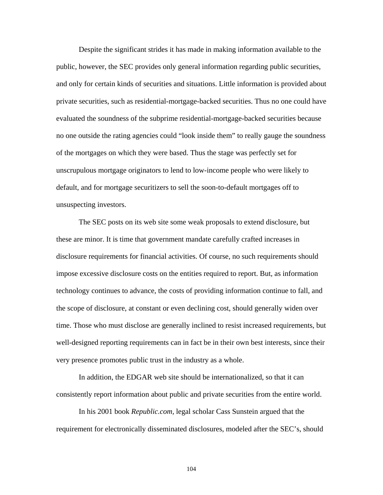Despite the significant strides it has made in making information available to the public, however, the SEC provides only general information regarding public securities, and only for certain kinds of securities and situations. Little information is provided about private securities, such as residential-mortgage-backed securities. Thus no one could have evaluated the soundness of the subprime residential-mortgage-backed securities because no one outside the rating agencies could "look inside them" to really gauge the soundness of the mortgages on which they were based. Thus the stage was perfectly set for unscrupulous mortgage originators to lend to low-income people who were likely to default, and for mortgage securitizers to sell the soon-to-default mortgages off to unsuspecting investors.

The SEC posts on its web site some weak proposals to extend disclosure, but these are minor. It is time that government mandate carefully crafted increases in disclosure requirements for financial activities. Of course, no such requirements should impose excessive disclosure costs on the entities required to report. But, as information technology continues to advance, the costs of providing information continue to fall, and the scope of disclosure, at constant or even declining cost, should generally widen over time. Those who must disclose are generally inclined to resist increased requirements, but well-designed reporting requirements can in fact be in their own best interests, since their very presence promotes public trust in the industry as a whole.

In addition, the EDGAR web site should be internationalized, so that it can consistently report information about public and private securities from the entire world.

In his 2001 book *Republic.com,* legal scholar Cass Sunstein argued that the requirement for electronically disseminated disclosures, modeled after the SEC's, should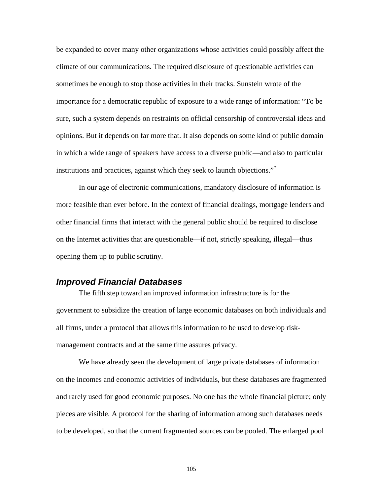be expanded to cover many other organizations whose activities could possibly affect the climate of our communications. The required disclosure of questionable activities can sometimes be enough to stop those activities in their tracks. Sunstein wrote of the importance for a democratic republic of exposure to a wide range of information: "To be sure, such a system depends on restraints on official censorship of controversial ideas and opinions. But it depends on far more that. It also depends on some kind of public domain in which a wide range of speakers have access to a diverse public—and also to particular institutions and practices, against which they seek to launch objections."[\\*](#page-135-1)

In our age of electronic communications, mandatory disclosure of information is more feasible than ever before. In the context of financial dealings, mortgage lenders and other financial firms that interact with the general public should be required to disclose on the Internet activities that are questionable—if not, strictly speaking, illegal—thus opening them up to public scrutiny.

## *Improved Financial Databases*

The fifth step toward an improved information infrastructure is for the government to subsidize the creation of large economic databases on both individuals and all firms, under a protocol that allows this information to be used to develop riskmanagement contracts and at the same time assures privacy.

We have already seen the development of large private databases of information on the incomes and economic activities of individuals, but these databases are fragmented and rarely used for good economic purposes. No one has the whole financial picture; only pieces are visible. A protocol for the sharing of information among such databases needs to be developed, so that the current fragmented sources can be pooled. The enlarged pool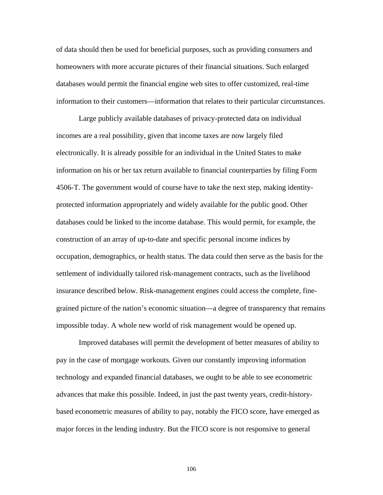of data should then be used for beneficial purposes, such as providing consumers and homeowners with more accurate pictures of their financial situations. Such enlarged databases would permit the financial engine web sites to offer customized, real-time information to their customers—information that relates to their particular circumstances.

Large publicly available databases of privacy-protected data on individual incomes are a real possibility, given that income taxes are now largely filed electronically. It is already possible for an individual in the United States to make information on his or her tax return available to financial counterparties by filing Form 4506-T. The government would of course have to take the next step, making identityprotected information appropriately and widely available for the public good. Other databases could be linked to the income database. This would permit, for example, the construction of an array of up-to-date and specific personal income indices by occupation, demographics, or health status. The data could then serve as the basis for the settlement of individually tailored risk-management contracts, such as the livelihood insurance described below. Risk-management engines could access the complete, finegrained picture of the nation's economic situation—a degree of transparency that remains impossible today. A whole new world of risk management would be opened up.

Improved databases will permit the development of better measures of ability to pay in the case of mortgage workouts. Given our constantly improving information technology and expanded financial databases, we ought to be able to see econometric advances that make this possible. Indeed, in just the past twenty years, credit-historybased econometric measures of ability to pay, notably the FICO score, have emerged as major forces in the lending industry. But the FICO score is not responsive to general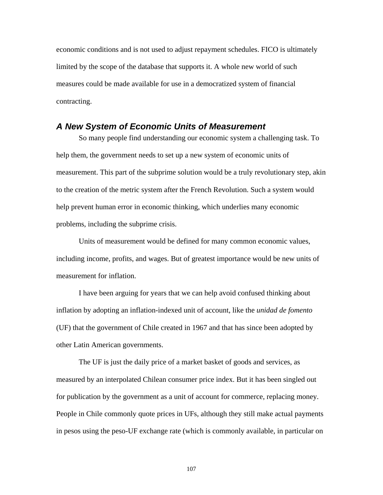economic conditions and is not used to adjust repayment schedules. FICO is ultimately limited by the scope of the database that supports it. A whole new world of such measures could be made available for use in a democratized system of financial contracting.

# *A New System of Economic Units of Measurement*

So many people find understanding our economic system a challenging task. To help them, the government needs to set up a new system of economic units of measurement. This part of the subprime solution would be a truly revolutionary step, akin to the creation of the metric system after the French Revolution. Such a system would help prevent human error in economic thinking, which underlies many economic problems, including the subprime crisis.

Units of measurement would be defined for many common economic values, including income, profits, and wages. But of greatest importance would be new units of measurement for inflation.

I have been arguing for years that we can help avoid confused thinking about inflation by adopting an inflation-indexed unit of account, like the *unidad de fomento* (UF) that the government of Chile created in 1967 and that has since been adopted by other Latin American governments.

The UF is just the daily price of a market basket of goods and services, as measured by an interpolated Chilean consumer price index. But it has been singled out for publication by the government as a unit of account for commerce, replacing money. People in Chile commonly quote prices in UFs, although they still make actual payments in pesos using the peso-UF exchange rate (which is commonly available, in particular on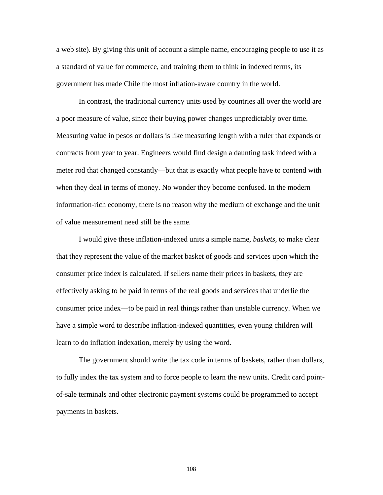a web site). By giving this unit of account a simple name, encouraging people to use it as a standard of value for commerce, and training them to think in indexed terms, its government has made Chile the most inflation-aware country in the world.

In contrast, the traditional currency units used by countries all over the world are a poor measure of value, since their buying power changes unpredictably over time. Measuring value in pesos or dollars is like measuring length with a ruler that expands or contracts from year to year. Engineers would find design a daunting task indeed with a meter rod that changed constantly—but that is exactly what people have to contend with when they deal in terms of money. No wonder they become confused. In the modern information-rich economy, there is no reason why the medium of exchange and the unit of value measurement need still be the same.

I would give these inflation-indexed units a simple name, *baskets,* to make clear that they represent the value of the market basket of goods and services upon which the consumer price index is calculated. If sellers name their prices in baskets, they are effectively asking to be paid in terms of the real goods and services that underlie the consumer price index—to be paid in real things rather than unstable currency. When we have a simple word to describe inflation-indexed quantities, even young children will learn to do inflation indexation, merely by using the word.

The government should write the tax code in terms of baskets, rather than dollars, to fully index the tax system and to force people to learn the new units. Credit card pointof-sale terminals and other electronic payment systems could be programmed to accept payments in baskets.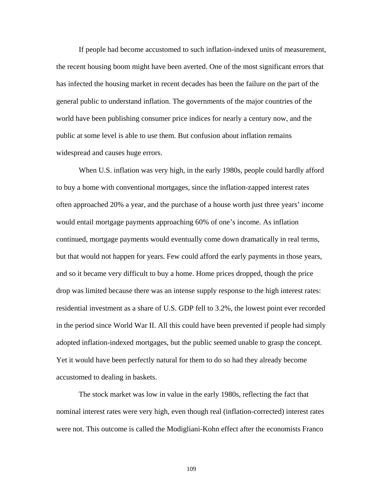If people had become accustomed to such inflation-indexed units of measurement, the recent housing boom might have been averted. One of the most significant errors that has infected the housing market in recent decades has been the failure on the part of the general public to understand inflation. The governments of the major countries of the world have been publishing consumer price indices for nearly a century now, and the public at some level is able to use them. But confusion about inflation remains widespread and causes huge errors.

When U.S. inflation was very high, in the early 1980s, people could hardly afford to buy a home with conventional mortgages, since the inflation-zapped interest rates often approached 20% a year, and the purchase of a house worth just three years' income would entail mortgage payments approaching 60% of one's income. As inflation continued, mortgage payments would eventually come down dramatically in real terms, but that would not happen for years. Few could afford the early payments in those years, and so it became very difficult to buy a home. Home prices dropped, though the price drop was limited because there was an intense supply response to the high interest rates: residential investment as a share of U.S. GDP fell to 3.2%, the lowest point ever recorded in the period since World War II. All this could have been prevented if people had simply adopted inflation-indexed mortgages, but the public seemed unable to grasp the concept. Yet it would have been perfectly natural for them to do so had they already become accustomed to dealing in baskets.

The stock market was low in value in the early 1980s, reflecting the fact that nominal interest rates were very high, even though real (inflation-corrected) interest rates were not. This outcome is called the Modigliani-Kohn effect after the economists Franco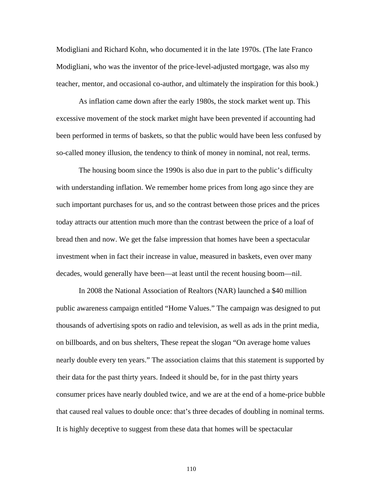Modigliani and Richard Kohn, who documented it in the late 1970s. (The late Franco Modigliani, who was the inventor of the price-level-adjusted mortgage, was also my teacher, mentor, and occasional co-author, and ultimately the inspiration for this book.)

As inflation came down after the early 1980s, the stock market went up. This excessive movement of the stock market might have been prevented if accounting had been performed in terms of baskets, so that the public would have been less confused by so-called money illusion, the tendency to think of money in nominal, not real, terms.

The housing boom since the 1990s is also due in part to the public's difficulty with understanding inflation. We remember home prices from long ago since they are such important purchases for us, and so the contrast between those prices and the prices today attracts our attention much more than the contrast between the price of a loaf of bread then and now. We get the false impression that homes have been a spectacular investment when in fact their increase in value, measured in baskets, even over many decades, would generally have been—at least until the recent housing boom—nil.

In 2008 the National Association of Realtors (NAR) launched a \$40 million public awareness campaign entitled "Home Values." The campaign was designed to put thousands of advertising spots on radio and television, as well as ads in the print media, on billboards, and on bus shelters, These repeat the slogan "On average home values nearly double every ten years." The association claims that this statement is supported by their data for the past thirty years. Indeed it should be, for in the past thirty years consumer prices have nearly doubled twice, and we are at the end of a home-price bubble that caused real values to double once: that's three decades of doubling in nominal terms. It is highly deceptive to suggest from these data that homes will be spectacular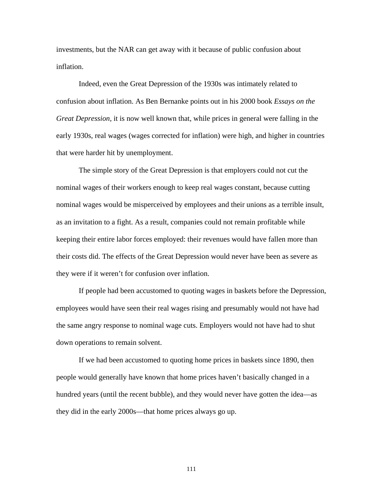investments, but the NAR can get away with it because of public confusion about inflation.

Indeed, even the Great Depression of the 1930s was intimately related to confusion about inflation. As Ben Bernanke points out in his 2000 book *Essays on the Great Depression,* it is now well known that, while prices in general were falling in the early 1930s, real wages (wages corrected for inflation) were high, and higher in countries that were harder hit by unemployment.

The simple story of the Great Depression is that employers could not cut the nominal wages of their workers enough to keep real wages constant, because cutting nominal wages would be misperceived by employees and their unions as a terrible insult, as an invitation to a fight. As a result, companies could not remain profitable while keeping their entire labor forces employed: their revenues would have fallen more than their costs did. The effects of the Great Depression would never have been as severe as they were if it weren't for confusion over inflation.

If people had been accustomed to quoting wages in baskets before the Depression, employees would have seen their real wages rising and presumably would not have had the same angry response to nominal wage cuts. Employers would not have had to shut down operations to remain solvent.

If we had been accustomed to quoting home prices in baskets since 1890, then people would generally have known that home prices haven't basically changed in a hundred years (until the recent bubble), and they would never have gotten the idea—as they did in the early 2000s—that home prices always go up.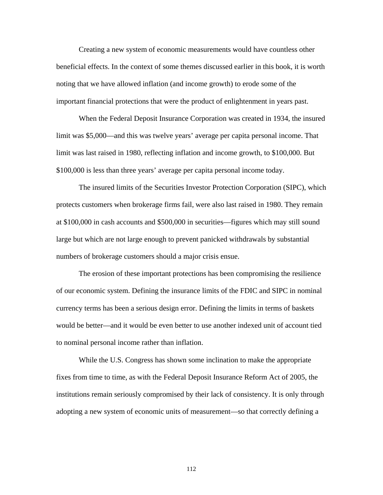Creating a new system of economic measurements would have countless other beneficial effects. In the context of some themes discussed earlier in this book, it is worth noting that we have allowed inflation (and income growth) to erode some of the important financial protections that were the product of enlightenment in years past.

When the Federal Deposit Insurance Corporation was created in 1934, the insured limit was \$5,000—and this was twelve years' average per capita personal income. That limit was last raised in 1980, reflecting inflation and income growth, to \$100,000. But \$100,000 is less than three years' average per capita personal income today.

The insured limits of the Securities Investor Protection Corporation (SIPC), which protects customers when brokerage firms fail, were also last raised in 1980. They remain at \$100,000 in cash accounts and \$500,000 in securities—figures which may still sound large but which are not large enough to prevent panicked withdrawals by substantial numbers of brokerage customers should a major crisis ensue.

The erosion of these important protections has been compromising the resilience of our economic system. Defining the insurance limits of the FDIC and SIPC in nominal currency terms has been a serious design error. Defining the limits in terms of baskets would be better—and it would be even better to use another indexed unit of account tied to nominal personal income rather than inflation.

While the U.S. Congress has shown some inclination to make the appropriate fixes from time to time, as with the Federal Deposit Insurance Reform Act of 2005, the institutions remain seriously compromised by their lack of consistency. It is only through adopting a new system of economic units of measurement—so that correctly defining a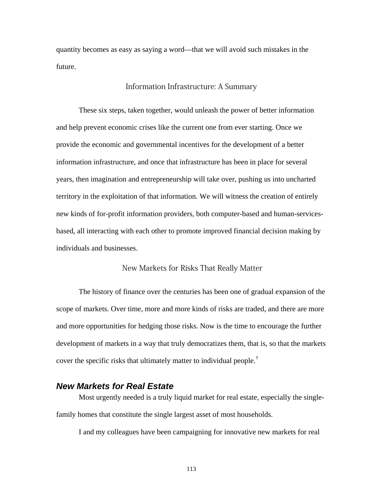quantity becomes as easy as saying a word—that we will avoid such mistakes in the future.

#### Information Infrastructure: A Summary

These six steps, taken together, would unleash the power of better information and help prevent economic crises like the current one from ever starting. Once we provide the economic and governmental incentives for the development of a better information infrastructure, and once that infrastructure has been in place for several years, then imagination and entrepreneurship will take over, pushing us into uncharted territory in the exploitation of that information. We will witness the creation of entirely new kinds of for-profit information providers, both computer-based and human-servicesbased, all interacting with each other to promote improved financial decision making by individuals and businesses.

## New Markets for Risks That Really Matter

The history of finance over the centuries has been one of gradual expansion of the scope of markets. Over time, more and more kinds of risks are traded, and there are more and more opportunities for hedging those risks. Now is the time to encourage the further development of markets in a way that truly democratizes them, that is, so that the markets cover the specific risks that ultimately matter to individual people.<sup>[†](#page-135-0)</sup>

## *New Markets for Real Estate*

Most urgently needed is a truly liquid market for real estate, especially the singlefamily homes that constitute the single largest asset of most households.

I and my colleagues have been campaigning for innovative new markets for real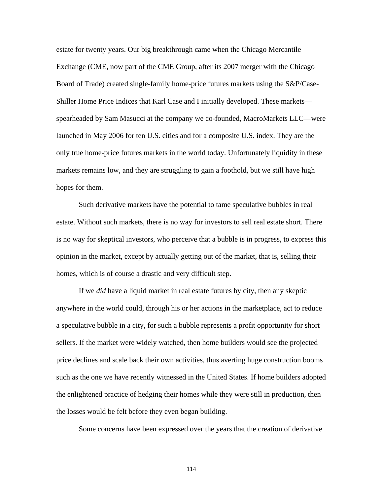estate for twenty years. Our big breakthrough came when the Chicago Mercantile Exchange (CME, now part of the CME Group, after its 2007 merger with the Chicago Board of Trade) created single-family home-price futures markets using the S&P/Case-Shiller Home Price Indices that Karl Case and I initially developed. These markets spearheaded by Sam Masucci at the company we co-founded, MacroMarkets LLC—were launched in May 2006 for ten U.S. cities and for a composite U.S. index. They are the only true home-price futures markets in the world today. Unfortunately liquidity in these markets remains low, and they are struggling to gain a foothold, but we still have high hopes for them.

Such derivative markets have the potential to tame speculative bubbles in real estate. Without such markets, there is no way for investors to sell real estate short. There is no way for skeptical investors, who perceive that a bubble is in progress, to express this opinion in the market, except by actually getting out of the market, that is, selling their homes, which is of course a drastic and very difficult step.

If we *did* have a liquid market in real estate futures by city, then any skeptic anywhere in the world could, through his or her actions in the marketplace, act to reduce a speculative bubble in a city, for such a bubble represents a profit opportunity for short sellers. If the market were widely watched, then home builders would see the projected price declines and scale back their own activities, thus averting huge construction booms such as the one we have recently witnessed in the United States. If home builders adopted the enlightened practice of hedging their homes while they were still in production, then the losses would be felt before they even began building.

Some concerns have been expressed over the years that the creation of derivative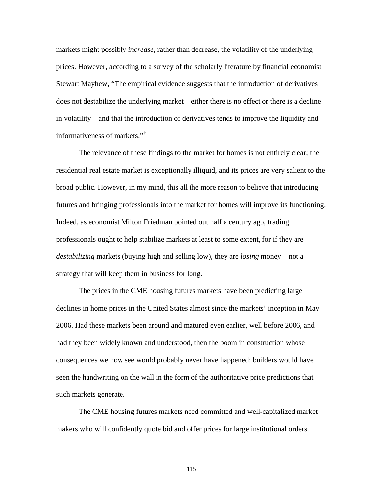markets might possibly *increase,* rather than decrease, the volatility of the underlying prices. However, according to a survey of the scholarly literature by financial economist Stewart Mayhew, "The empirical evidence suggests that the introduction of derivatives does not destabilize the underlying market—either there is no effect or there is a decline in volatility—and that the introduction of derivatives tends to improve the liquidity and informativeness of markets."[‡](#page-136-0)

The relevance of these findings to the market for homes is not entirely clear; the residential real estate market is exceptionally illiquid, and its prices are very salient to the broad public. However, in my mind, this all the more reason to believe that introducing futures and bringing professionals into the market for homes will improve its functioning. Indeed, as economist Milton Friedman pointed out half a century ago, trading professionals ought to help stabilize markets at least to some extent, for if they are *destabilizing* markets (buying high and selling low), they are *losing* money—not a strategy that will keep them in business for long.

The prices in the CME housing futures markets have been predicting large declines in home prices in the United States almost since the markets' inception in May 2006. Had these markets been around and matured even earlier, well before 2006, and had they been widely known and understood, then the boom in construction whose consequences we now see would probably never have happened: builders would have seen the handwriting on the wall in the form of the authoritative price predictions that such markets generate.

The CME housing futures markets need committed and well-capitalized market makers who will confidently quote bid and offer prices for large institutional orders.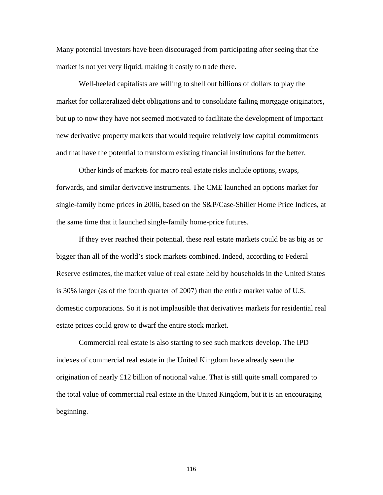Many potential investors have been discouraged from participating after seeing that the market is not yet very liquid, making it costly to trade there.

Well-heeled capitalists are willing to shell out billions of dollars to play the market for collateralized debt obligations and to consolidate failing mortgage originators, but up to now they have not seemed motivated to facilitate the development of important new derivative property markets that would require relatively low capital commitments and that have the potential to transform existing financial institutions for the better.

Other kinds of markets for macro real estate risks include options, swaps, forwards, and similar derivative instruments. The CME launched an options market for single-family home prices in 2006, based on the S&P/Case-Shiller Home Price Indices, at the same time that it launched single-family home-price futures.

If they ever reached their potential, these real estate markets could be as big as or bigger than all of the world's stock markets combined. Indeed, according to Federal Reserve estimates, the market value of real estate held by households in the United States is 30% larger (as of the fourth quarter of 2007) than the entire market value of U.S. domestic corporations. So it is not implausible that derivatives markets for residential real estate prices could grow to dwarf the entire stock market.

Commercial real estate is also starting to see such markets develop. The IPD indexes of commercial real estate in the United Kingdom have already seen the origination of nearly £12 billion of notional value. That is still quite small compared to the total value of commercial real estate in the United Kingdom, but it is an encouraging beginning.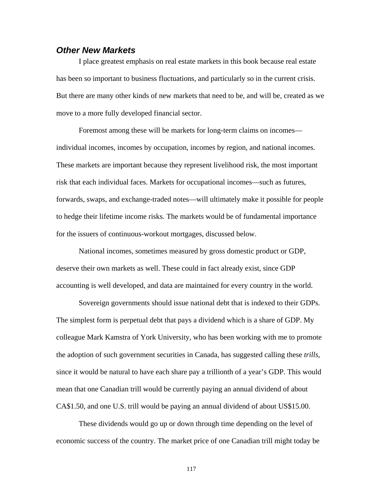## *Other New Markets*

I place greatest emphasis on real estate markets in this book because real estate has been so important to business fluctuations, and particularly so in the current crisis. But there are many other kinds of new markets that need to be, and will be, created as we move to a more fully developed financial sector.

Foremost among these will be markets for long-term claims on incomes individual incomes, incomes by occupation, incomes by region, and national incomes. These markets are important because they represent livelihood risk, the most important risk that each individual faces. Markets for occupational incomes—such as futures, forwards, swaps, and exchange-traded notes—will ultimately make it possible for people to hedge their lifetime income risks. The markets would be of fundamental importance for the issuers of continuous-workout mortgages, discussed below.

National incomes, sometimes measured by gross domestic product or GDP, deserve their own markets as well. These could in fact already exist, since GDP accounting is well developed, and data are maintained for every country in the world.

Sovereign governments should issue national debt that is indexed to their GDPs. The simplest form is perpetual debt that pays a dividend which is a share of GDP. My colleague Mark Kamstra of York University, who has been working with me to promote the adoption of such government securities in Canada, has suggested calling these *trills,* since it would be natural to have each share pay a trillionth of a year's GDP. This would mean that one Canadian trill would be currently paying an annual dividend of about CA\$1.50, and one U.S. trill would be paying an annual dividend of about US\$15.00.

These dividends would go up or down through time depending on the level of economic success of the country. The market price of one Canadian trill might today be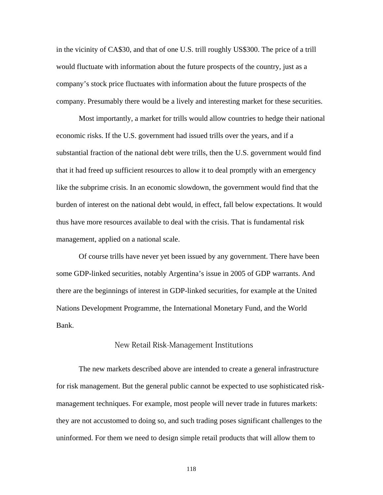in the vicinity of CA\$30, and that of one U.S. trill roughly US\$300. The price of a trill would fluctuate with information about the future prospects of the country, just as a company's stock price fluctuates with information about the future prospects of the company. Presumably there would be a lively and interesting market for these securities.

Most importantly, a market for trills would allow countries to hedge their national economic risks. If the U.S. government had issued trills over the years, and if a substantial fraction of the national debt were trills, then the U.S. government would find that it had freed up sufficient resources to allow it to deal promptly with an emergency like the subprime crisis. In an economic slowdown, the government would find that the burden of interest on the national debt would, in effect, fall below expectations. It would thus have more resources available to deal with the crisis. That is fundamental risk management, applied on a national scale.

Of course trills have never yet been issued by any government. There have been some GDP-linked securities, notably Argentina's issue in 2005 of GDP warrants. And there are the beginnings of interest in GDP-linked securities, for example at the United Nations Development Programme, the International Monetary Fund, and the World Bank.

#### New Retail Risk-Management Institutions

 The new markets described above are intended to create a general infrastructure for risk management. But the general public cannot be expected to use sophisticated riskmanagement techniques. For example, most people will never trade in futures markets: they are not accustomed to doing so, and such trading poses significant challenges to the uninformed. For them we need to design simple retail products that will allow them to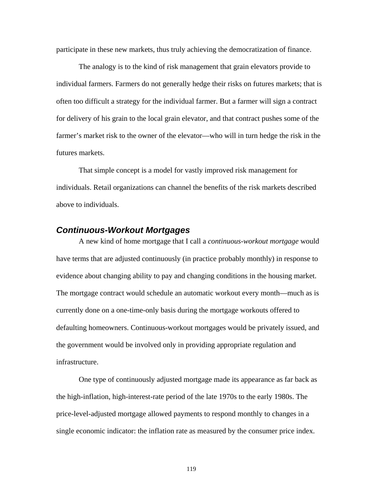participate in these new markets, thus truly achieving the democratization of finance.

The analogy is to the kind of risk management that grain elevators provide to individual farmers. Farmers do not generally hedge their risks on futures markets; that is often too difficult a strategy for the individual farmer. But a farmer will sign a contract for delivery of his grain to the local grain elevator, and that contract pushes some of the farmer's market risk to the owner of the elevator—who will in turn hedge the risk in the futures markets.

That simple concept is a model for vastly improved risk management for individuals. Retail organizations can channel the benefits of the risk markets described above to individuals.

### *Continuous-Workout Mortgages*

A new kind of home mortgage that I call a *continuous-workout mortgage* would have terms that are adjusted continuously (in practice probably monthly) in response to evidence about changing ability to pay and changing conditions in the housing market. The mortgage contract would schedule an automatic workout every month—much as is currently done on a one-time-only basis during the mortgage workouts offered to defaulting homeowners. Continuous-workout mortgages would be privately issued, and the government would be involved only in providing appropriate regulation and infrastructure.

One type of continuously adjusted mortgage made its appearance as far back as the high-inflation, high-interest-rate period of the late 1970s to the early 1980s. The price-level-adjusted mortgage allowed payments to respond monthly to changes in a single economic indicator: the inflation rate as measured by the consumer price index.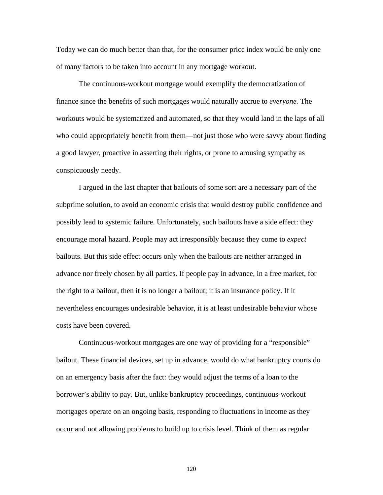Today we can do much better than that, for the consumer price index would be only one of many factors to be taken into account in any mortgage workout.

The continuous-workout mortgage would exemplify the democratization of finance since the benefits of such mortgages would naturally accrue to *everyone.* The workouts would be systematized and automated, so that they would land in the laps of all who could appropriately benefit from them—not just those who were savvy about finding a good lawyer, proactive in asserting their rights, or prone to arousing sympathy as conspicuously needy.

I argued in the last chapter that bailouts of some sort are a necessary part of the subprime solution, to avoid an economic crisis that would destroy public confidence and possibly lead to systemic failure. Unfortunately, such bailouts have a side effect: they encourage moral hazard. People may act irresponsibly because they come to *expect* bailouts. But this side effect occurs only when the bailouts are neither arranged in advance nor freely chosen by all parties. If people pay in advance, in a free market, for the right to a bailout, then it is no longer a bailout; it is an insurance policy. If it nevertheless encourages undesirable behavior, it is at least undesirable behavior whose costs have been covered.

Continuous-workout mortgages are one way of providing for a "responsible" bailout. These financial devices, set up in advance, would do what bankruptcy courts do on an emergency basis after the fact: they would adjust the terms of a loan to the borrower's ability to pay. But, unlike bankruptcy proceedings, continuous-workout mortgages operate on an ongoing basis, responding to fluctuations in income as they occur and not allowing problems to build up to crisis level. Think of them as regular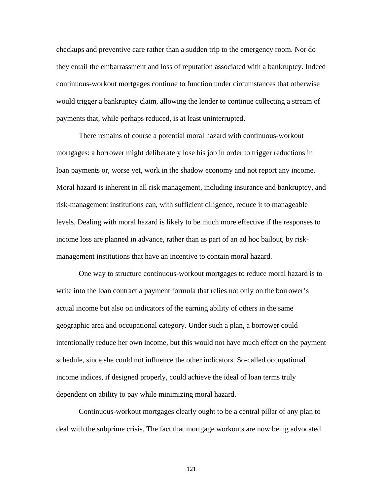checkups and preventive care rather than a sudden trip to the emergency room. Nor do they entail the embarrassment and loss of reputation associated with a bankruptcy. Indeed continuous-workout mortgages continue to function under circumstances that otherwise would trigger a bankruptcy claim, allowing the lender to continue collecting a stream of payments that, while perhaps reduced, is at least uninterrupted.

There remains of course a potential moral hazard with continuous-workout mortgages: a borrower might deliberately lose his job in order to trigger reductions in loan payments or, worse yet, work in the shadow economy and not report any income. Moral hazard is inherent in all risk management, including insurance and bankruptcy, and risk-management institutions can, with sufficient diligence, reduce it to manageable levels. Dealing with moral hazard is likely to be much more effective if the responses to income loss are planned in advance, rather than as part of an ad hoc bailout, by riskmanagement institutions that have an incentive to contain moral hazard.

One way to structure continuous-workout mortgages to reduce moral hazard is to write into the loan contract a payment formula that relies not only on the borrower's actual income but also on indicators of the earning ability of others in the same geographic area and occupational category. Under such a plan, a borrower could intentionally reduce her own income, but this would not have much effect on the payment schedule, since she could not influence the other indicators. So-called occupational income indices, if designed properly, could achieve the ideal of loan terms truly dependent on ability to pay while minimizing moral hazard.

Continuous-workout mortgages clearly ought to be a central pillar of any plan to deal with the subprime crisis. The fact that mortgage workouts are now being advocated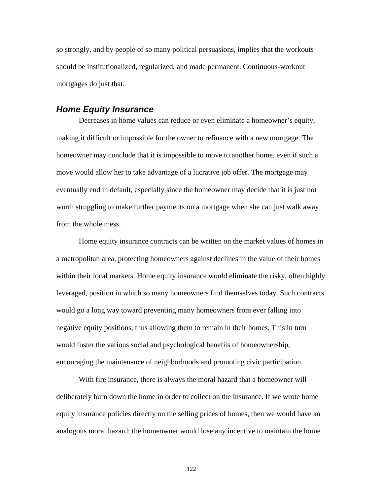so strongly, and by people of so many political persuasions, implies that the workouts should be institutionalized, regularized, and made permanent. Continuous-workout mortgages do just that.

### *Home Equity Insurance*

Decreases in home values can reduce or even eliminate a homeowner's equity, making it difficult or impossible for the owner to refinance with a new mortgage. The homeowner may conclude that it is impossible to move to another home, even if such a move would allow her to take advantage of a lucrative job offer. The mortgage may eventually end in default, especially since the homeowner may decide that it is just not worth struggling to make further payments on a mortgage when she can just walk away from the whole mess.

Home equity insurance contracts can be written on the market values of homes in a metropolitan area, protecting homeowners against declines in the value of their homes within their local markets. Home equity insurance would eliminate the risky, often highly leveraged, position in which so many homeowners find themselves today. Such contracts would go a long way toward preventing many homeowners from ever falling into negative equity positions, thus allowing them to remain in their homes. This in turn would foster the various social and psychological benefits of homeownership, encouraging the maintenance of neighborhoods and promoting civic participation.

With fire insurance, there is always the moral hazard that a homeowner will deliberately burn down the home in order to collect on the insurance. If we wrote home equity insurance policies directly on the selling prices of homes, then we would have an analogous moral hazard: the homeowner would lose any incentive to maintain the home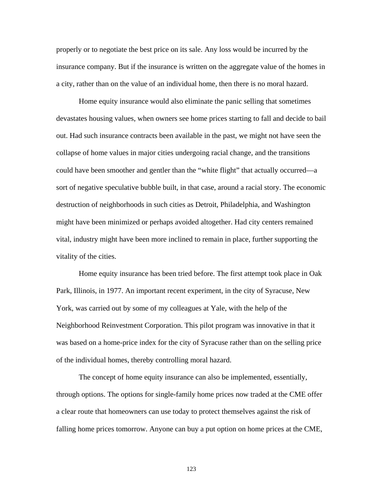properly or to negotiate the best price on its sale. Any loss would be incurred by the insurance company. But if the insurance is written on the aggregate value of the homes in a city, rather than on the value of an individual home, then there is no moral hazard.

Home equity insurance would also eliminate the panic selling that sometimes devastates housing values, when owners see home prices starting to fall and decide to bail out. Had such insurance contracts been available in the past, we might not have seen the collapse of home values in major cities undergoing racial change, and the transitions could have been smoother and gentler than the "white flight" that actually occurred—a sort of negative speculative bubble built, in that case, around a racial story. The economic destruction of neighborhoods in such cities as Detroit, Philadelphia, and Washington might have been minimized or perhaps avoided altogether. Had city centers remained vital, industry might have been more inclined to remain in place, further supporting the vitality of the cities.

Home equity insurance has been tried before. The first attempt took place in Oak Park, Illinois, in 1977. An important recent experiment, in the city of Syracuse, New York, was carried out by some of my colleagues at Yale, with the help of the Neighborhood Reinvestment Corporation. This pilot program was innovative in that it was based on a home-price index for the city of Syracuse rather than on the selling price of the individual homes, thereby controlling moral hazard.

The concept of home equity insurance can also be implemented, essentially, through options. The options for single-family home prices now traded at the CME offer a clear route that homeowners can use today to protect themselves against the risk of falling home prices tomorrow. Anyone can buy a put option on home prices at the CME,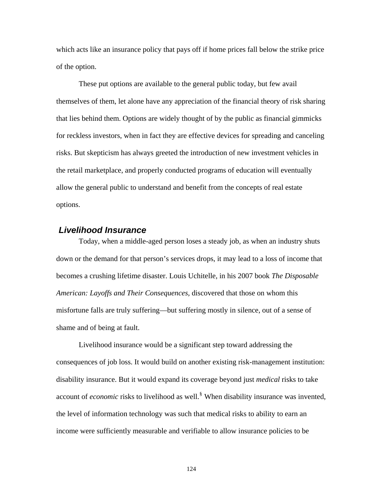which acts like an insurance policy that pays off if home prices fall below the strike price of the option.

These put options are available to the general public today, but few avail themselves of them, let alone have any appreciation of the financial theory of risk sharing that lies behind them. Options are widely thought of by the public as financial gimmicks for reckless investors, when in fact they are effective devices for spreading and canceling risks. But skepticism has always greeted the introduction of new investment vehicles in the retail marketplace, and properly conducted programs of education will eventually allow the general public to understand and benefit from the concepts of real estate options.

# *Livelihood Insurance*

Today, when a middle-aged person loses a steady job, as when an industry shuts down or the demand for that person's services drops, it may lead to a loss of income that becomes a crushing lifetime disaster. Louis Uchitelle, in his 2007 book *The Disposable American: Layoffs and Their Consequences,* discovered that those on whom this misfortune falls are truly suffering—but suffering mostly in silence, out of a sense of shame and of being at fault.

Livelihood insurance would be a significant step toward addressing the consequences of job loss. It would build on another existing risk-management institution: disability insurance. But it would expand its coverage beyond just *medical* risks to take account of *economic* risks to livelihood as well.<sup>[§](#page-136-0)</sup> When disability insurance was invented, the level of information technology was such that medical risks to ability to earn an income were sufficiently measurable and verifiable to allow insurance policies to be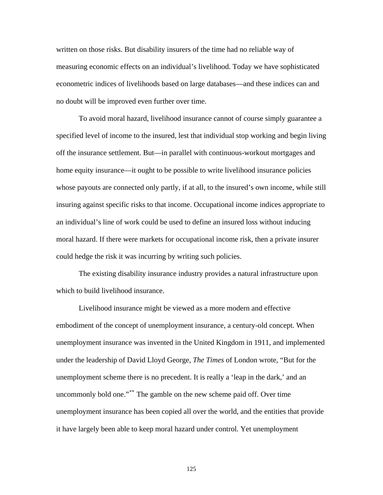written on those risks. But disability insurers of the time had no reliable way of measuring economic effects on an individual's livelihood. Today we have sophisticated econometric indices of livelihoods based on large databases—and these indices can and no doubt will be improved even further over time.

To avoid moral hazard, livelihood insurance cannot of course simply guarantee a specified level of income to the insured, lest that individual stop working and begin living off the insurance settlement. But—in parallel with continuous-workout mortgages and home equity insurance—it ought to be possible to write livelihood insurance policies whose payouts are connected only partly, if at all, to the insured's own income, while still insuring against specific risks to that income. Occupational income indices appropriate to an individual's line of work could be used to define an insured loss without inducing moral hazard. If there were markets for occupational income risk, then a private insurer could hedge the risk it was incurring by writing such policies.

The existing disability insurance industry provides a natural infrastructure upon which to build livelihood insurance.

Livelihood insurance might be viewed as a more modern and effective embodiment of the concept of unemployment insurance, a century-old concept. When unemployment insurance was invented in the United Kingdom in 1911, and implemented under the leadership of David Lloyd George, *The Times* of London wrote, "But for the unemployment scheme there is no precedent. It is really a 'leap in the dark,' and an uncommonly bold one."[\\*\\*](#page-136-0) The gamble on the new scheme paid off. Over time unemployment insurance has been copied all over the world, and the entities that provide it have largely been able to keep moral hazard under control. Yet unemployment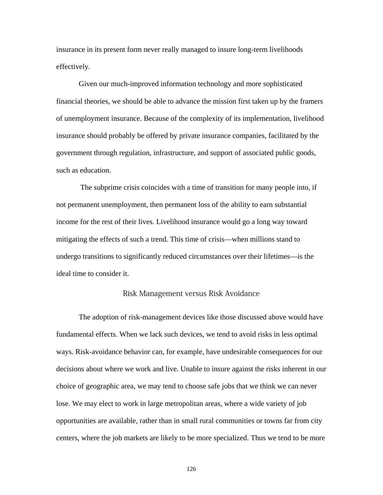insurance in its present form never really managed to insure long-term livelihoods effectively.

Given our much-improved information technology and more sophisticated financial theories, we should be able to advance the mission first taken up by the framers of unemployment insurance. Because of the complexity of its implementation, livelihood insurance should probably be offered by private insurance companies, facilitated by the government through regulation, infrastructure, and support of associated public goods, such as education.

The subprime crisis coincides with a time of transition for many people into, if not permanent unemployment, then permanent loss of the ability to earn substantial income for the rest of their lives. Livelihood insurance would go a long way toward mitigating the effects of such a trend. This time of crisis—when millions stand to undergo transitions to significantly reduced circumstances over their lifetimes—is the ideal time to consider it.

#### Risk Management versus Risk Avoidance

The adoption of risk-management devices like those discussed above would have fundamental effects. When we lack such devices, we tend to avoid risks in less optimal ways. Risk-avoidance behavior can, for example, have undesirable consequences for our decisions about where we work and live. Unable to insure against the risks inherent in our choice of geographic area, we may tend to choose safe jobs that we think we can never lose. We may elect to work in large metropolitan areas, where a wide variety of job opportunities are available, rather than in small rural communities or towns far from city centers, where the job markets are likely to be more specialized. Thus we tend to be more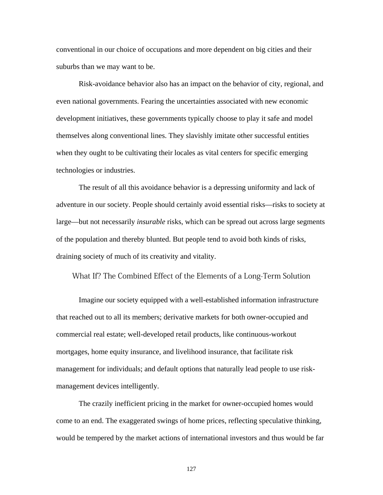conventional in our choice of occupations and more dependent on big cities and their suburbs than we may want to be.

Risk-avoidance behavior also has an impact on the behavior of city, regional, and even national governments. Fearing the uncertainties associated with new economic development initiatives, these governments typically choose to play it safe and model themselves along conventional lines. They slavishly imitate other successful entities when they ought to be cultivating their locales as vital centers for specific emerging technologies or industries.

The result of all this avoidance behavior is a depressing uniformity and lack of adventure in our society. People should certainly avoid essential risks—risks to society at large—but not necessarily *insurable* risks, which can be spread out across large segments of the population and thereby blunted. But people tend to avoid both kinds of risks, draining society of much of its creativity and vitality.

What If? The Combined Effect of the Elements of a Long-Term Solution

Imagine our society equipped with a well-established information infrastructure that reached out to all its members; derivative markets for both owner-occupied and commercial real estate; well-developed retail products, like continuous-workout mortgages, home equity insurance, and livelihood insurance, that facilitate risk management for individuals; and default options that naturally lead people to use riskmanagement devices intelligently.

The crazily inefficient pricing in the market for owner-occupied homes would come to an end. The exaggerated swings of home prices, reflecting speculative thinking, would be tempered by the market actions of international investors and thus would be far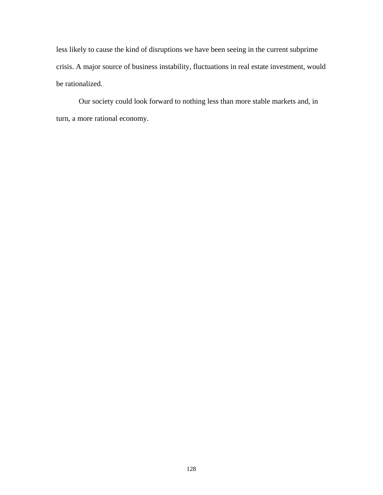less likely to cause the kind of disruptions we have been seeing in the current subprime crisis. A major source of business instability, fluctuations in real estate investment, would be rationalized.

Our society could look forward to nothing less than more stable markets and, in turn, a more rational economy.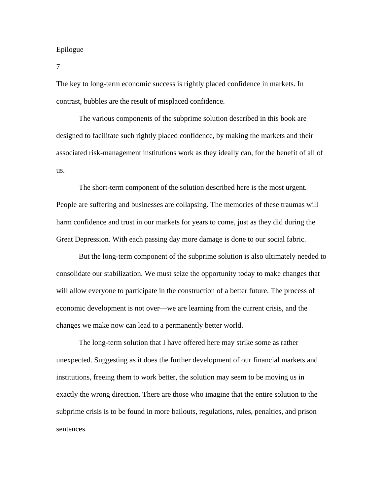#### Epilogue

7

The key to long-term economic success is rightly placed confidence in markets. In contrast, bubbles are the result of misplaced confidence.

The various components of the subprime solution described in this book are designed to facilitate such rightly placed confidence, by making the markets and their associated risk-management institutions work as they ideally can, for the benefit of all of us.

The short-term component of the solution described here is the most urgent. People are suffering and businesses are collapsing. The memories of these traumas will harm confidence and trust in our markets for years to come, just as they did during the Great Depression. With each passing day more damage is done to our social fabric.

But the long-term component of the subprime solution is also ultimately needed to consolidate our stabilization. We must seize the opportunity today to make changes that will allow everyone to participate in the construction of a better future. The process of economic development is not over—we are learning from the current crisis, and the changes we make now can lead to a permanently better world.

The long-term solution that I have offered here may strike some as rather unexpected. Suggesting as it does the further development of our financial markets and institutions, freeing them to work better, the solution may seem to be moving us in exactly the wrong direction. There are those who imagine that the entire solution to the subprime crisis is to be found in more bailouts, regulations, rules, penalties, and prison sentences.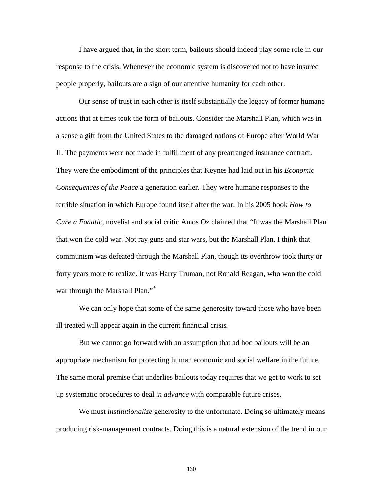I have argued that, in the short term, bailouts should indeed play some role in our response to the crisis. Whenever the economic system is discovered not to have insured people properly, bailouts are a sign of our attentive humanity for each other.

Our sense of trust in each other is itself substantially the legacy of former humane actions that at times took the form of bailouts. Consider the Marshall Plan, which was in a sense a gift from the United States to the damaged nations of Europe after World War II. The payments were not made in fulfillment of any prearranged insurance contract. They were the embodiment of the principles that Keynes had laid out in his *Economic Consequences of the Peace* a generation earlier. They were humane responses to the terrible situation in which Europe found itself after the war. In his 2005 book *How to Cure a Fanatic,* novelist and social critic Amos Oz claimed that "It was the Marshall Plan that won the cold war. Not ray guns and star wars, but the Marshall Plan. I think that communism was defeated through the Marshall Plan, though its overthrow took thirty or forty years more to realize. It was Harry Truman, not Ronald Reagan, who won the cold war through the Marshall Plan."[\\*](#page-136-0)

We can only hope that some of the same generosity toward those who have been ill treated will appear again in the current financial crisis.

But we cannot go forward with an assumption that ad hoc bailouts will be an appropriate mechanism for protecting human economic and social welfare in the future. The same moral premise that underlies bailouts today requires that we get to work to set up systematic procedures to deal *in advance* with comparable future crises.

We must *institutionalize* generosity to the unfortunate. Doing so ultimately means producing risk-management contracts. Doing this is a natural extension of the trend in our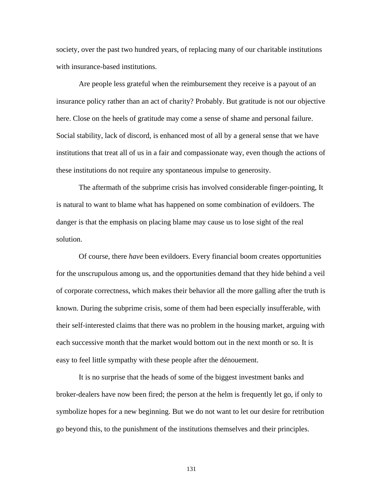society, over the past two hundred years, of replacing many of our charitable institutions with insurance-based institutions.

Are people less grateful when the reimbursement they receive is a payout of an insurance policy rather than an act of charity? Probably. But gratitude is not our objective here. Close on the heels of gratitude may come a sense of shame and personal failure. Social stability, lack of discord, is enhanced most of all by a general sense that we have institutions that treat all of us in a fair and compassionate way, even though the actions of these institutions do not require any spontaneous impulse to generosity.

The aftermath of the subprime crisis has involved considerable finger-pointing, It is natural to want to blame what has happened on some combination of evildoers. The danger is that the emphasis on placing blame may cause us to lose sight of the real solution.

Of course, there *have* been evildoers. Every financial boom creates opportunities for the unscrupulous among us, and the opportunities demand that they hide behind a veil of corporate correctness, which makes their behavior all the more galling after the truth is known. During the subprime crisis, some of them had been especially insufferable, with their self-interested claims that there was no problem in the housing market, arguing with each successive month that the market would bottom out in the next month or so. It is easy to feel little sympathy with these people after the dénouement.

It is no surprise that the heads of some of the biggest investment banks and broker-dealers have now been fired; the person at the helm is frequently let go, if only to symbolize hopes for a new beginning. But we do not want to let our desire for retribution go beyond this, to the punishment of the institutions themselves and their principles.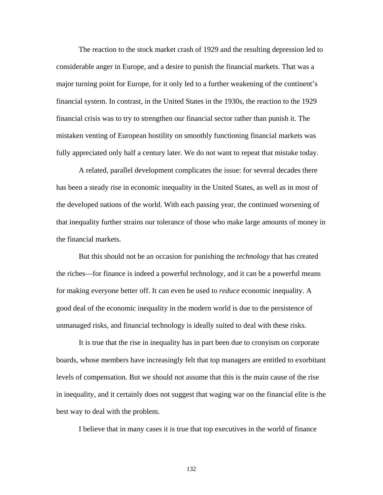The reaction to the stock market crash of 1929 and the resulting depression led to considerable anger in Europe, and a desire to punish the financial markets. That was a major turning point for Europe, for it only led to a further weakening of the continent's financial system. In contrast, in the United States in the 1930s, the reaction to the 1929 financial crisis was to try to strengthen our financial sector rather than punish it. The mistaken venting of European hostility on smoothly functioning financial markets was fully appreciated only half a century later. We do not want to repeat that mistake today.

A related, parallel development complicates the issue: for several decades there has been a steady rise in economic inequality in the United States, as well as in most of the developed nations of the world. With each passing year, the continued worsening of that inequality further strains our tolerance of those who make large amounts of money in the financial markets.

But this should not be an occasion for punishing the *technology* that has created the riches—for finance is indeed a powerful technology, and it can be a powerful means for making everyone better off. It can even be used to *reduce* economic inequality. A good deal of the economic inequality in the modern world is due to the persistence of unmanaged risks, and financial technology is ideally suited to deal with these risks.

It is true that the rise in inequality has in part been due to cronyism on corporate boards, whose members have increasingly felt that top managers are entitled to exorbitant levels of compensation. But we should not assume that this is the main cause of the rise in inequality, and it certainly does not suggest that waging war on the financial elite is the best way to deal with the problem.

I believe that in many cases it is true that top executives in the world of finance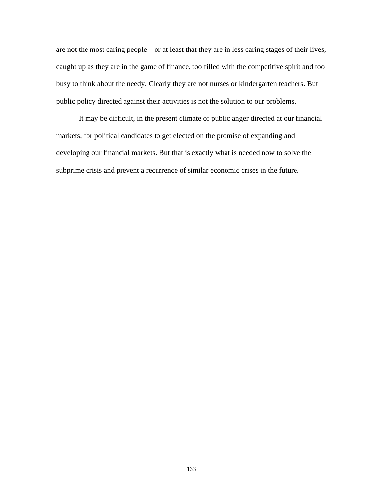are not the most caring people—or at least that they are in less caring stages of their lives, caught up as they are in the game of finance, too filled with the competitive spirit and too busy to think about the needy. Clearly they are not nurses or kindergarten teachers. But public policy directed against their activities is not the solution to our problems.

It may be difficult, in the present climate of public anger directed at our financial markets, for political candidates to get elected on the promise of expanding and developing our financial markets. But that is exactly what is needed now to solve the subprime crisis and prevent a recurrence of similar economic crises in the future.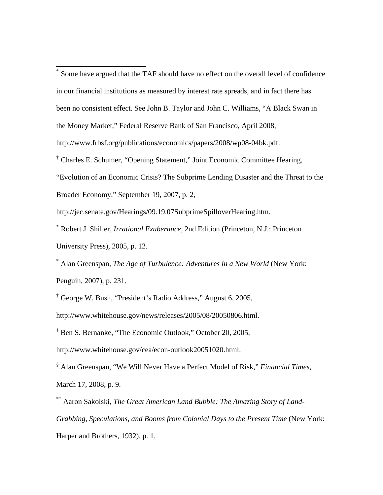Some have argued that the TAF should have no effect on the overall level of confidence in our financial institutions as measured by interest rate spreads, and in fact there has been no consistent effect. See John B. Taylor and John C. Williams, "A Black Swan in the Money Market," Federal Reserve Bank of San Francisco, April 2008, http://www.frbsf.org/publications/economics/papers/2008/wp08-04bk.pdf.

† Charles E. Schumer, "Opening Statement," Joint Economic Committee Hearing, "Evolution of an Economic Crisis? The Subprime Lending Disaster and the Threat to the Broader Economy," September 19, 2007, p. 2,

http://jec.senate.gov/Hearings/09.19.07SubprimeSpilloverHearing.htm.

 $\overline{a}$ 

\* Robert J. Shiller, *Irrational Exuberance,* 2nd Edition (Princeton, N.J.: Princeton University Press), 2005, p. 12.

\* Alan Greenspan, *The Age of Turbulence: Adventures in a New World* (New York: Penguin, 2007), p. 231.

† George W. Bush, "President's Radio Address," August 6, 2005, http://www.whitehouse.gov/news/releases/2005/08/20050806.html.

‡ Ben S. Bernanke, "The Economic Outlook," October 20, 2005,

http://www.whitehouse.gov/cea/econ-outlook20051020.html.

§ Alan Greenspan, "We Will Never Have a Perfect Model of Risk," *Financial Times,* March 17, 2008, p. 9.

\*\* Aaron Sakolski, *The Great American Land Bubble: The Amazing Story of Land-Grabbing, Speculations, and Booms from Colonial Days to the Present Time (New York:* Harper and Brothers, 1932), p. 1.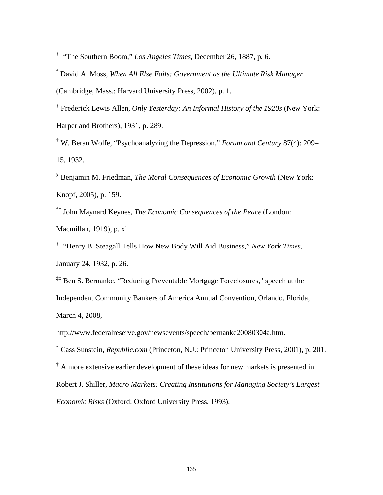†† "The Southern Boom," *Los Angeles Times,* December 26, 1887, p. 6.

\* David A. Moss, *When All Else Fails: Government as the Ultimate Risk Manager*

(Cambridge, Mass.: Harvard University Press, 2002), p. 1.

<span id="page-135-0"></span> $\overline{a}$ 

† Frederick Lewis Allen, *Only Yesterday: An Informal History of the 1920s* (New York: Harper and Brothers), 1931, p. 289.

‡ W. Beran Wolfe, "Psychoanalyzing the Depression," *Forum and Century* 87(4): 209– 15, 1932.

§ Benjamin M. Friedman, *The Moral Consequences of Economic Growth* (New York: Knopf, 2005), p. 159.

\*\* John Maynard Keynes, *The Economic Consequences of the Peace* (London: Macmillan, 1919), p. xi.

†† "Henry B. Steagall Tells How New Body Will Aid Business," *New York Times,* January 24, 1932, p. 26.

‡‡ Ben S. Bernanke, "Reducing Preventable Mortgage Foreclosures," speech at the Independent Community Bankers of America Annual Convention, Orlando, Florida, March 4, 2008,

http://www.federalreserve.gov/newsevents/speech/bernanke20080304a.htm.

\* Cass Sunstein, *Republic.com* (Princeton, N.J.: Princeton University Press, 2001), p. 201.

† A more extensive earlier development of these ideas for new markets is presented in

Robert J. Shiller, *Macro Markets: Creating Institutions for Managing Society's Largest* 

*Economic Risks* (Oxford: Oxford University Press, 1993).